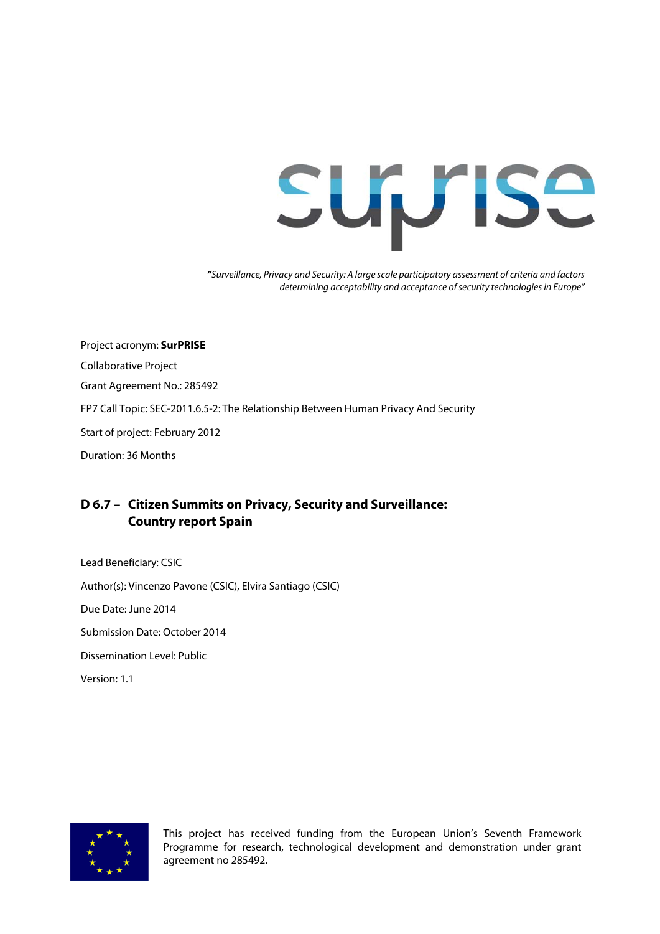# **Suprise**

**"**Surveillance, Privacy and Security: A large scale participatory assessment of criteria and factors determining acceptability and acceptance of security technologies in Europe"

Project acronym: **SurPRISE** Collaborative Project Grant Agreement No.: 285492 FP7 Call Topic: SEC-2011.6.5-2: The Relationship Between Human Privacy And Security Start of project: February 2012 Duration: 36 Months

#### **D 6.7 – Citizen Summits on Privacy, Security and Surveillance: Country report Spain**

Lead Beneficiary: CSIC Author(s): Vincenzo Pavone (CSIC), Elvira Santiago (CSIC) Due Date: June 2014 Submission Date: October 2014 Dissemination Level: Public Version: 1.1



This project has received funding from the European Union's Seventh Framework Programme for research, technological development and demonstration under grant agreement no 285492.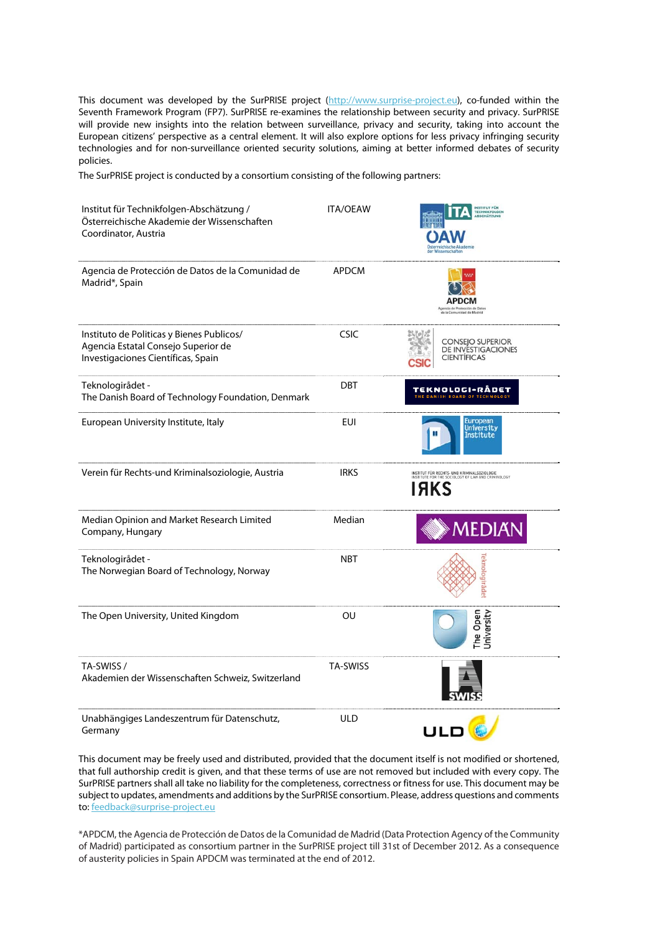This document was developed by the SurPRISE project (http://www.surprise-project.eu), co-funded within the Seventh Framework Program (FP7). SurPRISE re-examines the relationship between security and privacy. SurPRISE will provide new insights into the relation between surveillance, privacy and security, taking into account the European citizens' perspective as a central element. It will also explore options for less privacy infringing security technologies and for non-surveillance oriented security solutions, aiming at better informed debates of security policies.

The SurPRISE project is conducted by a consortium consisting of the following partners:

| Institut für Technikfolgen-Abschätzung /<br>Österreichische Akademie der Wissenschaften<br>Coordinator, Austria        | <b>ITA/OEAW</b> | <b>INSTITUT FÜR</b><br><b>TECHNIKFOLGEN</b><br>ABSCHÄTZUNG                                                       |
|------------------------------------------------------------------------------------------------------------------------|-----------------|------------------------------------------------------------------------------------------------------------------|
| Agencia de Protección de Datos de la Comunidad de<br>Madrid*, Spain                                                    | <b>APDCM</b>    | APDCM<br>de Protección de Date<br>sidad de Madrid                                                                |
| Instituto de Politicas y Bienes Publicos/<br>Agencia Estatal Consejo Superior de<br>Investigaciones Científicas, Spain | <b>CSIC</b>     | <b>CONSEJO SUPERIOR</b><br><b>DE INVESTIGACIONES</b><br><b>CIENTÍFICAS</b>                                       |
| Teknologirådet -<br>The Danish Board of Technology Foundation, Denmark                                                 | <b>DBT</b>      | TEKNOLOGI-RÅDET                                                                                                  |
| European University Institute, Italy                                                                                   | <b>EUI</b>      | European<br><b>University</b><br><b>Institute</b>                                                                |
| Verein für Rechts-und Kriminalsoziologie, Austria                                                                      | <b>IRKS</b>     | INSTITUT FÜR RECHTS- UND KRIMINALSOZIOLOGIE<br>INSTITUTE FOR THE SOCIOLOGY OF LAW AND CRIMINOLOGY<br><b>IAKS</b> |
| Median Opinion and Market Research Limited<br>Company, Hungary                                                         | Median          | MEDIAN                                                                                                           |
| Teknologirådet -<br>The Norwegian Board of Technology, Norway                                                          | <b>NBT</b>      | eknologiråde                                                                                                     |
| The Open University, United Kingdom                                                                                    | OU              | The Open<br><b>Jniversity</b>                                                                                    |
| TA-SWISS /<br>Akademien der Wissenschaften Schweiz, Switzerland                                                        | <b>TA-SWISS</b> |                                                                                                                  |
| Unabhängiges Landeszentrum für Datenschutz,<br>Germany                                                                 | <b>ULD</b>      | ULO                                                                                                              |

This document may be freely used and distributed, provided that the document itself is not modified or shortened, that full authorship credit is given, and that these terms of use are not removed but included with every copy. The SurPRISE partners shall all take no liability for the completeness, correctness or fitness for use. This document may be subject to updates, amendments and additions by the SurPRISE consortium. Please, address questions and comments to: feedback@surprise-project.eu

\*APDCM, the Agencia de Protección de Datos de la Comunidad de Madrid (Data Protection Agency of the Community of Madrid) participated as consortium partner in the SurPRISE project till 31st of December 2012. As a consequence of austerity policies in Spain APDCM was terminated at the end of 2012.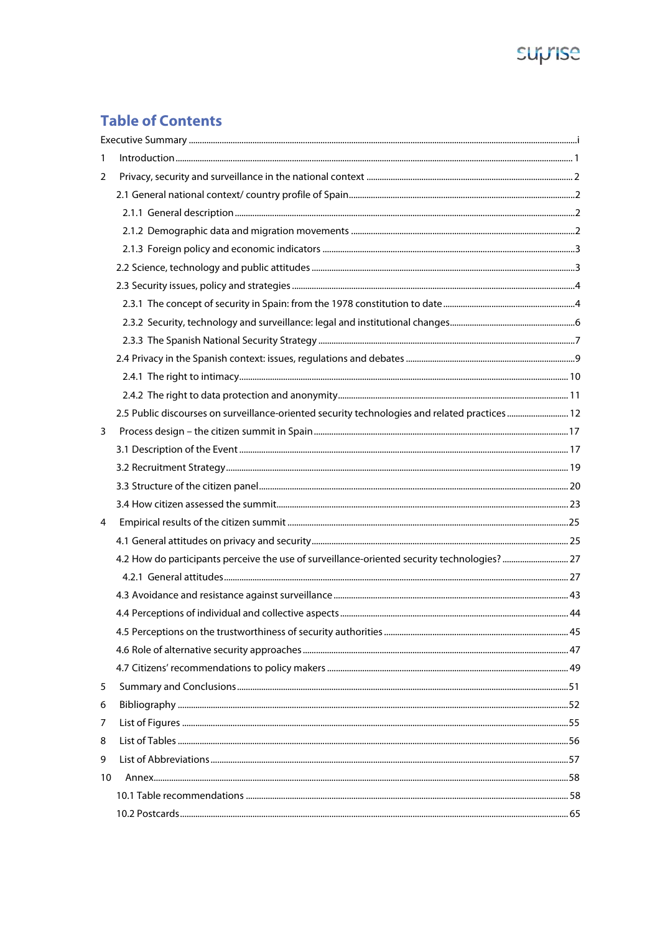# suprise

# **Table of Contents**

| 1  | $         <$                                                                                  |    |
|----|-----------------------------------------------------------------------------------------------|----|
| 2  |                                                                                               |    |
|    |                                                                                               |    |
|    |                                                                                               |    |
|    |                                                                                               |    |
|    |                                                                                               |    |
|    |                                                                                               |    |
|    |                                                                                               |    |
|    |                                                                                               |    |
|    |                                                                                               |    |
|    |                                                                                               |    |
|    |                                                                                               |    |
|    |                                                                                               |    |
|    |                                                                                               |    |
|    | 2.5 Public discourses on surveillance-oriented security technologies and related practices 12 |    |
| 3  |                                                                                               |    |
|    |                                                                                               |    |
|    |                                                                                               |    |
|    |                                                                                               |    |
|    |                                                                                               |    |
| 4  |                                                                                               |    |
|    |                                                                                               |    |
|    | 4.2 How do participants perceive the use of surveillance-oriented security technologies?  27  |    |
|    |                                                                                               |    |
|    |                                                                                               |    |
|    |                                                                                               |    |
|    |                                                                                               | 45 |
|    |                                                                                               |    |
|    |                                                                                               |    |
| 5  |                                                                                               |    |
| 6  |                                                                                               |    |
| 7  |                                                                                               |    |
| 8  |                                                                                               |    |
| 9  |                                                                                               |    |
| 10 |                                                                                               |    |
|    |                                                                                               |    |
|    |                                                                                               |    |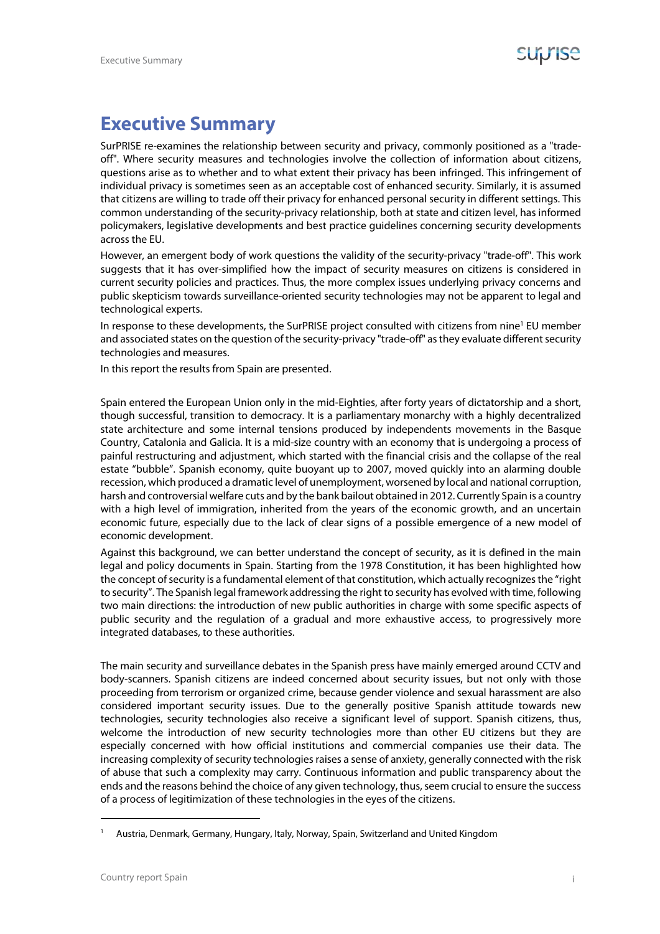## **Executive Summary**

SurPRISE re-examines the relationship between security and privacy, commonly positioned as a "tradeoff". Where security measures and technologies involve the collection of information about citizens, questions arise as to whether and to what extent their privacy has been infringed. This infringement of individual privacy is sometimes seen as an acceptable cost of enhanced security. Similarly, it is assumed that citizens are willing to trade off their privacy for enhanced personal security in different settings. This common understanding of the security-privacy relationship, both at state and citizen level, has informed policymakers, legislative developments and best practice guidelines concerning security developments across the EU.

However, an emergent body of work questions the validity of the security-privacy "trade-off". This work suggests that it has over-simplified how the impact of security measures on citizens is considered in current security policies and practices. Thus, the more complex issues underlying privacy concerns and public skepticism towards surveillance-oriented security technologies may not be apparent to legal and technological experts.

In response to these developments, the SurPRISE project consulted with citizens from nine<sup>1</sup> EU member and associated states on the question of the security-privacy "trade-off" as they evaluate different security technologies and measures.

In this report the results from Spain are presented.

Spain entered the European Union only in the mid-Eighties, after forty years of dictatorship and a short, though successful, transition to democracy. It is a parliamentary monarchy with a highly decentralized state architecture and some internal tensions produced by independents movements in the Basque Country, Catalonia and Galicia. It is a mid-size country with an economy that is undergoing a process of painful restructuring and adjustment, which started with the financial crisis and the collapse of the real estate "bubble". Spanish economy, quite buoyant up to 2007, moved quickly into an alarming double recession, which produced a dramatic level of unemployment, worsened by local and national corruption, harsh and controversial welfare cuts and by the bank bailout obtained in 2012. Currently Spain is a country with a high level of immigration, inherited from the years of the economic growth, and an uncertain economic future, especially due to the lack of clear signs of a possible emergence of a new model of economic development.

Against this background, we can better understand the concept of security, as it is defined in the main legal and policy documents in Spain. Starting from the 1978 Constitution, it has been highlighted how the concept of security is a fundamental element of that constitution, which actually recognizes the "right to security". The Spanish legal framework addressing the right to security has evolved with time, following two main directions: the introduction of new public authorities in charge with some specific aspects of public security and the regulation of a gradual and more exhaustive access, to progressively more integrated databases, to these authorities.

The main security and surveillance debates in the Spanish press have mainly emerged around CCTV and body-scanners. Spanish citizens are indeed concerned about security issues, but not only with those proceeding from terrorism or organized crime, because gender violence and sexual harassment are also considered important security issues. Due to the generally positive Spanish attitude towards new technologies, security technologies also receive a significant level of support. Spanish citizens, thus, welcome the introduction of new security technologies more than other EU citizens but they are especially concerned with how official institutions and commercial companies use their data. The increasing complexity of security technologies raises a sense of anxiety, generally connected with the risk of abuse that such a complexity may carry. Continuous information and public transparency about the ends and the reasons behind the choice of any given technology, thus, seem crucial to ensure the success of a process of legitimization of these technologies in the eyes of the citizens.

<sup>1</sup> Austria, Denmark, Germany, Hungary, Italy, Norway, Spain, Switzerland and United Kingdom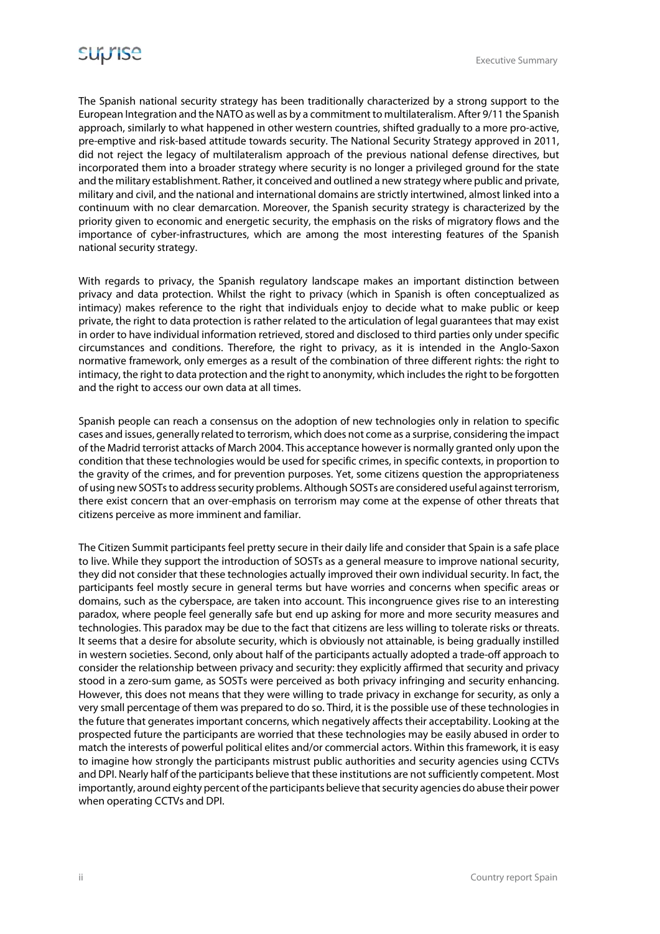The Spanish national security strategy has been traditionally characterized by a strong support to the European Integration and the NATO as well as by a commitment to multilateralism. After 9/11 the Spanish approach, similarly to what happened in other western countries, shifted gradually to a more pro-active, pre-emptive and risk-based attitude towards security. The National Security Strategy approved in 2011, did not reject the legacy of multilateralism approach of the previous national defense directives, but incorporated them into a broader strategy where security is no longer a privileged ground for the state and the military establishment. Rather, it conceived and outlined a new strategy where public and private, military and civil, and the national and international domains are strictly intertwined, almost linked into a continuum with no clear demarcation. Moreover, the Spanish security strategy is characterized by the priority given to economic and energetic security, the emphasis on the risks of migratory flows and the importance of cyber-infrastructures, which are among the most interesting features of the Spanish national security strategy.

With regards to privacy, the Spanish regulatory landscape makes an important distinction between privacy and data protection. Whilst the right to privacy (which in Spanish is often conceptualized as intimacy) makes reference to the right that individuals enjoy to decide what to make public or keep private, the right to data protection is rather related to the articulation of legal guarantees that may exist in order to have individual information retrieved, stored and disclosed to third parties only under specific circumstances and conditions. Therefore, the right to privacy, as it is intended in the Anglo-Saxon normative framework, only emerges as a result of the combination of three different rights: the right to intimacy, the right to data protection and the right to anonymity, which includes the right to be forgotten and the right to access our own data at all times.

Spanish people can reach a consensus on the adoption of new technologies only in relation to specific cases and issues, generally related to terrorism, which does not come as a surprise, considering the impact of the Madrid terrorist attacks of March 2004. This acceptance however is normally granted only upon the condition that these technologies would be used for specific crimes, in specific contexts, in proportion to the gravity of the crimes, and for prevention purposes. Yet, some citizens question the appropriateness of using new SOSTs to address security problems. Although SOSTs are considered useful against terrorism, there exist concern that an over-emphasis on terrorism may come at the expense of other threats that citizens perceive as more imminent and familiar.

The Citizen Summit participants feel pretty secure in their daily life and consider that Spain is a safe place to live. While they support the introduction of SOSTs as a general measure to improve national security, they did not consider that these technologies actually improved their own individual security. In fact, the participants feel mostly secure in general terms but have worries and concerns when specific areas or domains, such as the cyberspace, are taken into account. This incongruence gives rise to an interesting paradox, where people feel generally safe but end up asking for more and more security measures and technologies. This paradox may be due to the fact that citizens are less willing to tolerate risks or threats. It seems that a desire for absolute security, which is obviously not attainable, is being gradually instilled in western societies. Second, only about half of the participants actually adopted a trade-off approach to consider the relationship between privacy and security: they explicitly affirmed that security and privacy stood in a zero-sum game, as SOSTs were perceived as both privacy infringing and security enhancing. However, this does not means that they were willing to trade privacy in exchange for security, as only a very small percentage of them was prepared to do so. Third, it is the possible use of these technologies in the future that generates important concerns, which negatively affects their acceptability. Looking at the prospected future the participants are worried that these technologies may be easily abused in order to match the interests of powerful political elites and/or commercial actors. Within this framework, it is easy to imagine how strongly the participants mistrust public authorities and security agencies using CCTVs and DPI. Nearly half of the participants believe that these institutions are not sufficiently competent. Most importantly, around eighty percent of the participants believe that security agencies do abuse their power when operating CCTVs and DPI.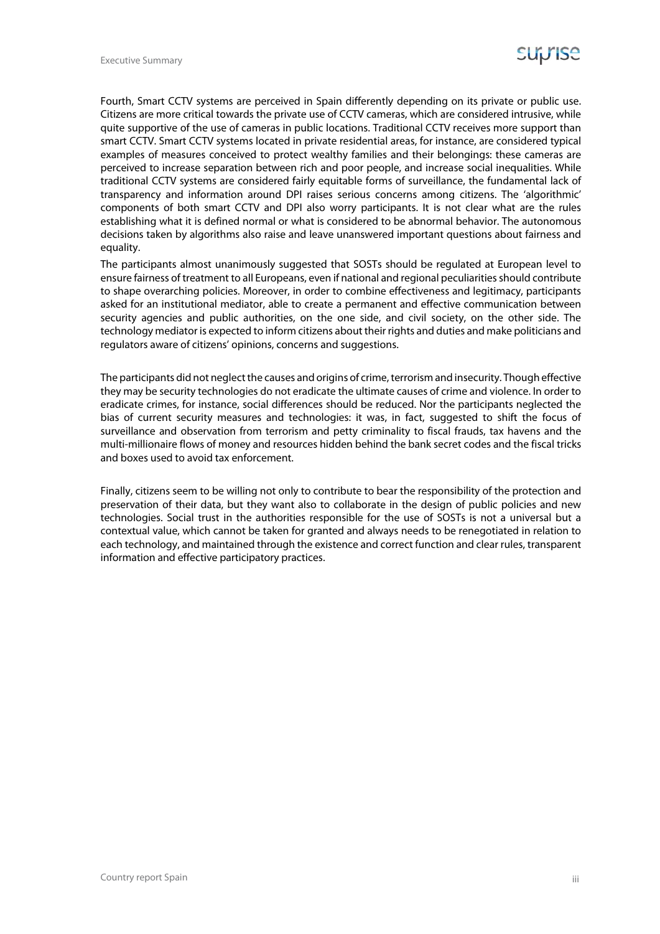Fourth, Smart CCTV systems are perceived in Spain differently depending on its private or public use. Citizens are more critical towards the private use of CCTV cameras, which are considered intrusive, while quite supportive of the use of cameras in public locations. Traditional CCTV receives more support than smart CCTV. Smart CCTV systems located in private residential areas, for instance, are considered typical examples of measures conceived to protect wealthy families and their belongings: these cameras are perceived to increase separation between rich and poor people, and increase social inequalities. While traditional CCTV systems are considered fairly equitable forms of surveillance, the fundamental lack of transparency and information around DPI raises serious concerns among citizens. The 'algorithmic' components of both smart CCTV and DPI also worry participants. It is not clear what are the rules establishing what it is defined normal or what is considered to be abnormal behavior. The autonomous decisions taken by algorithms also raise and leave unanswered important questions about fairness and equality.

The participants almost unanimously suggested that SOSTs should be regulated at European level to ensure fairness of treatment to all Europeans, even if national and regional peculiarities should contribute to shape overarching policies. Moreover, in order to combine effectiveness and legitimacy, participants asked for an institutional mediator, able to create a permanent and effective communication between security agencies and public authorities, on the one side, and civil society, on the other side. The technology mediator is expected to inform citizens about their rights and duties and make politicians and regulators aware of citizens' opinions, concerns and suggestions.

The participants did not neglect the causes and origins of crime, terrorism and insecurity. Though effective they may be security technologies do not eradicate the ultimate causes of crime and violence. In order to eradicate crimes, for instance, social differences should be reduced. Nor the participants neglected the bias of current security measures and technologies: it was, in fact, suggested to shift the focus of surveillance and observation from terrorism and petty criminality to fiscal frauds, tax havens and the multi-millionaire flows of money and resources hidden behind the bank secret codes and the fiscal tricks and boxes used to avoid tax enforcement.

Finally, citizens seem to be willing not only to contribute to bear the responsibility of the protection and preservation of their data, but they want also to collaborate in the design of public policies and new technologies. Social trust in the authorities responsible for the use of SOSTs is not a universal but a contextual value, which cannot be taken for granted and always needs to be renegotiated in relation to each technology, and maintained through the existence and correct function and clear rules, transparent information and effective participatory practices.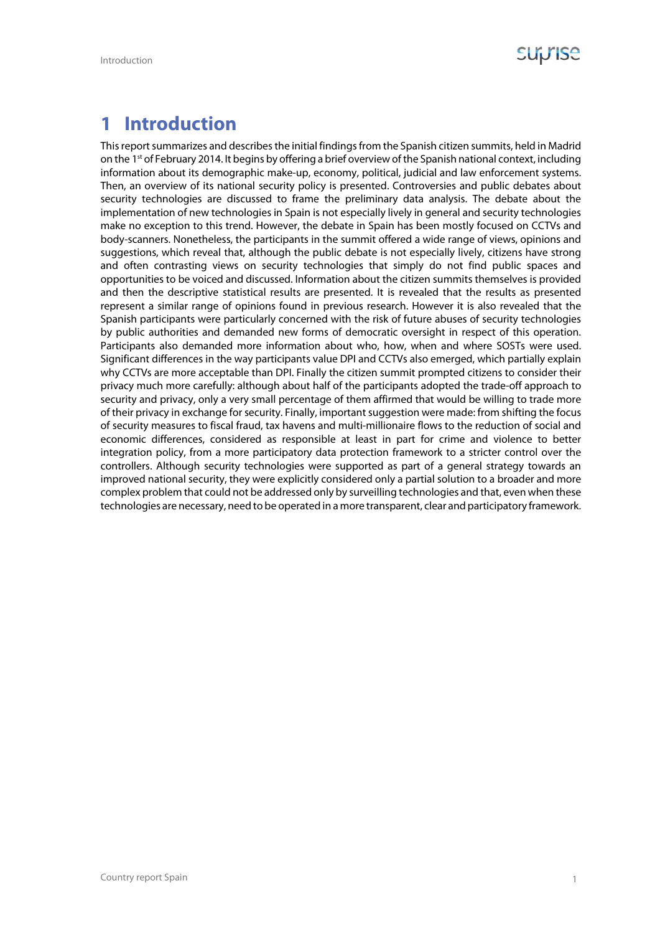

# **1 Introduction**

This report summarizes and describes the initial findings from the Spanish citizen summits, held in Madrid on the 1st of February 2014. It begins by offering a brief overview of the Spanish national context, including information about its demographic make-up, economy, political, judicial and law enforcement systems. Then, an overview of its national security policy is presented. Controversies and public debates about security technologies are discussed to frame the preliminary data analysis. The debate about the implementation of new technologies in Spain is not especially lively in general and security technologies make no exception to this trend. However, the debate in Spain has been mostly focused on CCTVs and body-scanners. Nonetheless, the participants in the summit offered a wide range of views, opinions and suggestions, which reveal that, although the public debate is not especially lively, citizens have strong and often contrasting views on security technologies that simply do not find public spaces and opportunities to be voiced and discussed. Information about the citizen summits themselves is provided and then the descriptive statistical results are presented. It is revealed that the results as presented represent a similar range of opinions found in previous research. However it is also revealed that the Spanish participants were particularly concerned with the risk of future abuses of security technologies by public authorities and demanded new forms of democratic oversight in respect of this operation. Participants also demanded more information about who, how, when and where SOSTs were used. Significant differences in the way participants value DPI and CCTVs also emerged, which partially explain why CCTVs are more acceptable than DPI. Finally the citizen summit prompted citizens to consider their privacy much more carefully: although about half of the participants adopted the trade-off approach to security and privacy, only a very small percentage of them affirmed that would be willing to trade more of their privacy in exchange for security. Finally, important suggestion were made: from shifting the focus of security measures to fiscal fraud, tax havens and multi-millionaire flows to the reduction of social and economic differences, considered as responsible at least in part for crime and violence to better integration policy, from a more participatory data protection framework to a stricter control over the controllers. Although security technologies were supported as part of a general strategy towards an improved national security, they were explicitly considered only a partial solution to a broader and more complex problem that could not be addressed only by surveilling technologies and that, even when these technologies are necessary, need to be operated in a more transparent, clear and participatory framework.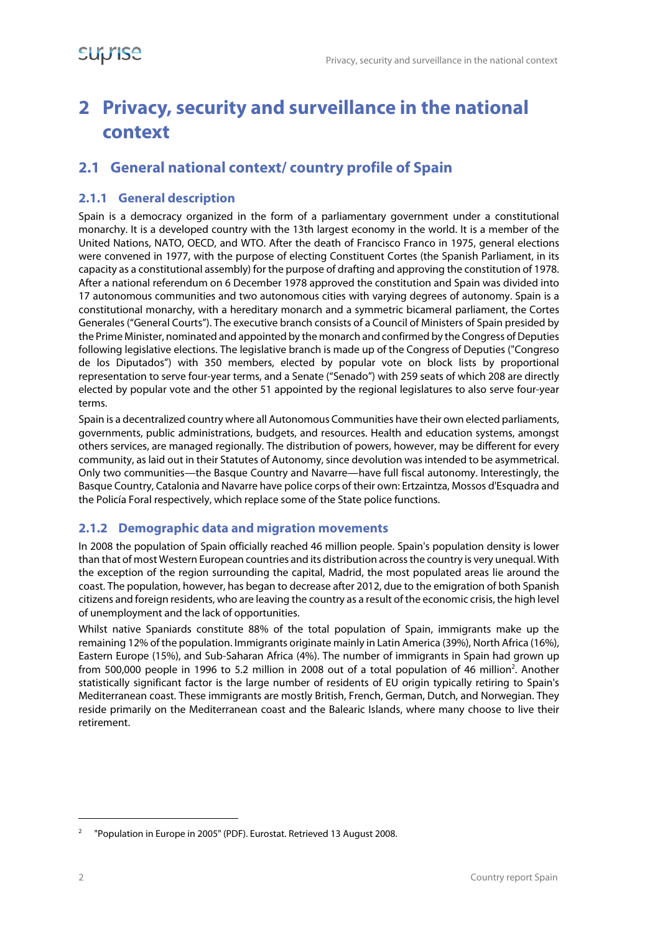# **2 Privacy, security and surveillance in the national context**

#### **2.1 General national context/ country profile of Spain**

#### **2.1.1 General description**

Spain is a democracy organized in the form of a parliamentary government under a constitutional monarchy. It is a developed country with the 13th largest economy in the world. It is a member of the United Nations, NATO, OECD, and WTO. After the death of Francisco Franco in 1975, general elections were convened in 1977, with the purpose of electing Constituent Cortes (the Spanish Parliament, in its capacity as a constitutional assembly) for the purpose of drafting and approving the constitution of 1978. After a national referendum on 6 December 1978 approved the constitution and Spain was divided into 17 autonomous communities and two autonomous cities with varying degrees of autonomy. Spain is a constitutional monarchy, with a hereditary monarch and a symmetric bicameral parliament, the Cortes Generales ("General Courts"). The executive branch consists of a Council of Ministers of Spain presided by the Prime Minister, nominated and appointed by the monarch and confirmed by the Congress of Deputies following legislative elections. The legislative branch is made up of the Congress of Deputies ("Congreso de los Diputados") with 350 members, elected by popular vote on block lists by proportional representation to serve four-year terms, and a Senate ("Senado") with 259 seats of which 208 are directly elected by popular vote and the other 51 appointed by the regional legislatures to also serve four-year terms.

Spain is a decentralized country where all Autonomous Communities have their own elected parliaments, governments, public administrations, budgets, and resources. Health and education systems, amongst others services, are managed regionally. The distribution of powers, however, may be different for every community, as laid out in their Statutes of Autonomy, since devolution was intended to be asymmetrical. Only two communities—the Basque Country and Navarre—have full fiscal autonomy. Interestingly, the Basque Country, Catalonia and Navarre have police corps of their own: Ertzaintza, Mossos d'Esquadra and the Policía Foral respectively, which replace some of the State police functions.

#### **2.1.2 Demographic data and migration movements**

In 2008 the population of Spain officially reached 46 million people. Spain's population density is lower than that of most Western European countries and its distribution across the country is very unequal. With the exception of the region surrounding the capital, Madrid, the most populated areas lie around the coast. The population, however, has began to decrease after 2012, due to the emigration of both Spanish citizens and foreign residents, who are leaving the country as a result of the economic crisis, the high level of unemployment and the lack of opportunities.

Whilst native Spaniards constitute 88% of the total population of Spain, immigrants make up the remaining 12% of the population. Immigrants originate mainly in Latin America (39%), North Africa (16%), Eastern Europe (15%), and Sub-Saharan Africa (4%). The number of immigrants in Spain had grown up from 500,000 people in 1996 to 5.2 million in 2008 out of a total population of 46 million<sup>2</sup>. Another statistically significant factor is the large number of residents of EU origin typically retiring to Spain's Mediterranean coast. These immigrants are mostly British, French, German, Dutch, and Norwegian. They reside primarily on the Mediterranean coast and the Balearic Islands, where many choose to live their retirement.

<sup>2</sup> "Population in Europe in 2005" (PDF). Eurostat. Retrieved 13 August 2008.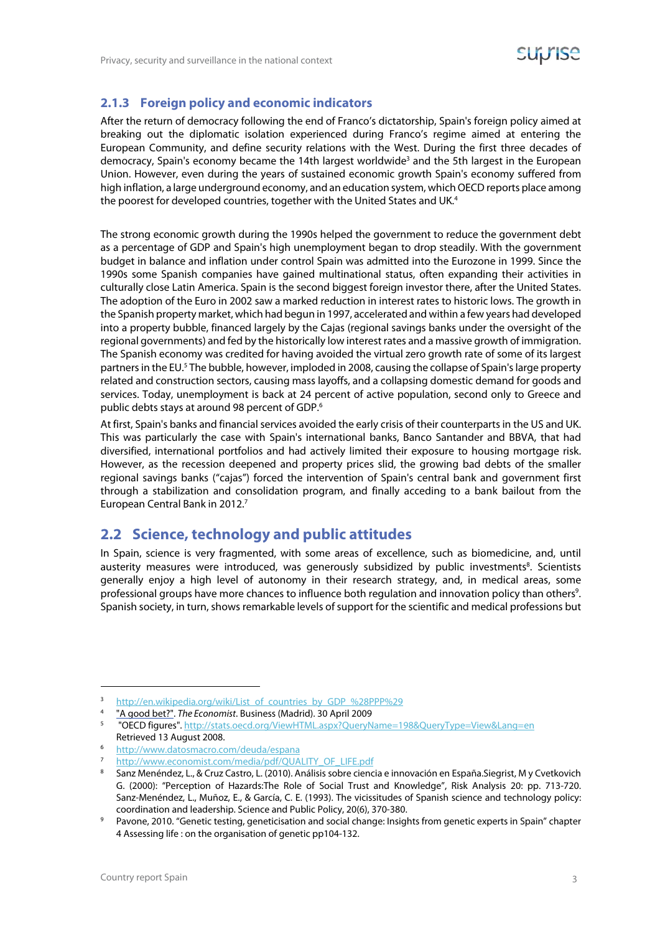#### **2.1.3 Foreign policy and economic indicators**

After the return of democracy following the end of Franco's dictatorship, Spain's foreign policy aimed at breaking out the diplomatic isolation experienced during Franco's regime aimed at entering the European Community, and define security relations with the West. During the first three decades of democracy, Spain's economy became the 14th largest worldwide<sup>3</sup> and the 5th largest in the European Union. However, even during the years of sustained economic growth Spain's economy suffered from high inflation, a large underground economy, and an education system, which OECD reports place among the poorest for developed countries, together with the United States and UK.<sup>4</sup>

The strong economic growth during the 1990s helped the government to reduce the government debt as a percentage of GDP and Spain's high unemployment began to drop steadily. With the government budget in balance and inflation under control Spain was admitted into the Eurozone in 1999. Since the 1990s some Spanish companies have gained multinational status, often expanding their activities in culturally close Latin America. Spain is the second biggest foreign investor there, after the United States. The adoption of the Euro in 2002 saw a marked reduction in interest rates to historic lows. The growth in the Spanish property market, which had begun in 1997, accelerated and within a few years had developed into a property bubble, financed largely by the Cajas (regional savings banks under the oversight of the regional governments) and fed by the historically low interest rates and a massive growth of immigration. The Spanish economy was credited for having avoided the virtual zero growth rate of some of its largest partners in the EU.<sup>5</sup> The bubble, however, imploded in 2008, causing the collapse of Spain's large property related and construction sectors, causing mass layoffs, and a collapsing domestic demand for goods and services. Today, unemployment is back at 24 percent of active population, second only to Greece and public debts stays at around 98 percent of GDP.<sup>6</sup>

At first, Spain's banks and financial services avoided the early crisis of their counterparts in the US and UK. This was particularly the case with Spain's international banks, Banco Santander and BBVA, that had diversified, international portfolios and had actively limited their exposure to housing mortgage risk. However, as the recession deepened and property prices slid, the growing bad debts of the smaller regional savings banks ("cajas") forced the intervention of Spain's central bank and government first through a stabilization and consolidation program, and finally acceding to a bank bailout from the European Central Bank in 2012.<sup>7</sup>

#### **2.2 Science, technology and public attitudes**

In Spain, science is very fragmented, with some areas of excellence, such as biomedicine, and, until austerity measures were introduced, was generously subsidized by public investments<sup>8</sup>. Scientists generally enjoy a high level of autonomy in their research strategy, and, in medical areas, some professional groups have more chances to influence both regulation and innovation policy than others<sup>9</sup>. Spanish society, in turn, shows remarkable levels of support for the scientific and medical professions but

<sup>6</sup> http://www.datosmacro.com/deuda/espana<br>7 http://www.economist.com/media/pdf/OLLA

 $\frac{3}{4}$  http://en.wikipedia.org/wiki/List\_of\_countries\_by\_GDP\_%28PPP%29<br>4  $\frac{4}{4}$  and het?" The Economist Business (Madrid) 30 April 2009

<sup>&</sup>lt;sup>4</sup> "<u>A good bet?"</u>. *The Economist*. Business (Madrid). 30 April 2009<br><sup>5</sup> "OECD figures". <u>http://stats.oecd.org/ViewHTML.aspx?OueryName=198&OueryType=View&Lang=en</u> Retrieved 13 August 2008.<br>6 http://www.datosmacro.com

<sup>7</sup> http://www.economist.com/media/pdf/QUALITY\_OF\_LIFE.pdf

<sup>8</sup> Sanz Menéndez, L., & Cruz Castro, L. (2010). Análisis sobre ciencia e innovación en España.Siegrist, M y Cvetkovich G. (2000): "Perception of Hazards:The Role of Social Trust and Knowledge", Risk Analysis 20: pp. 713-720. Sanz-Menéndez, L., Muñoz, E., & García, C. E. (1993). The vicissitudes of Spanish science and technology policy: coordination and leadership. Science and Public Policy, 20(6), 370-380.

Pavone, 2010. "Genetic testing, geneticisation and social change: Insights from genetic experts in Spain" chapter 4 Assessing life : on the organisation of genetic pp104-132.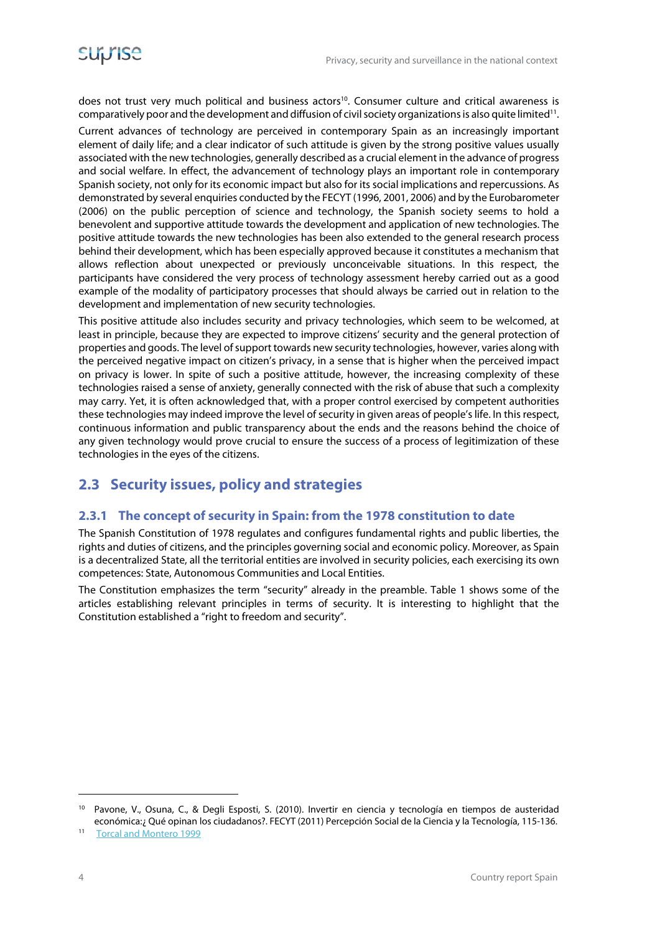does not trust very much political and business actors<sup>10</sup>. Consumer culture and critical awareness is comparatively poor and the development and diffusion of civil society organizations is also quite limited<sup>11</sup>.

Current advances of technology are perceived in contemporary Spain as an increasingly important element of daily life; and a clear indicator of such attitude is given by the strong positive values usually associated with the new technologies, generally described as a crucial element in the advance of progress and social welfare. In effect, the advancement of technology plays an important role in contemporary Spanish society, not only for its economic impact but also for its social implications and repercussions. As demonstrated by several enquiries conducted by the FECYT (1996, 2001, 2006) and by the Eurobarometer (2006) on the public perception of science and technology, the Spanish society seems to hold a benevolent and supportive attitude towards the development and application of new technologies. The positive attitude towards the new technologies has been also extended to the general research process behind their development, which has been especially approved because it constitutes a mechanism that allows reflection about unexpected or previously unconceivable situations. In this respect, the participants have considered the very process of technology assessment hereby carried out as a good example of the modality of participatory processes that should always be carried out in relation to the development and implementation of new security technologies.

This positive attitude also includes security and privacy technologies, which seem to be welcomed, at least in principle, because they are expected to improve citizens' security and the general protection of properties and goods. The level of support towards new security technologies, however, varies along with the perceived negative impact on citizen's privacy, in a sense that is higher when the perceived impact on privacy is lower. In spite of such a positive attitude, however, the increasing complexity of these technologies raised a sense of anxiety, generally connected with the risk of abuse that such a complexity may carry. Yet, it is often acknowledged that, with a proper control exercised by competent authorities these technologies may indeed improve the level of security in given areas of people's life. In this respect, continuous information and public transparency about the ends and the reasons behind the choice of any given technology would prove crucial to ensure the success of a process of legitimization of these technologies in the eyes of the citizens.

#### **2.3 Security issues, policy and strategies**

#### **2.3.1 The concept of security in Spain: from the 1978 constitution to date**

The Spanish Constitution of 1978 regulates and configures fundamental rights and public liberties, the rights and duties of citizens, and the principles governing social and economic policy. Moreover, as Spain is a decentralized State, all the territorial entities are involved in security policies, each exercising its own competences: State, Autonomous Communities and Local Entities.

The Constitution emphasizes the term "security" already in the preamble. Table 1 shows some of the articles establishing relevant principles in terms of security. It is interesting to highlight that the Constitution established a "right to freedom and security".

<sup>10</sup> Pavone, V., Osuna, C., & Degli Esposti, S. (2010). Invertir en ciencia y tecnología en tiempos de austeridad económica:¿ Qué opinan los ciudadanos?. FECYT (2011) Percepción Social de la Ciencia y la Tecnología, 115-136. 11 Torcal and Montero 1999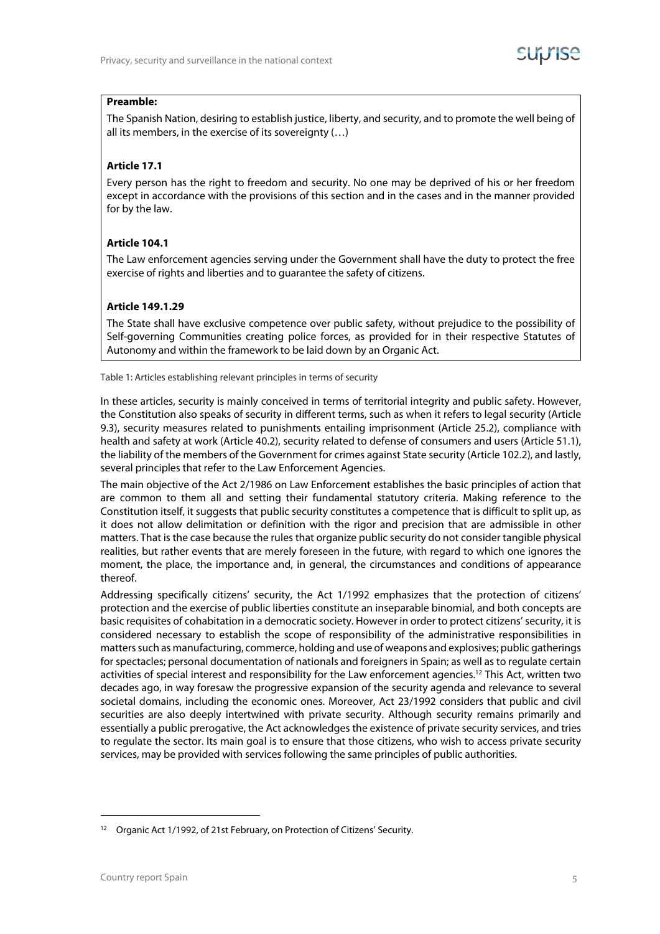#### **Preamble:**

The Spanish Nation, desiring to establish justice, liberty, and security, and to promote the well being of all its members, in the exercise of its sovereignty (…)

#### **Article 17.1**

Every person has the right to freedom and security. No one may be deprived of his or her freedom except in accordance with the provisions of this section and in the cases and in the manner provided for by the law.

#### **Article 104.1**

The Law enforcement agencies serving under the Government shall have the duty to protect the free exercise of rights and liberties and to guarantee the safety of citizens.

#### **Article 149.1.29**

The State shall have exclusive competence over public safety, without prejudice to the possibility of Self-governing Communities creating police forces, as provided for in their respective Statutes of Autonomy and within the framework to be laid down by an Organic Act.

Table 1: Articles establishing relevant principles in terms of security

In these articles, security is mainly conceived in terms of territorial integrity and public safety. However, the Constitution also speaks of security in different terms, such as when it refers to legal security (Article 9.3), security measures related to punishments entailing imprisonment (Article 25.2), compliance with health and safety at work (Article 40.2), security related to defense of consumers and users (Article 51.1), the liability of the members of the Government for crimes against State security (Article 102.2), and lastly, several principles that refer to the Law Enforcement Agencies.

The main objective of the Act 2/1986 on Law Enforcement establishes the basic principles of action that are common to them all and setting their fundamental statutory criteria. Making reference to the Constitution itself, it suggests that public security constitutes a competence that is difficult to split up, as it does not allow delimitation or definition with the rigor and precision that are admissible in other matters. That is the case because the rules that organize public security do not consider tangible physical realities, but rather events that are merely foreseen in the future, with regard to which one ignores the moment, the place, the importance and, in general, the circumstances and conditions of appearance thereof.

Addressing specifically citizens' security, the Act 1/1992 emphasizes that the protection of citizens' protection and the exercise of public liberties constitute an inseparable binomial, and both concepts are basic requisites of cohabitation in a democratic society. However in order to protect citizens' security, it is considered necessary to establish the scope of responsibility of the administrative responsibilities in matters such as manufacturing, commerce, holding and use of weapons and explosives; public gatherings for spectacles; personal documentation of nationals and foreigners in Spain; as well as to regulate certain activities of special interest and responsibility for the Law enforcement agencies.<sup>12</sup> This Act, written two decades ago, in way foresaw the progressive expansion of the security agenda and relevance to several societal domains, including the economic ones. Moreover, Act 23/1992 considers that public and civil securities are also deeply intertwined with private security. Although security remains primarily and essentially a public prerogative, the Act acknowledges the existence of private security services, and tries to regulate the sector. Its main goal is to ensure that those citizens, who wish to access private security services, may be provided with services following the same principles of public authorities.

<sup>&</sup>lt;sup>12</sup> Organic Act 1/1992, of 21st February, on Protection of Citizens' Security.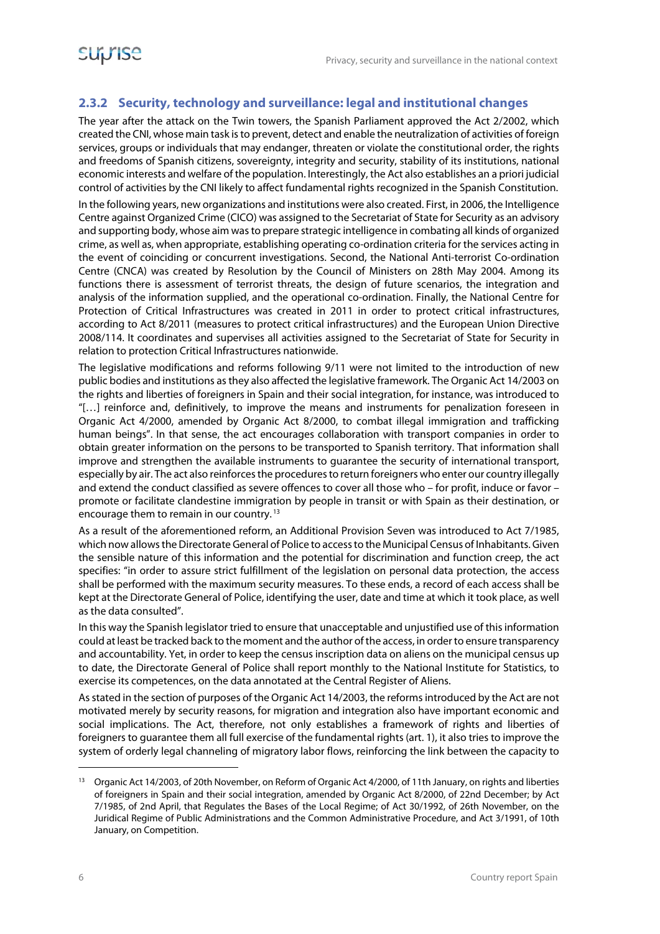#### **2.3.2 Security, technology and surveillance: legal and institutional changes**

The year after the attack on the Twin towers, the Spanish Parliament approved the Act 2/2002, which created the CNI, whose main task is to prevent, detect and enable the neutralization of activities of foreign services, groups or individuals that may endanger, threaten or violate the constitutional order, the rights and freedoms of Spanish citizens, sovereignty, integrity and security, stability of its institutions, national economic interests and welfare of the population. Interestingly, the Act also establishes an a priori judicial control of activities by the CNI likely to affect fundamental rights recognized in the Spanish Constitution.

In the following years, new organizations and institutions were also created. First, in 2006, the Intelligence Centre against Organized Crime (CICO) was assigned to the Secretariat of State for Security as an advisory and supporting body, whose aim was to prepare strategic intelligence in combating all kinds of organized crime, as well as, when appropriate, establishing operating co-ordination criteria for the services acting in the event of coinciding or concurrent investigations. Second, the National Anti-terrorist Co-ordination Centre (CNCA) was created by Resolution by the Council of Ministers on 28th May 2004. Among its functions there is assessment of terrorist threats, the design of future scenarios, the integration and analysis of the information supplied, and the operational co-ordination. Finally, the National Centre for Protection of Critical Infrastructures was created in 2011 in order to protect critical infrastructures, according to Act 8/2011 (measures to protect critical infrastructures) and the European Union Directive 2008/114. It coordinates and supervises all activities assigned to the Secretariat of State for Security in relation to protection Critical Infrastructures nationwide.

The legislative modifications and reforms following 9/11 were not limited to the introduction of new public bodies and institutions as they also affected the legislative framework. The Organic Act 14/2003 on the rights and liberties of foreigners in Spain and their social integration, for instance, was introduced to "[…] reinforce and, definitively, to improve the means and instruments for penalization foreseen in Organic Act 4/2000, amended by Organic Act 8/2000, to combat illegal immigration and trafficking human beings". In that sense, the act encourages collaboration with transport companies in order to obtain greater information on the persons to be transported to Spanish territory. That information shall improve and strengthen the available instruments to guarantee the security of international transport, especially by air. The act also reinforces the procedures to return foreigners who enter our country illegally and extend the conduct classified as severe offences to cover all those who – for profit, induce or favor – promote or facilitate clandestine immigration by people in transit or with Spain as their destination, or encourage them to remain in our country. 13

As a result of the aforementioned reform, an Additional Provision Seven was introduced to Act 7/1985, which now allows the Directorate General of Police to access to the Municipal Census of Inhabitants. Given the sensible nature of this information and the potential for discrimination and function creep, the act specifies: "in order to assure strict fulfillment of the legislation on personal data protection, the access shall be performed with the maximum security measures. To these ends, a record of each access shall be kept at the Directorate General of Police, identifying the user, date and time at which it took place, as well as the data consulted".

In this way the Spanish legislator tried to ensure that unacceptable and unjustified use of this information could at least be tracked back to the moment and the author of the access, in order to ensure transparency and accountability. Yet, in order to keep the census inscription data on aliens on the municipal census up to date, the Directorate General of Police shall report monthly to the National Institute for Statistics, to exercise its competences, on the data annotated at the Central Register of Aliens.

As stated in the section of purposes of the Organic Act 14/2003, the reforms introduced by the Act are not motivated merely by security reasons, for migration and integration also have important economic and social implications. The Act, therefore, not only establishes a framework of rights and liberties of foreigners to guarantee them all full exercise of the fundamental rights (art. 1), it also tries to improve the system of orderly legal channeling of migratory labor flows, reinforcing the link between the capacity to

<sup>&</sup>lt;sup>13</sup> Organic Act 14/2003, of 20th November, on Reform of Organic Act 4/2000, of 11th January, on rights and liberties of foreigners in Spain and their social integration, amended by Organic Act 8/2000, of 22nd December; by Act 7/1985, of 2nd April, that Regulates the Bases of the Local Regime; of Act 30/1992, of 26th November, on the Juridical Regime of Public Administrations and the Common Administrative Procedure, and Act 3/1991, of 10th January, on Competition.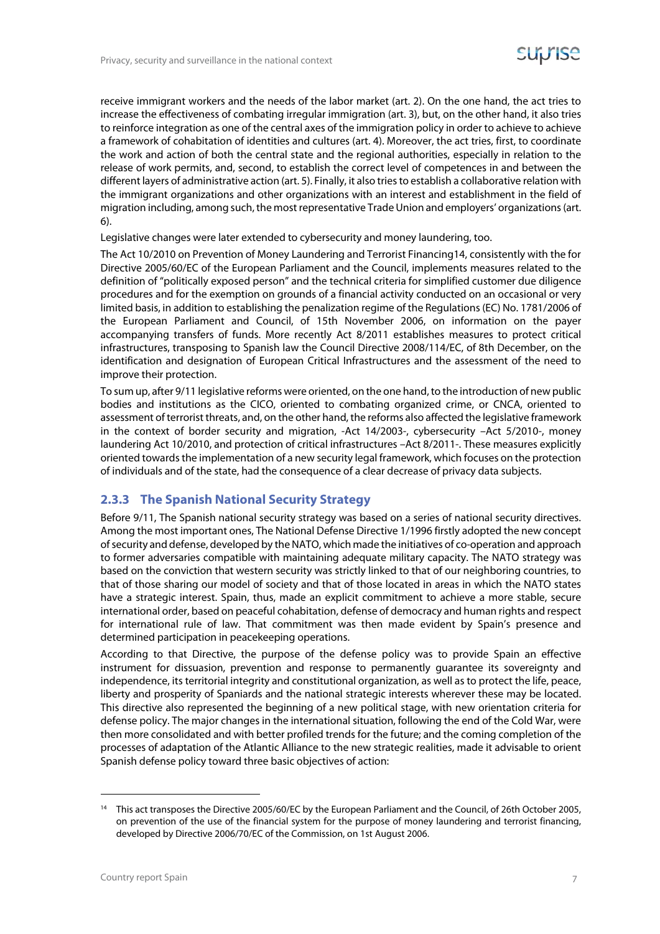receive immigrant workers and the needs of the labor market (art. 2). On the one hand, the act tries to increase the effectiveness of combating irregular immigration (art. 3), but, on the other hand, it also tries to reinforce integration as one of the central axes of the immigration policy in order to achieve to achieve a framework of cohabitation of identities and cultures (art. 4). Moreover, the act tries, first, to coordinate the work and action of both the central state and the regional authorities, especially in relation to the release of work permits, and, second, to establish the correct level of competences in and between the different layers of administrative action (art. 5). Finally, it also tries to establish a collaborative relation with the immigrant organizations and other organizations with an interest and establishment in the field of migration including, among such, the most representative Trade Union and employers' organizations (art. 6).

Legislative changes were later extended to cybersecurity and money laundering, too.

The Act 10/2010 on Prevention of Money Laundering and Terrorist Financing14, consistently with the for Directive 2005/60/EC of the European Parliament and the Council, implements measures related to the definition of "politically exposed person" and the technical criteria for simplified customer due diligence procedures and for the exemption on grounds of a financial activity conducted on an occasional or very limited basis, in addition to establishing the penalization regime of the Regulations (EC) No. 1781/2006 of the European Parliament and Council, of 15th November 2006, on information on the payer accompanying transfers of funds. More recently Act 8/2011 establishes measures to protect critical infrastructures, transposing to Spanish law the Council Directive 2008/114/EC, of 8th December, on the identification and designation of European Critical Infrastructures and the assessment of the need to improve their protection.

To sum up, after 9/11 legislative reforms were oriented, on the one hand, to the introduction of new public bodies and institutions as the CICO, oriented to combating organized crime, or CNCA, oriented to assessment of terrorist threats, and, on the other hand, the reforms also affected the legislative framework in the context of border security and migration, -Act 14/2003-, cybersecurity –Act 5/2010-, money laundering Act 10/2010, and protection of critical infrastructures –Act 8/2011-. These measures explicitly oriented towards the implementation of a new security legal framework, which focuses on the protection of individuals and of the state, had the consequence of a clear decrease of privacy data subjects.

#### **2.3.3 The Spanish National Security Strategy**

Before 9/11, The Spanish national security strategy was based on a series of national security directives. Among the most important ones, The National Defense Directive 1/1996 firstly adopted the new concept of security and defense, developed by the NATO, which made the initiatives of co-operation and approach to former adversaries compatible with maintaining adequate military capacity. The NATO strategy was based on the conviction that western security was strictly linked to that of our neighboring countries, to that of those sharing our model of society and that of those located in areas in which the NATO states have a strategic interest. Spain, thus, made an explicit commitment to achieve a more stable, secure international order, based on peaceful cohabitation, defense of democracy and human rights and respect for international rule of law. That commitment was then made evident by Spain's presence and determined participation in peacekeeping operations.

According to that Directive, the purpose of the defense policy was to provide Spain an effective instrument for dissuasion, prevention and response to permanently guarantee its sovereignty and independence, its territorial integrity and constitutional organization, as well as to protect the life, peace, liberty and prosperity of Spaniards and the national strategic interests wherever these may be located. This directive also represented the beginning of a new political stage, with new orientation criteria for defense policy. The major changes in the international situation, following the end of the Cold War, were then more consolidated and with better profiled trends for the future; and the coming completion of the processes of adaptation of the Atlantic Alliance to the new strategic realities, made it advisable to orient Spanish defense policy toward three basic objectives of action:

<sup>&</sup>lt;sup>14</sup> This act transposes the Directive 2005/60/EC by the European Parliament and the Council, of 26th October 2005, on prevention of the use of the financial system for the purpose of money laundering and terrorist financing, developed by Directive 2006/70/EC of the Commission, on 1st August 2006.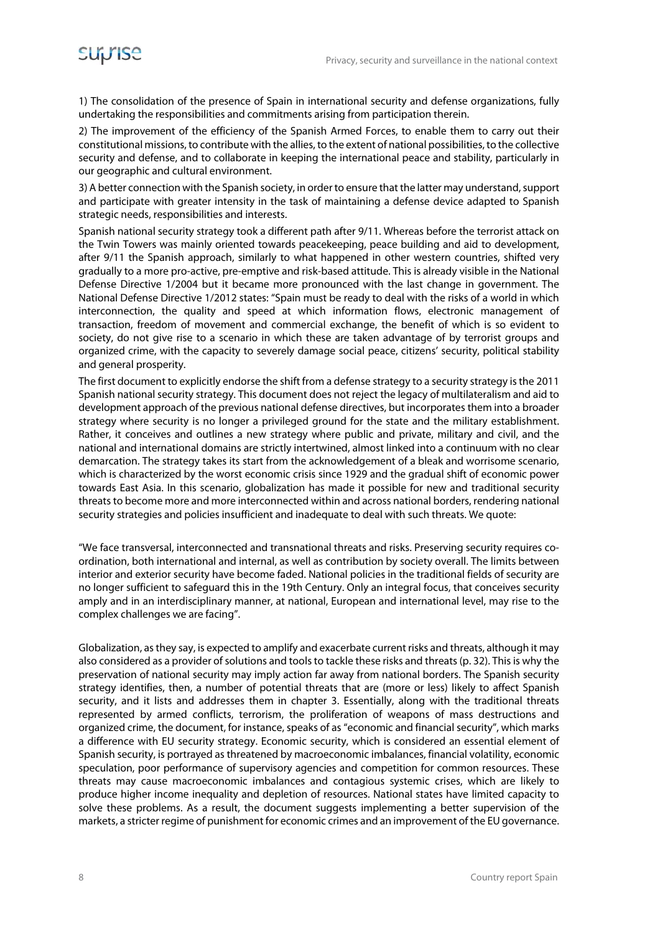1) The consolidation of the presence of Spain in international security and defense organizations, fully undertaking the responsibilities and commitments arising from participation therein.

2) The improvement of the efficiency of the Spanish Armed Forces, to enable them to carry out their constitutional missions, to contribute with the allies, to the extent of national possibilities, to the collective security and defense, and to collaborate in keeping the international peace and stability, particularly in our geographic and cultural environment.

3) A better connection with the Spanish society, in order to ensure that the latter may understand, support and participate with greater intensity in the task of maintaining a defense device adapted to Spanish strategic needs, responsibilities and interests.

Spanish national security strategy took a different path after 9/11. Whereas before the terrorist attack on the Twin Towers was mainly oriented towards peacekeeping, peace building and aid to development, after 9/11 the Spanish approach, similarly to what happened in other western countries, shifted very gradually to a more pro-active, pre-emptive and risk-based attitude. This is already visible in the National Defense Directive 1/2004 but it became more pronounced with the last change in government. The National Defense Directive 1/2012 states: "Spain must be ready to deal with the risks of a world in which interconnection, the quality and speed at which information flows, electronic management of transaction, freedom of movement and commercial exchange, the benefit of which is so evident to society, do not give rise to a scenario in which these are taken advantage of by terrorist groups and organized crime, with the capacity to severely damage social peace, citizens' security, political stability and general prosperity.

The first document to explicitly endorse the shift from a defense strategy to a security strategy is the 2011 Spanish national security strategy. This document does not reject the legacy of multilateralism and aid to development approach of the previous national defense directives, but incorporates them into a broader strategy where security is no longer a privileged ground for the state and the military establishment. Rather, it conceives and outlines a new strategy where public and private, military and civil, and the national and international domains are strictly intertwined, almost linked into a continuum with no clear demarcation. The strategy takes its start from the acknowledgement of a bleak and worrisome scenario, which is characterized by the worst economic crisis since 1929 and the gradual shift of economic power towards East Asia. In this scenario, globalization has made it possible for new and traditional security threats to become more and more interconnected within and across national borders, rendering national security strategies and policies insufficient and inadequate to deal with such threats. We quote:

"We face transversal, interconnected and transnational threats and risks. Preserving security requires coordination, both international and internal, as well as contribution by society overall. The limits between interior and exterior security have become faded. National policies in the traditional fields of security are no longer sufficient to safeguard this in the 19th Century. Only an integral focus, that conceives security amply and in an interdisciplinary manner, at national, European and international level, may rise to the complex challenges we are facing".

Globalization, as they say, is expected to amplify and exacerbate current risks and threats, although it may also considered as a provider of solutions and tools to tackle these risks and threats (p. 32). This is why the preservation of national security may imply action far away from national borders. The Spanish security strategy identifies, then, a number of potential threats that are (more or less) likely to affect Spanish security, and it lists and addresses them in chapter 3. Essentially, along with the traditional threats represented by armed conflicts, terrorism, the proliferation of weapons of mass destructions and organized crime, the document, for instance, speaks of as "economic and financial security", which marks a difference with EU security strategy. Economic security, which is considered an essential element of Spanish security, is portrayed as threatened by macroeconomic imbalances, financial volatility, economic speculation, poor performance of supervisory agencies and competition for common resources. These threats may cause macroeconomic imbalances and contagious systemic crises, which are likely to produce higher income inequality and depletion of resources. National states have limited capacity to solve these problems. As a result, the document suggests implementing a better supervision of the markets, a stricter regime of punishment for economic crimes and an improvement of the EU governance.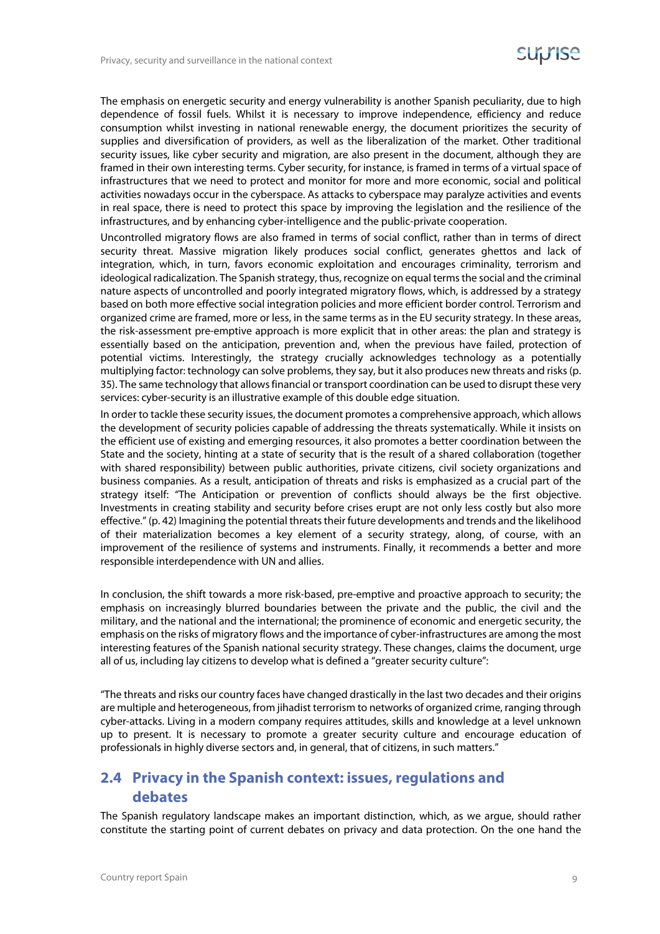The emphasis on energetic security and energy vulnerability is another Spanish peculiarity, due to high dependence of fossil fuels. Whilst it is necessary to improve independence, efficiency and reduce consumption whilst investing in national renewable energy, the document prioritizes the security of supplies and diversification of providers, as well as the liberalization of the market. Other traditional security issues, like cyber security and migration, are also present in the document, although they are framed in their own interesting terms. Cyber security, for instance, is framed in terms of a virtual space of infrastructures that we need to protect and monitor for more and more economic, social and political activities nowadays occur in the cyberspace. As attacks to cyberspace may paralyze activities and events in real space, there is need to protect this space by improving the legislation and the resilience of the infrastructures, and by enhancing cyber-intelligence and the public-private cooperation.

Uncontrolled migratory flows are also framed in terms of social conflict, rather than in terms of direct security threat. Massive migration likely produces social conflict, generates ghettos and lack of integration, which, in turn, favors economic exploitation and encourages criminality, terrorism and ideological radicalization. The Spanish strategy, thus, recognize on equal terms the social and the criminal nature aspects of uncontrolled and poorly integrated migratory flows, which, is addressed by a strategy based on both more effective social integration policies and more efficient border control. Terrorism and organized crime are framed, more or less, in the same terms as in the EU security strategy. In these areas, the risk-assessment pre-emptive approach is more explicit that in other areas: the plan and strategy is essentially based on the anticipation, prevention and, when the previous have failed, protection of potential victims. Interestingly, the strategy crucially acknowledges technology as a potentially multiplying factor: technology can solve problems, they say, but it also produces new threats and risks (p. 35). The same technology that allows financial or transport coordination can be used to disrupt these very services: cyber-security is an illustrative example of this double edge situation.

In order to tackle these security issues, the document promotes a comprehensive approach, which allows the development of security policies capable of addressing the threats systematically. While it insists on the efficient use of existing and emerging resources, it also promotes a better coordination between the State and the society, hinting at a state of security that is the result of a shared collaboration (together with shared responsibility) between public authorities, private citizens, civil society organizations and business companies. As a result, anticipation of threats and risks is emphasized as a crucial part of the strategy itself: "The Anticipation or prevention of conflicts should always be the first objective. Investments in creating stability and security before crises erupt are not only less costly but also more effective." (p. 42) Imagining the potential threats their future developments and trends and the likelihood of their materialization becomes a key element of a security strategy, along, of course, with an improvement of the resilience of systems and instruments. Finally, it recommends a better and more responsible interdependence with UN and allies.

In conclusion, the shift towards a more risk-based, pre-emptive and proactive approach to security; the emphasis on increasingly blurred boundaries between the private and the public, the civil and the military, and the national and the international; the prominence of economic and energetic security, the emphasis on the risks of migratory flows and the importance of cyber-infrastructures are among the most interesting features of the Spanish national security strategy. These changes, claims the document, urge all of us, including lay citizens to develop what is defined a "greater security culture":

"The threats and risks our country faces have changed drastically in the last two decades and their origins are multiple and heterogeneous, from jihadist terrorism to networks of organized crime, ranging through cyber-attacks. Living in a modern company requires attitudes, skills and knowledge at a level unknown up to present. It is necessary to promote a greater security culture and encourage education of professionals in highly diverse sectors and, in general, that of citizens, in such matters."

#### **2.4 Privacy in the Spanish context: issues, regulations and debates**

The Spanish regulatory landscape makes an important distinction, which, as we argue, should rather constitute the starting point of current debates on privacy and data protection. On the one hand the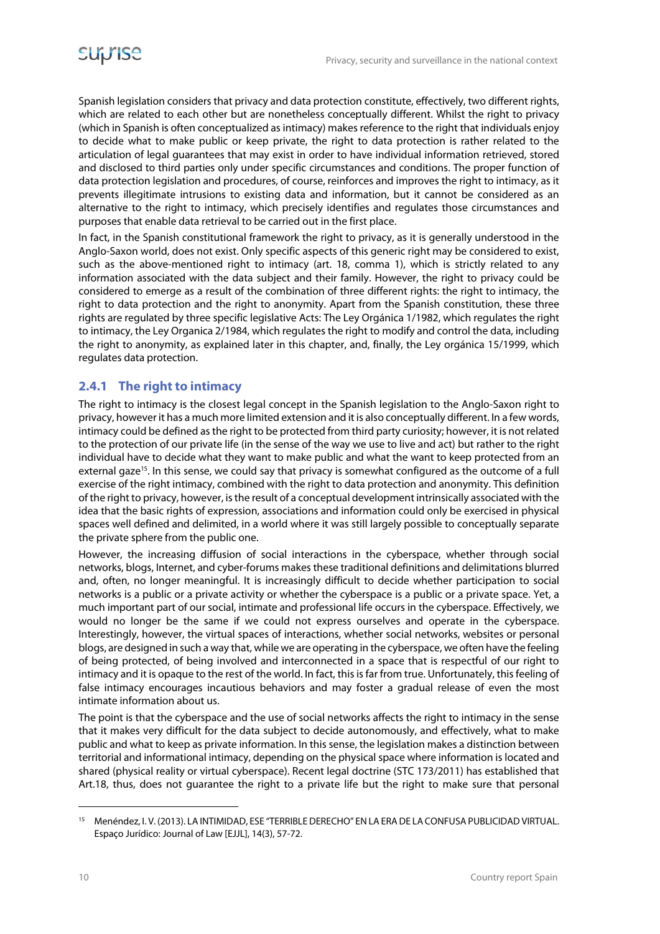Spanish legislation considers that privacy and data protection constitute, effectively, two different rights, which are related to each other but are nonetheless conceptually different. Whilst the right to privacy (which in Spanish is often conceptualized as intimacy) makes reference to the right that individuals enjoy to decide what to make public or keep private, the right to data protection is rather related to the articulation of legal guarantees that may exist in order to have individual information retrieved, stored and disclosed to third parties only under specific circumstances and conditions. The proper function of data protection legislation and procedures, of course, reinforces and improves the right to intimacy, as it prevents illegitimate intrusions to existing data and information, but it cannot be considered as an alternative to the right to intimacy, which precisely identifies and regulates those circumstances and purposes that enable data retrieval to be carried out in the first place.

In fact, in the Spanish constitutional framework the right to privacy, as it is generally understood in the Anglo-Saxon world, does not exist. Only specific aspects of this generic right may be considered to exist, such as the above-mentioned right to intimacy (art. 18, comma 1), which is strictly related to any information associated with the data subject and their family. However, the right to privacy could be considered to emerge as a result of the combination of three different rights: the right to intimacy, the right to data protection and the right to anonymity. Apart from the Spanish constitution, these three rights are regulated by three specific legislative Acts: The Ley Orgánica 1/1982, which regulates the right to intimacy, the Ley Organica 2/1984, which regulates the right to modify and control the data, including the right to anonymity, as explained later in this chapter, and, finally, the Ley orgánica 15/1999, which regulates data protection.

#### **2.4.1 The right to intimacy**

The right to intimacy is the closest legal concept in the Spanish legislation to the Anglo-Saxon right to privacy, however it has a much more limited extension and it is also conceptually different. In a few words, intimacy could be defined as the right to be protected from third party curiosity; however, it is not related to the protection of our private life (in the sense of the way we use to live and act) but rather to the right individual have to decide what they want to make public and what the want to keep protected from an external gaze<sup>15</sup>. In this sense, we could say that privacy is somewhat configured as the outcome of a full exercise of the right intimacy, combined with the right to data protection and anonymity. This definition of the right to privacy, however, is the result of a conceptual development intrinsically associated with the idea that the basic rights of expression, associations and information could only be exercised in physical spaces well defined and delimited, in a world where it was still largely possible to conceptually separate the private sphere from the public one.

However, the increasing diffusion of social interactions in the cyberspace, whether through social networks, blogs, Internet, and cyber-forums makes these traditional definitions and delimitations blurred and, often, no longer meaningful. It is increasingly difficult to decide whether participation to social networks is a public or a private activity or whether the cyberspace is a public or a private space. Yet, a much important part of our social, intimate and professional life occurs in the cyberspace. Effectively, we would no longer be the same if we could not express ourselves and operate in the cyberspace. Interestingly, however, the virtual spaces of interactions, whether social networks, websites or personal blogs, are designed in such a way that, while we are operating in the cyberspace, we often have the feeling of being protected, of being involved and interconnected in a space that is respectful of our right to intimacy and it is opaque to the rest of the world. In fact, this is far from true. Unfortunately, this feeling of false intimacy encourages incautious behaviors and may foster a gradual release of even the most intimate information about us.

The point is that the cyberspace and the use of social networks affects the right to intimacy in the sense that it makes very difficult for the data subject to decide autonomously, and effectively, what to make public and what to keep as private information. In this sense, the legislation makes a distinction between territorial and informational intimacy, depending on the physical space where information is located and shared (physical reality or virtual cyberspace). Recent legal doctrine (STC 173/2011) has established that Art.18, thus, does not guarantee the right to a private life but the right to make sure that personal

<sup>15</sup> Menéndez, I. V. (2013). LA INTIMIDAD, ESE "TERRIBLE DERECHO" EN LA ERA DE LA CONFUSA PUBLICIDAD VIRTUAL. Espaço Jurídico: Journal of Law [EJJL], 14(3), 57-72.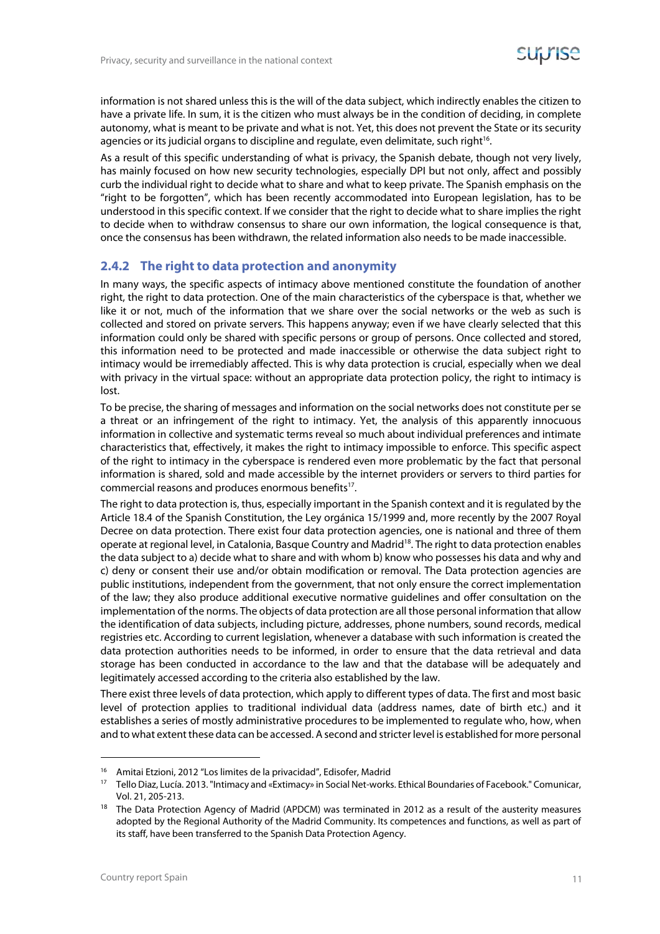information is not shared unless this is the will of the data subject, which indirectly enables the citizen to have a private life. In sum, it is the citizen who must always be in the condition of deciding, in complete autonomy, what is meant to be private and what is not. Yet, this does not prevent the State or its security agencies or its judicial organs to discipline and regulate, even delimitate, such right<sup>16</sup>.

As a result of this specific understanding of what is privacy, the Spanish debate, though not very lively, has mainly focused on how new security technologies, especially DPI but not only, affect and possibly curb the individual right to decide what to share and what to keep private. The Spanish emphasis on the "right to be forgotten", which has been recently accommodated into European legislation, has to be understood in this specific context. If we consider that the right to decide what to share implies the right to decide when to withdraw consensus to share our own information, the logical consequence is that, once the consensus has been withdrawn, the related information also needs to be made inaccessible.

#### **2.4.2 The right to data protection and anonymity**

In many ways, the specific aspects of intimacy above mentioned constitute the foundation of another right, the right to data protection. One of the main characteristics of the cyberspace is that, whether we like it or not, much of the information that we share over the social networks or the web as such is collected and stored on private servers. This happens anyway; even if we have clearly selected that this information could only be shared with specific persons or group of persons. Once collected and stored, this information need to be protected and made inaccessible or otherwise the data subject right to intimacy would be irremediably affected. This is why data protection is crucial, especially when we deal with privacy in the virtual space: without an appropriate data protection policy, the right to intimacy is lost.

To be precise, the sharing of messages and information on the social networks does not constitute per se a threat or an infringement of the right to intimacy. Yet, the analysis of this apparently innocuous information in collective and systematic terms reveal so much about individual preferences and intimate characteristics that, effectively, it makes the right to intimacy impossible to enforce. This specific aspect of the right to intimacy in the cyberspace is rendered even more problematic by the fact that personal information is shared, sold and made accessible by the internet providers or servers to third parties for commercial reasons and produces enormous benefits<sup>17</sup>.

The right to data protection is, thus, especially important in the Spanish context and it is regulated by the Article 18.4 of the Spanish Constitution, the Ley orgánica 15/1999 and, more recently by the 2007 Royal Decree on data protection. There exist four data protection agencies, one is national and three of them operate at regional level, in Catalonia, Basque Country and Madrid<sup>18</sup>. The right to data protection enables the data subject to a) decide what to share and with whom b) know who possesses his data and why and c) deny or consent their use and/or obtain modification or removal. The Data protection agencies are public institutions, independent from the government, that not only ensure the correct implementation of the law; they also produce additional executive normative guidelines and offer consultation on the implementation of the norms. The objects of data protection are all those personal information that allow the identification of data subjects, including picture, addresses, phone numbers, sound records, medical registries etc. According to current legislation, whenever a database with such information is created the data protection authorities needs to be informed, in order to ensure that the data retrieval and data storage has been conducted in accordance to the law and that the database will be adequately and legitimately accessed according to the criteria also established by the law.

There exist three levels of data protection, which apply to different types of data. The first and most basic level of protection applies to traditional individual data (address names, date of birth etc.) and it establishes a series of mostly administrative procedures to be implemented to regulate who, how, when and to what extent these data can be accessed. A second and stricter level is established for more personal

<sup>&</sup>lt;sup>16</sup> Amitai Etzioni, 2012 "Los limites de la privacidad", Edisofer, Madrid<br><sup>17</sup> Tello Diaz, Lucía. 2013. "Intimacy and «Extimacy» in Social Net-works. Ethical Boundaries of Facebook." Comunicar, Vol. 21, 205-213. 18 The Data Protection Agency of Madrid (APDCM) was terminated in 2012 as a result of the austerity measures

adopted by the Regional Authority of the Madrid Community. Its competences and functions, as well as part of its staff, have been transferred to the Spanish Data Protection Agency.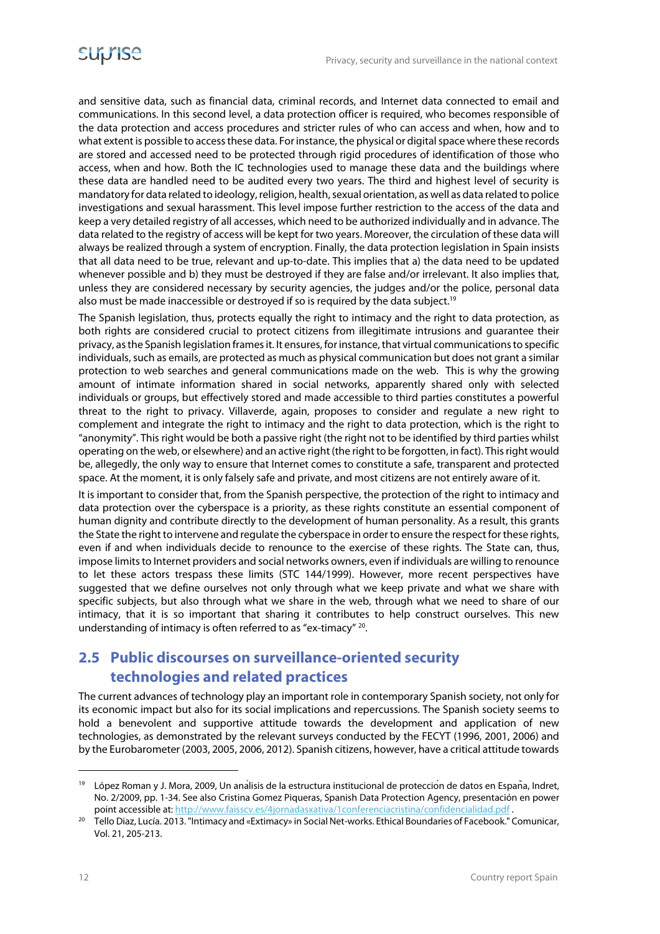and sensitive data, such as financial data, criminal records, and Internet data connected to email and communications. In this second level, a data protection officer is required, who becomes responsible of the data protection and access procedures and stricter rules of who can access and when, how and to what extent is possible to access these data. For instance, the physical or digital space where these records are stored and accessed need to be protected through rigid procedures of identification of those who access, when and how. Both the IC technologies used to manage these data and the buildings where these data are handled need to be audited every two years. The third and highest level of security is mandatory for data related to ideology, religion, health, sexual orientation, as well as data related to police investigations and sexual harassment. This level impose further restriction to the access of the data and keep a very detailed registry of all accesses, which need to be authorized individually and in advance. The data related to the registry of access will be kept for two years. Moreover, the circulation of these data will always be realized through a system of encryption. Finally, the data protection legislation in Spain insists that all data need to be true, relevant and up-to-date. This implies that a) the data need to be updated whenever possible and b) they must be destroyed if they are false and/or irrelevant. It also implies that, unless they are considered necessary by security agencies, the judges and/or the police, personal data also must be made inaccessible or destroyed if so is required by the data subject.19

The Spanish legislation, thus, protects equally the right to intimacy and the right to data protection, as both rights are considered crucial to protect citizens from illegitimate intrusions and guarantee their privacy, as the Spanish legislation frames it. It ensures, for instance, that virtual communications to specific individuals, such as emails, are protected as much as physical communication but does not grant a similar protection to web searches and general communications made on the web. This is why the growing amount of intimate information shared in social networks, apparently shared only with selected individuals or groups, but effectively stored and made accessible to third parties constitutes a powerful threat to the right to privacy. Villaverde, again, proposes to consider and regulate a new right to complement and integrate the right to intimacy and the right to data protection, which is the right to "anonymity". This right would be both a passive right (the right not to be identified by third parties whilst operating on the web, or elsewhere) and an active right (the right to be forgotten, in fact). This right would be, allegedly, the only way to ensure that Internet comes to constitute a safe, transparent and protected space. At the moment, it is only falsely safe and private, and most citizens are not entirely aware of it.

It is important to consider that, from the Spanish perspective, the protection of the right to intimacy and data protection over the cyberspace is a priority, as these rights constitute an essential component of human dignity and contribute directly to the development of human personality. As a result, this grants the State the right to intervene and regulate the cyberspace in order to ensure the respect for these rights, even if and when individuals decide to renounce to the exercise of these rights. The State can, thus, impose limits to Internet providers and social networks owners, even if individuals are willing to renounce to let these actors trespass these limits (STC 144/1999). However, more recent perspectives have suggested that we define ourselves not only through what we keep private and what we share with specific subjects, but also through what we share in the web, through what we need to share of our intimacy, that it is so important that sharing it contributes to help construct ourselves. This new understanding of intimacy is often referred to as "ex-timacy" 20.

#### **2.5 Public discourses on surveillance-oriented security technologies and related practices**

The current advances of technology play an important role in contemporary Spanish society, not only for its economic impact but also for its social implications and repercussions. The Spanish society seems to hold a benevolent and supportive attitude towards the development and application of new technologies, as demonstrated by the relevant surveys conducted by the FECYT (1996, 2001, 2006) and by the Eurobarometer (2003, 2005, 2006, 2012). Spanish citizens, however, have a critical attitude towards

<sup>&</sup>lt;sup>19</sup> López Roman y J. Mora, 2009, Un ana<sup>í</sup>lisis de la estructura institucional de protección de datos en España, Indret, No. 2/2009, pp. 1-34. See also Cristina Gomez Piqueras, Spanish Data Protection Agency, presentación en power

point accessible at: http://www.faisscv.es/4jornadasxativa/1conferenciacristina/confidencialidad.pdf .<br><sup>20</sup> Tello Diaz, Lucía. 2013. "Intimacy and «Extimacy» in Social Net-works. Ethical Boundaries of Facebook." Comunicar, Vol. 21, 205-213.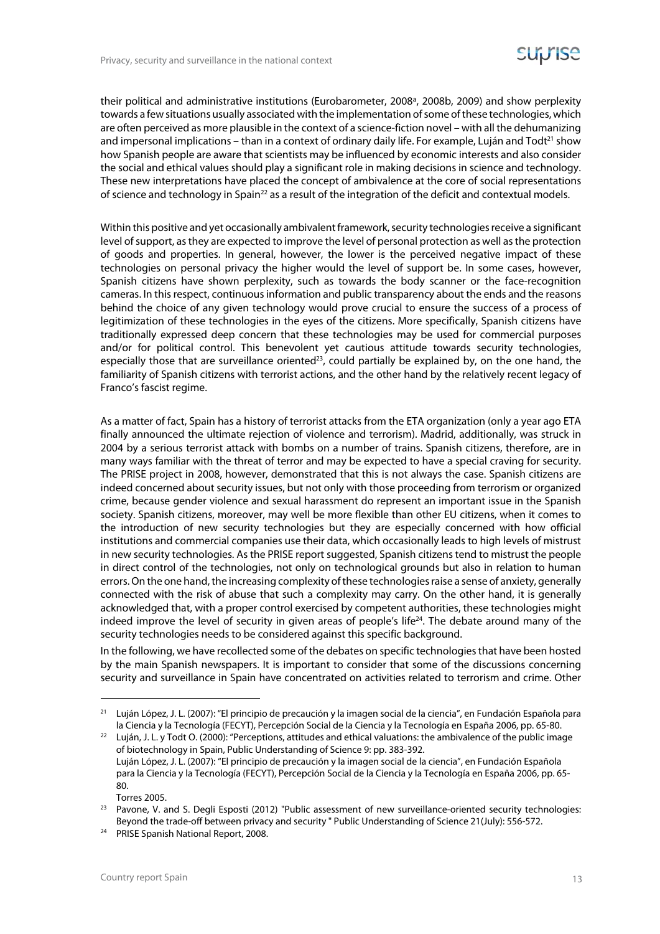their political and administrative institutions (Eurobarometer, 2008ª, 2008b, 2009) and show perplexity towards a few situations usually associated with the implementation of some of these technologies, which are often perceived as more plausible in the context of a science-fiction novel – with all the dehumanizing and impersonal implications – than in a context of ordinary daily life. For example, Luján and Todt<sup>21</sup> show how Spanish people are aware that scientists may be influenced by economic interests and also consider the social and ethical values should play a significant role in making decisions in science and technology. These new interpretations have placed the concept of ambivalence at the core of social representations of science and technology in Spain<sup>22</sup> as a result of the integration of the deficit and contextual models.

Within this positive and yet occasionally ambivalent framework, security technologies receive a significant level of support, as they are expected to improve the level of personal protection as well as the protection of goods and properties. In general, however, the lower is the perceived negative impact of these technologies on personal privacy the higher would the level of support be. In some cases, however, Spanish citizens have shown perplexity, such as towards the body scanner or the face-recognition cameras. In this respect, continuous information and public transparency about the ends and the reasons behind the choice of any given technology would prove crucial to ensure the success of a process of legitimization of these technologies in the eyes of the citizens. More specifically, Spanish citizens have traditionally expressed deep concern that these technologies may be used for commercial purposes and/or for political control. This benevolent yet cautious attitude towards security technologies, especially those that are surveillance oriented<sup>23</sup>, could partially be explained by, on the one hand, the familiarity of Spanish citizens with terrorist actions, and the other hand by the relatively recent legacy of Franco's fascist regime.

As a matter of fact, Spain has a history of terrorist attacks from the ETA organization (only a year ago ETA finally announced the ultimate rejection of violence and terrorism). Madrid, additionally, was struck in 2004 by a serious terrorist attack with bombs on a number of trains. Spanish citizens, therefore, are in many ways familiar with the threat of terror and may be expected to have a special craving for security. The PRISE project in 2008, however, demonstrated that this is not always the case. Spanish citizens are indeed concerned about security issues, but not only with those proceeding from terrorism or organized crime, because gender violence and sexual harassment do represent an important issue in the Spanish society. Spanish citizens, moreover, may well be more flexible than other EU citizens, when it comes to the introduction of new security technologies but they are especially concerned with how official institutions and commercial companies use their data, which occasionally leads to high levels of mistrust in new security technologies. As the PRISE report suggested, Spanish citizens tend to mistrust the people in direct control of the technologies, not only on technological grounds but also in relation to human errors. On the one hand, the increasing complexity of these technologies raise a sense of anxiety, generally connected with the risk of abuse that such a complexity may carry. On the other hand, it is generally acknowledged that, with a proper control exercised by competent authorities, these technologies might indeed improve the level of security in given areas of people's life<sup>24</sup>. The debate around many of the security technologies needs to be considered against this specific background.

In the following, we have recollected some of the debates on specific technologies that have been hosted by the main Spanish newspapers. It is important to consider that some of the discussions concerning security and surveillance in Spain have concentrated on activities related to terrorism and crime. Other

<sup>&</sup>lt;sup>21</sup> Luján López, J. L. (2007): "El principio de precaución y la imagen social de la ciencia", en Fundación Española para la Ciencia y la Tecnología (FECYT), Percepción Social de la Ciencia y la Tecnología en España 2006, pp. 65-80.<br><sup>22</sup> Luián, J. L. y Todt O. (2000): "Perceptions, attitudes and ethical valuations: the ambivalence of the publ

of biotechnology in Spain, Public Understanding of Science 9: pp. 383-392. Luján López, J. L. (2007): "El principio de precaución y la imagen social de la ciencia", en Fundación Española para la Ciencia y la Tecnología (FECYT), Percepción Social de la Ciencia y la Tecnología en España 2006, pp. 65- 80.

Torres 2005.<br><sup>23</sup> Pavone, V. and S. Degli Esposti (2012) "Public assessment of new surveillance-oriented security technologies: Beyond the trade-off between privacy and security " Public Understanding of Science 21(July): 556-572. 24 PRISE Spanish National Report, 2008.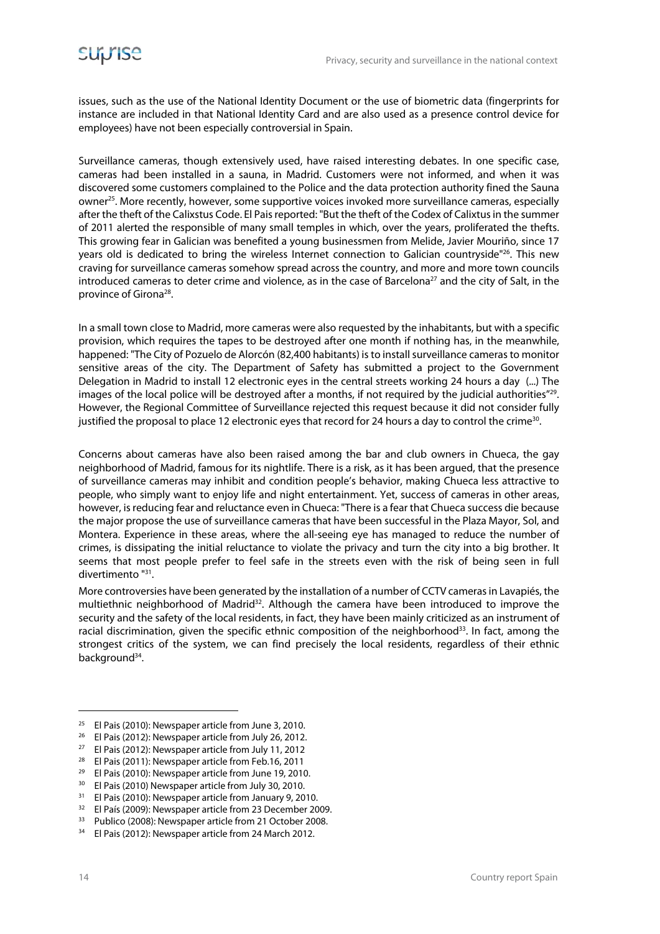issues, such as the use of the National Identity Document or the use of biometric data (fingerprints for instance are included in that National Identity Card and are also used as a presence control device for employees) have not been especially controversial in Spain.

Surveillance cameras, though extensively used, have raised interesting debates. In one specific case, cameras had been installed in a sauna, in Madrid. Customers were not informed, and when it was discovered some customers complained to the Police and the data protection authority fined the Sauna owner25. More recently, however, some supportive voices invoked more surveillance cameras, especially after the theft of the Calixstus Code. El Pais reported: "But the theft of the Codex of Calixtus in the summer of 2011 alerted the responsible of many small temples in which, over the years, proliferated the thefts. This growing fear in Galician was benefited a young businessmen from Melide, Javier Mouriño, since 17 years old is dedicated to bring the wireless Internet connection to Galician countryside<sup>"26</sup>. This new craving for surveillance cameras somehow spread across the country, and more and more town councils introduced cameras to deter crime and violence, as in the case of Barcelona<sup>27</sup> and the city of Salt, in the province of Girona28.

In a small town close to Madrid, more cameras were also requested by the inhabitants, but with a specific provision, which requires the tapes to be destroyed after one month if nothing has, in the meanwhile, happened: "The City of Pozuelo de Alorcón (82,400 habitants) is to install surveillance cameras to monitor sensitive areas of the city. The Department of Safety has submitted a project to the Government Delegation in Madrid to install 12 electronic eyes in the central streets working 24 hours a day (...) The images of the local police will be destroyed after a months, if not required by the judicial authorities"<sup>29</sup>. However, the Regional Committee of Surveillance rejected this request because it did not consider fully justified the proposal to place 12 electronic eyes that record for 24 hours a day to control the crime<sup>30</sup>.

Concerns about cameras have also been raised among the bar and club owners in Chueca, the gay neighborhood of Madrid, famous for its nightlife. There is a risk, as it has been argued, that the presence of surveillance cameras may inhibit and condition people's behavior, making Chueca less attractive to people, who simply want to enjoy life and night entertainment. Yet, success of cameras in other areas, however, is reducing fear and reluctance even in Chueca: "There is a fear that Chueca success die because the major propose the use of surveillance cameras that have been successful in the Plaza Mayor, Sol, and Montera. Experience in these areas, where the all-seeing eye has managed to reduce the number of crimes, is dissipating the initial reluctance to violate the privacy and turn the city into a big brother. It seems that most people prefer to feel safe in the streets even with the risk of being seen in full divertimento "31.

More controversies have been generated by the installation of a number of CCTV cameras in Lavapiés, the multiethnic neighborhood of Madrid<sup>32</sup>. Although the camera have been introduced to improve the security and the safety of the local residents, in fact, they have been mainly criticized as an instrument of racial discrimination, given the specific ethnic composition of the neighborhood $33$ . In fact, among the strongest critics of the system, we can find precisely the local residents, regardless of their ethnic background<sup>34</sup>.

**.** 

<sup>&</sup>lt;sup>25</sup> El Pais (2010): Newspaper article from June 3, 2010.

<sup>&</sup>lt;sup>26</sup> El Pais (2012): Newspaper article from July 26, 2012.

<sup>27</sup> El Pais (2012): Newspaper article from July 11, 2012

<sup>28</sup> El Pais (2011): Newspaper article from Feb.16, 2011

<sup>29</sup> El Pais (2010): Newspaper article from June 19, 2010.

<sup>&</sup>lt;sup>30</sup> El Pais (2010) Newspaper article from July 30, 2010.<br><sup>31</sup> El Pais (2010): Newspaper article from January 8, 201

<sup>31</sup> El Pais (2010): Newspaper article from January 9, 2010.

<sup>32</sup> El País (2009): Newspaper article from 23 December 2009.

<sup>33</sup> Publico (2008): Newspaper article from 21 October 2008.

<sup>34</sup> El Pais (2012): Newspaper article from 24 March 2012.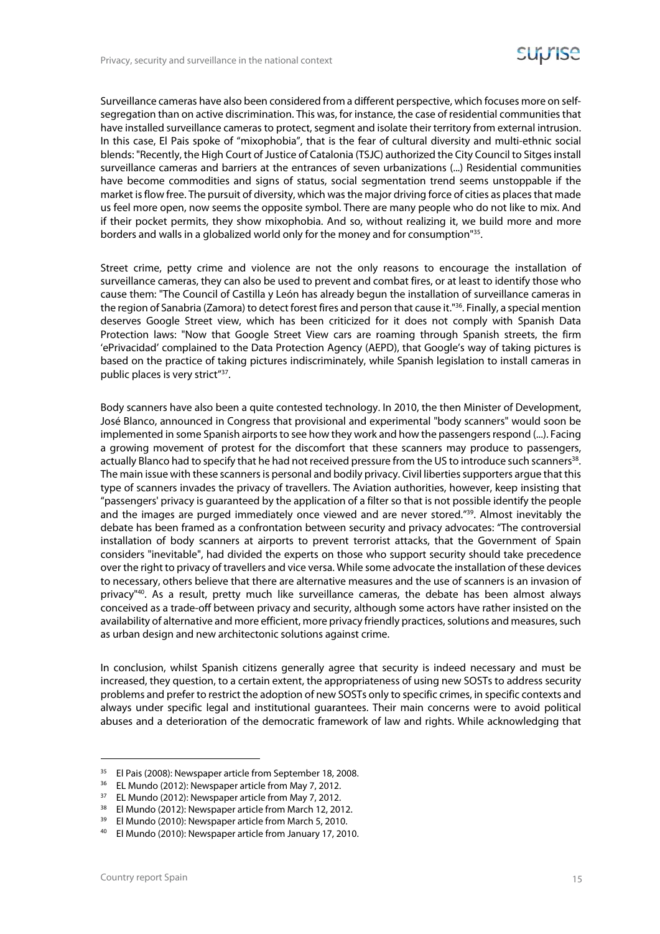Surveillance cameras have also been considered from a different perspective, which focuses more on selfsegregation than on active discrimination. This was, for instance, the case of residential communities that have installed surveillance cameras to protect, segment and isolate their territory from external intrusion. In this case, El Pais spoke of "mixophobia", that is the fear of cultural diversity and multi-ethnic social blends: "Recently, the High Court of Justice of Catalonia (TSJC) authorized the City Council to Sitges install surveillance cameras and barriers at the entrances of seven urbanizations (...) Residential communities have become commodities and signs of status, social segmentation trend seems unstoppable if the market is flow free. The pursuit of diversity, which was the major driving force of cities as places that made us feel more open, now seems the opposite symbol. There are many people who do not like to mix. And if their pocket permits, they show mixophobia. And so, without realizing it, we build more and more borders and walls in a globalized world only for the money and for consumption"35.

Street crime, petty crime and violence are not the only reasons to encourage the installation of surveillance cameras, they can also be used to prevent and combat fires, or at least to identify those who cause them: "The Council of Castilla y León has already begun the installation of surveillance cameras in the region of Sanabria (Zamora) to detect forest fires and person that cause it."36. Finally, a special mention deserves Google Street view, which has been criticized for it does not comply with Spanish Data Protection laws: "Now that Google Street View cars are roaming through Spanish streets, the firm 'ePrivacidad' complained to the Data Protection Agency (AEPD), that Google's way of taking pictures is based on the practice of taking pictures indiscriminately, while Spanish legislation to install cameras in public places is very strict"37.

Body scanners have also been a quite contested technology. In 2010, the then Minister of Development, José Blanco, announced in Congress that provisional and experimental "body scanners" would soon be implemented in some Spanish airports to see how they work and how the passengers respond (...). Facing a growing movement of protest for the discomfort that these scanners may produce to passengers, actually Blanco had to specify that he had not received pressure from the US to introduce such scanners<sup>38</sup>. The main issue with these scanners is personal and bodily privacy. Civil liberties supporters argue that this type of scanners invades the privacy of travellers. The Aviation authorities, however, keep insisting that "passengers' privacy is guaranteed by the application of a filter so that is not possible identify the people and the images are purged immediately once viewed and are never stored."39. Almost inevitably the debate has been framed as a confrontation between security and privacy advocates: "The controversial installation of body scanners at airports to prevent terrorist attacks, that the Government of Spain considers "inevitable", had divided the experts on those who support security should take precedence over the right to privacy of travellers and vice versa. While some advocate the installation of these devices to necessary, others believe that there are alternative measures and the use of scanners is an invasion of privacy"40. As a result, pretty much like surveillance cameras, the debate has been almost always conceived as a trade-off between privacy and security, although some actors have rather insisted on the availability of alternative and more efficient, more privacy friendly practices, solutions and measures, such as urban design and new architectonic solutions against crime.

In conclusion, whilst Spanish citizens generally agree that security is indeed necessary and must be increased, they question, to a certain extent, the appropriateness of using new SOSTs to address security problems and prefer to restrict the adoption of new SOSTs only to specific crimes, in specific contexts and always under specific legal and institutional guarantees. Their main concerns were to avoid political abuses and a deterioration of the democratic framework of law and rights. While acknowledging that

<sup>&</sup>lt;sup>35</sup> El Pais (2008): Newspaper article from September 18, 2008.

<sup>&</sup>lt;sup>36</sup> EL Mundo (2012): Newspaper article from May 7, 2012.

<sup>&</sup>lt;sup>37</sup> EL Mundo (2012): Newspaper article from May 7, 2012.<br><sup>38</sup> El Mundo (2012): Newspaper article from March 12, 201

<sup>&</sup>lt;sup>38</sup> El Mundo (2012): Newspaper article from March 12, 2012.<br><sup>39</sup> El Mundo (2010): Nowspaper article from March 5, 2010.

El Mundo (2010): Newspaper article from March 5, 2010.

<sup>40</sup> El Mundo (2010): Newspaper article from January 17, 2010.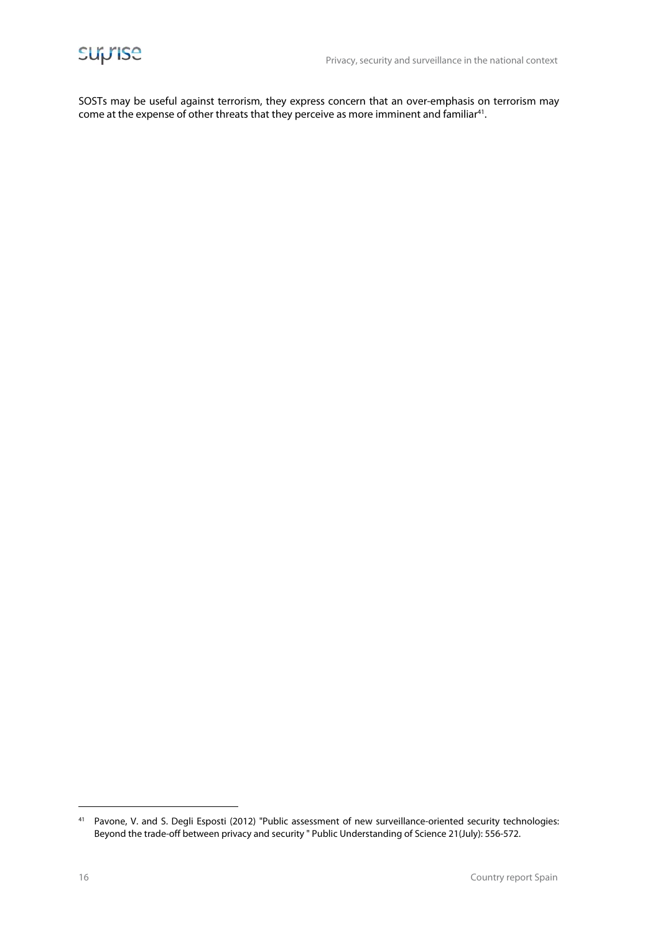

SOSTs may be useful against terrorism, they express concern that an over-emphasis on terrorism may come at the expense of other threats that they perceive as more imminent and familiar<sup>41</sup>.

<sup>41</sup> Pavone, V. and S. Degli Esposti (2012) "Public assessment of new surveillance-oriented security technologies: Beyond the trade-off between privacy and security " Public Understanding of Science 21(July): 556-572.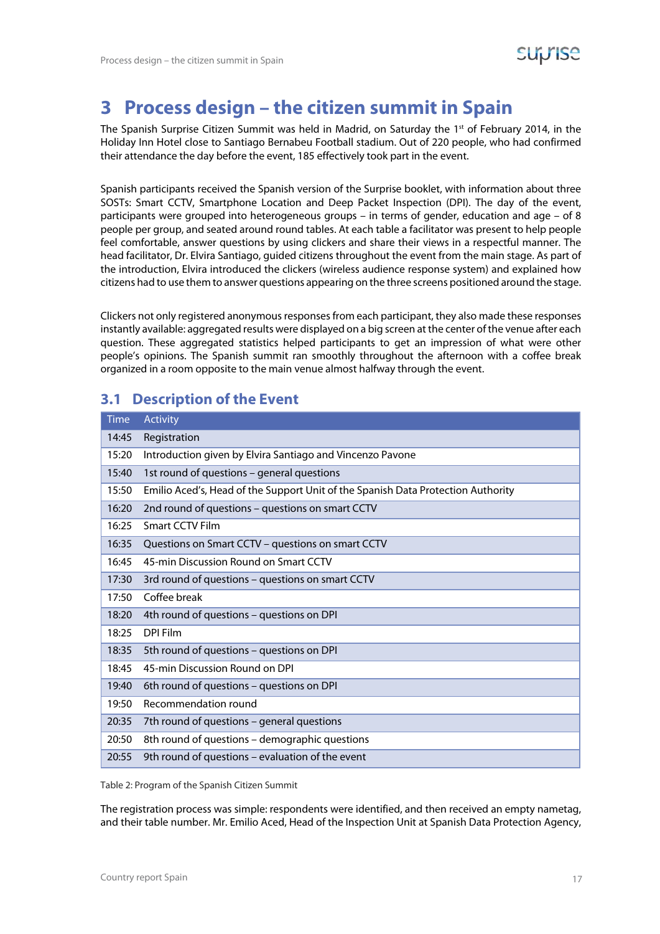# **3 Process design – the citizen summit in Spain**

The Spanish Surprise Citizen Summit was held in Madrid, on Saturday the 1st of February 2014, in the Holiday Inn Hotel close to Santiago Bernabeu Football stadium. Out of 220 people, who had confirmed their attendance the day before the event, 185 effectively took part in the event.

Spanish participants received the Spanish version of the Surprise booklet, with information about three SOSTs: Smart CCTV, Smartphone Location and Deep Packet Inspection (DPI). The day of the event, participants were grouped into heterogeneous groups – in terms of gender, education and age – of 8 people per group, and seated around round tables. At each table a facilitator was present to help people feel comfortable, answer questions by using clickers and share their views in a respectful manner. The head facilitator, Dr. Elvira Santiago, guided citizens throughout the event from the main stage. As part of the introduction, Elvira introduced the clickers (wireless audience response system) and explained how citizens had to use them to answer questions appearing on the three screens positioned around the stage.

Clickers not only registered anonymous responses from each participant, they also made these responses instantly available: aggregated results were displayed on a big screen at the center of the venue after each question. These aggregated statistics helped participants to get an impression of what were other people's opinions. The Spanish summit ran smoothly throughout the afternoon with a coffee break organized in a room opposite to the main venue almost halfway through the event.

#### **3.1 Description of the Event**

| <b>Time</b> | <b>Activity</b>                                                                  |
|-------------|----------------------------------------------------------------------------------|
| 14:45       | Registration                                                                     |
| 15:20       | Introduction given by Elvira Santiago and Vincenzo Pavone                        |
| 15:40       | 1st round of questions - general questions                                       |
| 15:50       | Emilio Aced's, Head of the Support Unit of the Spanish Data Protection Authority |
| 16:20       | 2nd round of questions - questions on smart CCTV                                 |
| 16:25       | Smart CCTV Film                                                                  |
| 16:35       | Questions on Smart CCTV - questions on smart CCTV                                |
| 16:45       | 45-min Discussion Round on Smart CCTV                                            |
| 17:30       | 3rd round of questions - questions on smart CCTV                                 |
| 17:50       | Coffee break                                                                     |
| 18:20       | 4th round of questions - questions on DPI                                        |
| 18:25       | DPI Film                                                                         |
| 18:35       | 5th round of questions - questions on DPI                                        |
| 18:45       | 45-min Discussion Round on DPI                                                   |
| 19:40       | 6th round of questions - questions on DPI                                        |
| 19:50       | Recommendation round                                                             |
| 20:35       | 7th round of questions - general questions                                       |
| 20:50       | 8th round of questions - demographic questions                                   |
| 20:55       | 9th round of questions - evaluation of the event                                 |

Table 2: Program of the Spanish Citizen Summit

The registration process was simple: respondents were identified, and then received an empty nametag, and their table number. Mr. Emilio Aced, Head of the Inspection Unit at Spanish Data Protection Agency,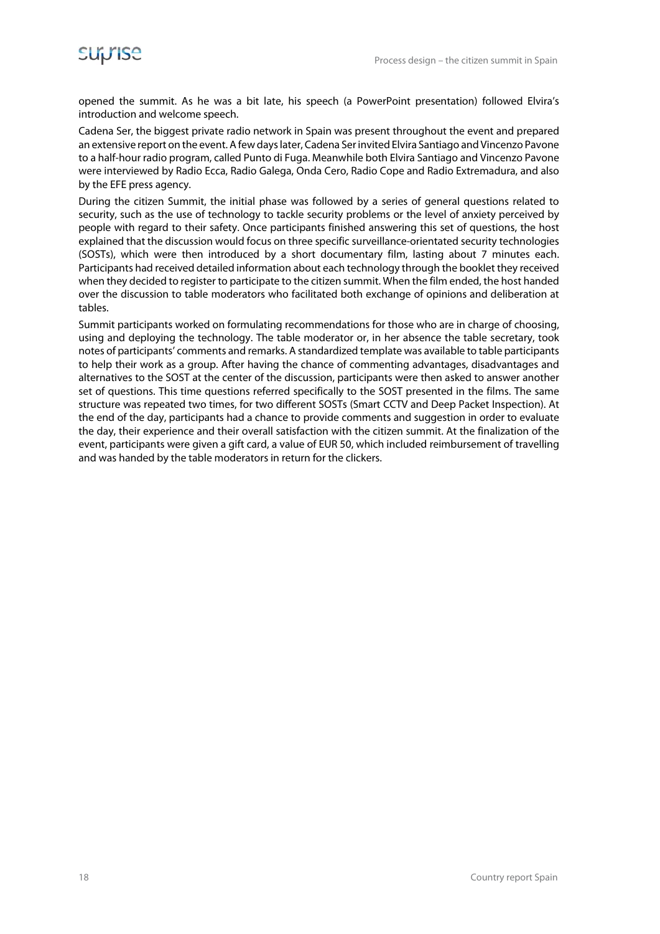opened the summit. As he was a bit late, his speech (a PowerPoint presentation) followed Elvira's introduction and welcome speech.

Cadena Ser, the biggest private radio network in Spain was present throughout the event and prepared an extensive report on the event. A few days later, Cadena Ser invited Elvira Santiago and Vincenzo Pavone to a half-hour radio program, called Punto di Fuga. Meanwhile both Elvira Santiago and Vincenzo Pavone were interviewed by Radio Ecca, Radio Galega, Onda Cero, Radio Cope and Radio Extremadura, and also by the EFE press agency.

During the citizen Summit, the initial phase was followed by a series of general questions related to security, such as the use of technology to tackle security problems or the level of anxiety perceived by people with regard to their safety. Once participants finished answering this set of questions, the host explained that the discussion would focus on three specific surveillance-orientated security technologies (SOSTs), which were then introduced by a short documentary film, lasting about 7 minutes each. Participants had received detailed information about each technology through the booklet they received when they decided to register to participate to the citizen summit. When the film ended, the host handed over the discussion to table moderators who facilitated both exchange of opinions and deliberation at tables.

Summit participants worked on formulating recommendations for those who are in charge of choosing, using and deploying the technology. The table moderator or, in her absence the table secretary, took notes of participants' comments and remarks. A standardized template was available to table participants to help their work as a group. After having the chance of commenting advantages, disadvantages and alternatives to the SOST at the center of the discussion, participants were then asked to answer another set of questions. This time questions referred specifically to the SOST presented in the films. The same structure was repeated two times, for two different SOSTs (Smart CCTV and Deep Packet Inspection). At the end of the day, participants had a chance to provide comments and suggestion in order to evaluate the day, their experience and their overall satisfaction with the citizen summit. At the finalization of the event, participants were given a gift card, a value of EUR 50, which included reimbursement of travelling and was handed by the table moderators in return for the clickers.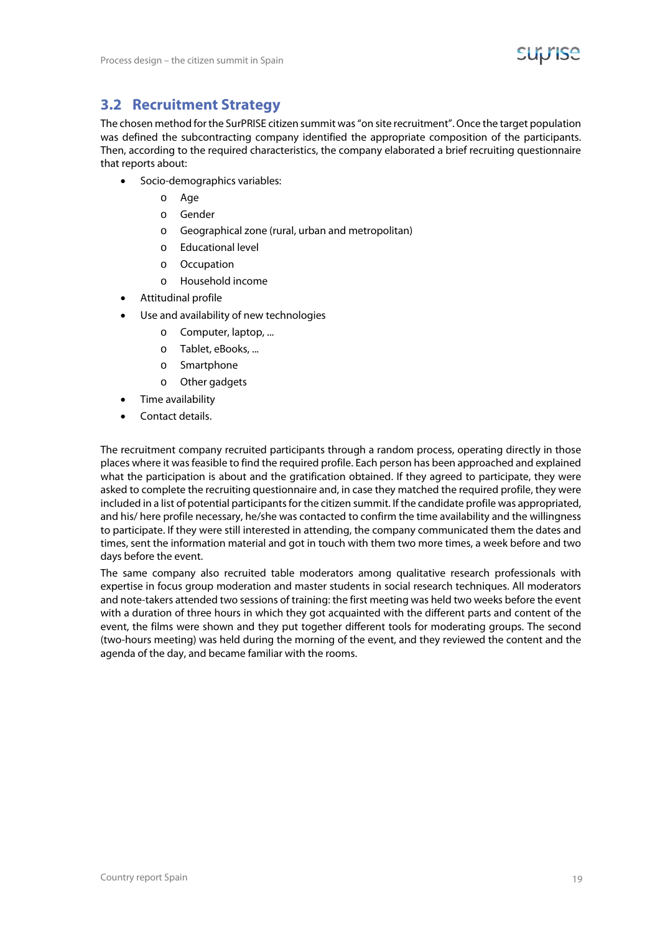



#### **3.2 Recruitment Strategy**

The chosen method for the SurPRISE citizen summit was "on site recruitment". Once the target population was defined the subcontracting company identified the appropriate composition of the participants. Then, according to the required characteristics, the company elaborated a brief recruiting questionnaire that reports about:

- Socio-demographics variables:
	- o Age
	- o Gender
	- o Geographical zone (rural, urban and metropolitan)
	- o Educational level
	- o Occupation
	- o Household income
- Attitudinal profile
- Use and availability of new technologies
	- o Computer, laptop, ...
	- o Tablet, eBooks, ...
	- o Smartphone
	- o Other gadgets
- Time availability
- Contact details.

The recruitment company recruited participants through a random process, operating directly in those places where it was feasible to find the required profile. Each person has been approached and explained what the participation is about and the gratification obtained. If they agreed to participate, they were asked to complete the recruiting questionnaire and, in case they matched the required profile, they were included in a list of potential participants for the citizen summit. If the candidate profile was appropriated, and his/ here profile necessary, he/she was contacted to confirm the time availability and the willingness to participate. If they were still interested in attending, the company communicated them the dates and times, sent the information material and got in touch with them two more times, a week before and two days before the event.

The same company also recruited table moderators among qualitative research professionals with expertise in focus group moderation and master students in social research techniques. All moderators and note-takers attended two sessions of training: the first meeting was held two weeks before the event with a duration of three hours in which they got acquainted with the different parts and content of the event, the films were shown and they put together different tools for moderating groups. The second (two-hours meeting) was held during the morning of the event, and they reviewed the content and the agenda of the day, and became familiar with the rooms.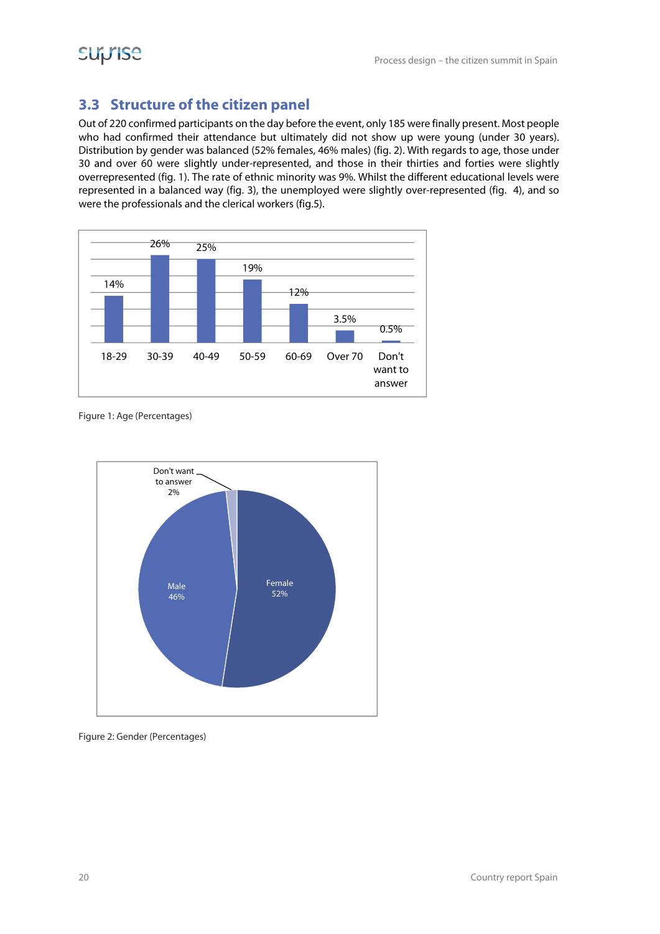### **3.3 Structure of the citizen panel**

Out of 220 confirmed participants on the day before the event, only 185 were finally present. Most people who had confirmed their attendance but ultimately did not show up were young (under 30 years). Distribution by gender was balanced (52% females, 46% males) (fig. 2). With regards to age, those under 30 and over 60 were slightly under-represented, and those in their thirties and forties were slightly overrepresented (fig. 1). The rate of ethnic minority was 9%. Whilst the different educational levels were represented in a balanced way (fig. 3), the unemployed were slightly over-represented (fig. 4), and so were the professionals and the clerical workers (fig.5).



Figure 1: Age (Percentages)



Figure 2: Gender (Percentages)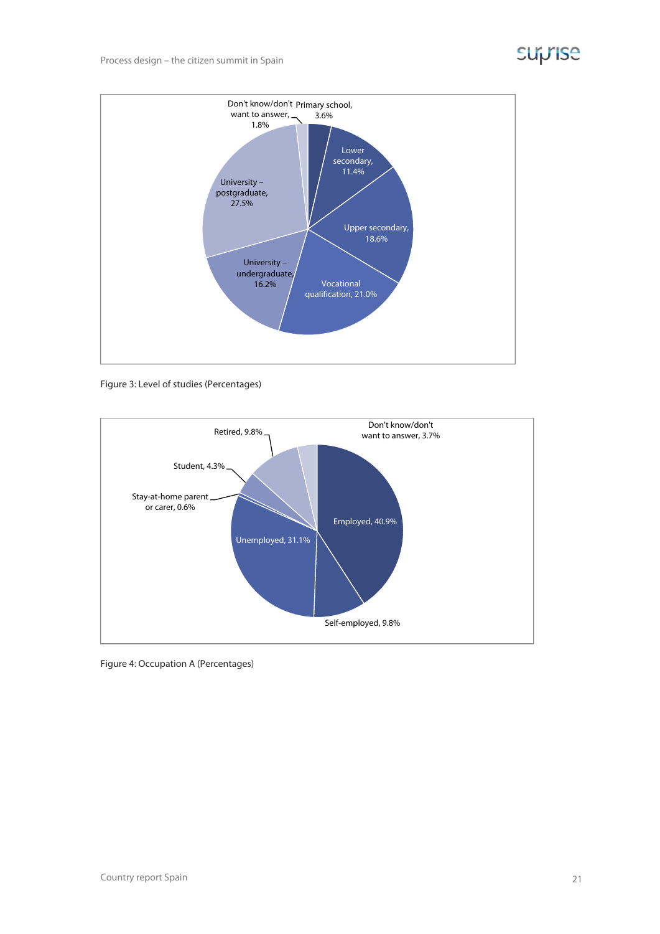# **Suprise**



Figure 3: Level of studies (Percentages)



Figure 4: Occupation A (Percentages)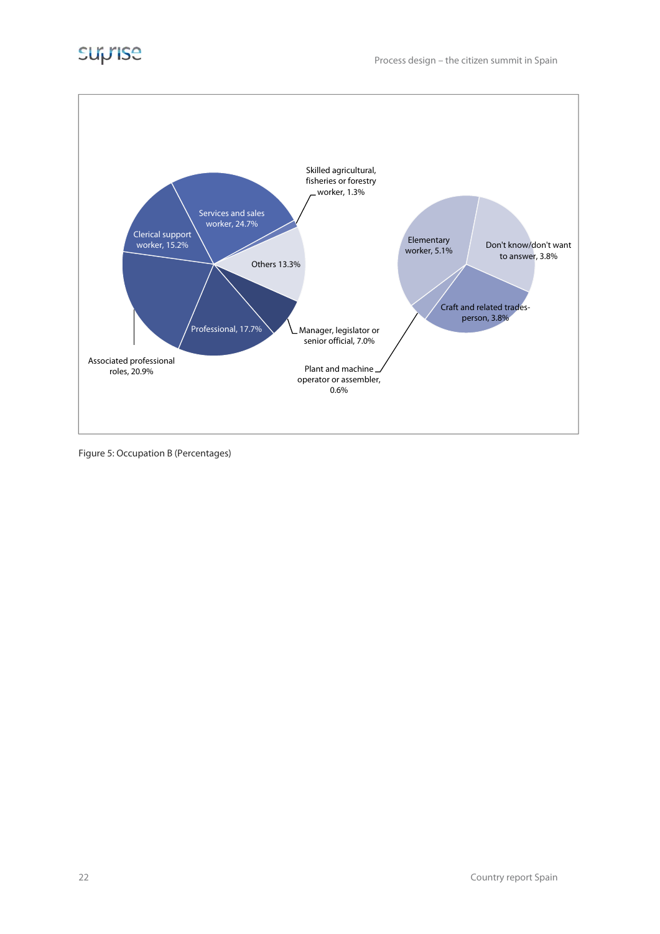

Figure 5: Occupation B (Percentages)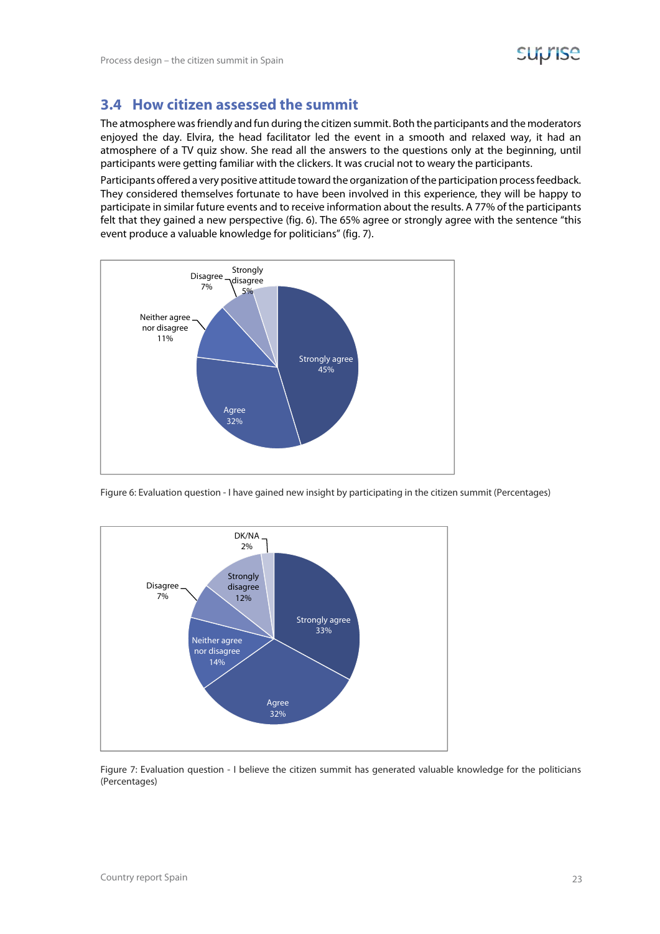#### **3.4 How citizen assessed the summit**

The atmosphere was friendly and fun during the citizen summit. Both the participants and the moderators enjoyed the day. Elvira, the head facilitator led the event in a smooth and relaxed way, it had an atmosphere of a TV quiz show. She read all the answers to the questions only at the beginning, until participants were getting familiar with the clickers. It was crucial not to weary the participants.

Participants offered a very positive attitude toward the organization of the participation process feedback. They considered themselves fortunate to have been involved in this experience, they will be happy to participate in similar future events and to receive information about the results. A 77% of the participants felt that they gained a new perspective (fig. 6). The 65% agree or strongly agree with the sentence "this event produce a valuable knowledge for politicians" (fig. 7).



Figure 6: Evaluation question - I have gained new insight by participating in the citizen summit (Percentages)



Figure 7: Evaluation question - I believe the citizen summit has generated valuable knowledge for the politicians (Percentages)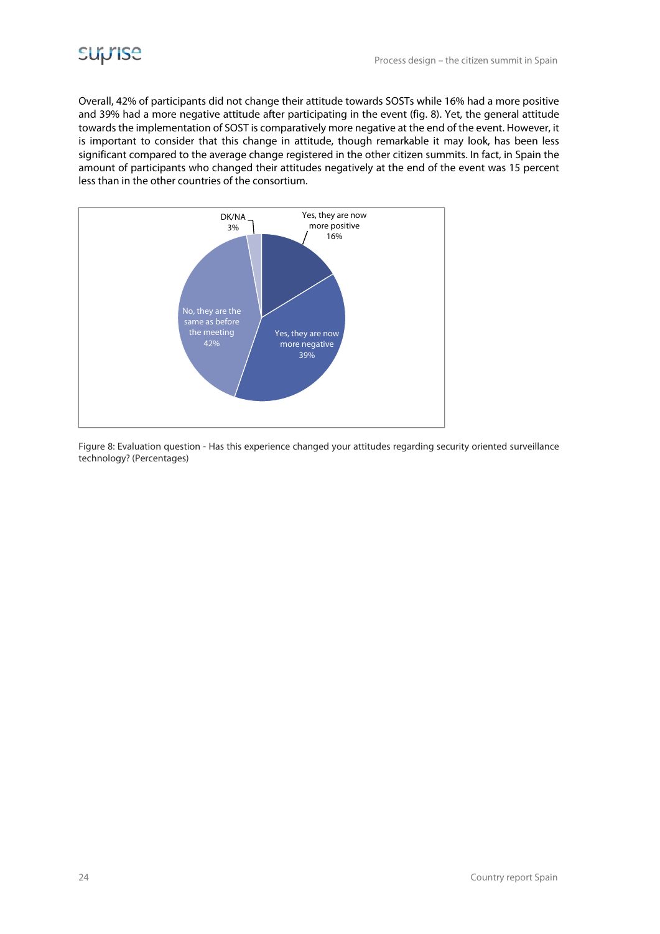

Overall, 42% of participants did not change their attitude towards SOSTs while 16% had a more positive and 39% had a more negative attitude after participating in the event (fig. 8). Yet, the general attitude towards the implementation of SOST is comparatively more negative at the end of the event. However, it is important to consider that this change in attitude, though remarkable it may look, has been less significant compared to the average change registered in the other citizen summits. In fact, in Spain the amount of participants who changed their attitudes negatively at the end of the event was 15 percent less than in the other countries of the consortium.



Figure 8: Evaluation question - Has this experience changed your attitudes regarding security oriented surveillance technology? (Percentages)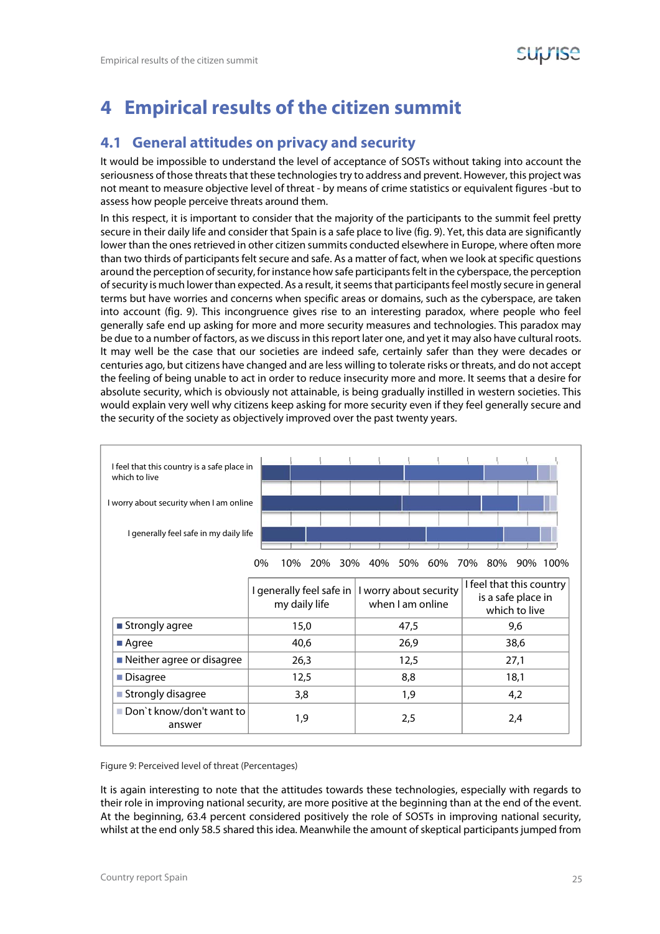# **4 Empirical results of the citizen summit**

#### **4.1 General attitudes on privacy and security**

It would be impossible to understand the level of acceptance of SOSTs without taking into account the seriousness of those threats that these technologies try to address and prevent. However, this project was not meant to measure objective level of threat - by means of crime statistics or equivalent figures -but to assess how people perceive threats around them.

In this respect, it is important to consider that the majority of the participants to the summit feel pretty secure in their daily life and consider that Spain is a safe place to live (fig. 9). Yet, this data are significantly lower than the ones retrieved in other citizen summits conducted elsewhere in Europe, where often more than two thirds of participants felt secure and safe. As a matter of fact, when we look at specific questions around the perception of security, for instance how safe participants felt in the cyberspace, the perception of security is much lower than expected. As a result, it seems that participants feel mostly secure in general terms but have worries and concerns when specific areas or domains, such as the cyberspace, are taken into account (fig. 9). This incongruence gives rise to an interesting paradox, where people who feel generally safe end up asking for more and more security measures and technologies. This paradox may be due to a number of factors, as we discuss in this report later one, and yet it may also have cultural roots. It may well be the case that our societies are indeed safe, certainly safer than they were decades or centuries ago, but citizens have changed and are less willing to tolerate risks or threats, and do not accept the feeling of being unable to act in order to reduce insecurity more and more. It seems that a desire for absolute security, which is obviously not attainable, is being gradually instilled in western societies. This would explain very well why citizens keep asking for more security even if they feel generally secure and the security of the society as objectively improved over the past twenty years.



Figure 9: Perceived level of threat (Percentages)

It is again interesting to note that the attitudes towards these technologies, especially with regards to their role in improving national security, are more positive at the beginning than at the end of the event. At the beginning, 63.4 percent considered positively the role of SOSTs in improving national security, whilst at the end only 58.5 shared this idea. Meanwhile the amount of skeptical participants jumped from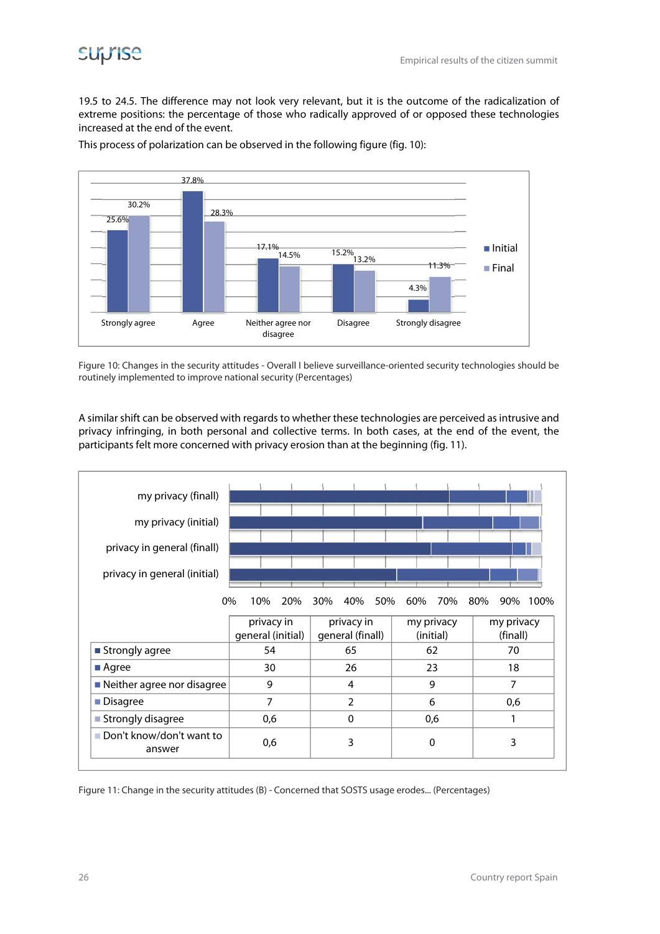

19.5 to 24.5. The difference may not look very relevant, but it is the outcome of the radicalization of extreme positions: the percentage of those who radically approved of or opposed these technologies increased at the end of the event.



This process of polarization can be observed in the following figure (fig. 10):

Figure 10: Changes in the security attitudes - Overall I believe surveillance-oriented security technologies should be routinely implemented to improve national security (Percentages)

A similar shift can be observed with regards to whether these technologies are perceived as intrusive and privacy infringing, in both personal and collective terms. In both cases, at the end of the event, the participants felt more concerned with privacy erosion than at the beginning (fig. 11).



Figure 11: Change in the security attitudes (B) - Concerned that SOSTS usage erodes... (Percentages)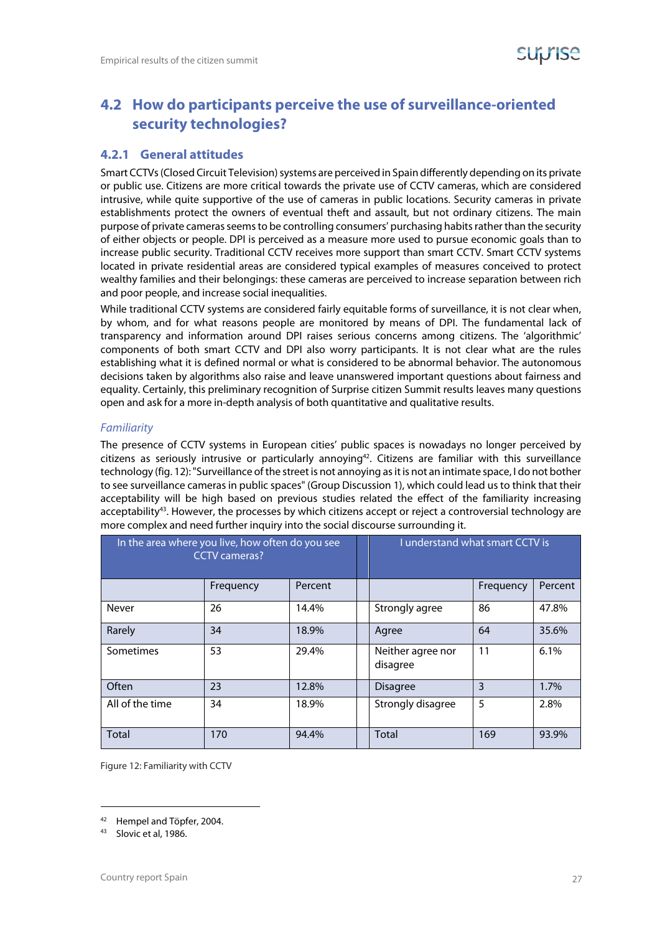#### **4.2 How do participants perceive the use of surveillance-oriented security technologies?**

#### **4.2.1 General attitudes**

Smart CCTVs (Closed Circuit Television) systems are perceived in Spain differently depending on its private or public use. Citizens are more critical towards the private use of CCTV cameras, which are considered intrusive, while quite supportive of the use of cameras in public locations. Security cameras in private establishments protect the owners of eventual theft and assault, but not ordinary citizens. The main purpose of private cameras seems to be controlling consumers' purchasing habits rather than the security of either objects or people. DPI is perceived as a measure more used to pursue economic goals than to increase public security. Traditional CCTV receives more support than smart CCTV. Smart CCTV systems located in private residential areas are considered typical examples of measures conceived to protect wealthy families and their belongings: these cameras are perceived to increase separation between rich and poor people, and increase social inequalities.

While traditional CCTV systems are considered fairly equitable forms of surveillance, it is not clear when, by whom, and for what reasons people are monitored by means of DPI. The fundamental lack of transparency and information around DPI raises serious concerns among citizens. The 'algorithmic' components of both smart CCTV and DPI also worry participants. It is not clear what are the rules establishing what it is defined normal or what is considered to be abnormal behavior. The autonomous decisions taken by algorithms also raise and leave unanswered important questions about fairness and equality. Certainly, this preliminary recognition of Surprise citizen Summit results leaves many questions open and ask for a more in-depth analysis of both quantitative and qualitative results.

#### Familiarity

The presence of CCTV systems in European cities' public spaces is nowadays no longer perceived by citizens as seriously intrusive or particularly annoying<sup>42</sup>. Citizens are familiar with this surveillance technology (fig. 12): "Surveillance of the street is not annoying as it is not an intimate space, I do not bother to see surveillance cameras in public spaces" (Group Discussion 1), which could lead us to think that their acceptability will be high based on previous studies related the effect of the familiarity increasing acceptability<sup>43</sup>. However, the processes by which citizens accept or reject a controversial technology are more complex and need further inquiry into the social discourse surrounding it.

| In the area where you live, how often do you see<br><b>CCTV</b> cameras? |           |         | I understand what smart CCTV is |           |         |
|--------------------------------------------------------------------------|-----------|---------|---------------------------------|-----------|---------|
|                                                                          | Frequency | Percent |                                 | Frequency | Percent |
| Never                                                                    | 26        | 14.4%   | Strongly agree                  | 86        | 47.8%   |
| Rarely                                                                   | 34        | 18.9%   | Agree                           | 64        | 35.6%   |
| Sometimes                                                                | 53        | 29.4%   | Neither agree nor<br>disagree   | 11        | 6.1%    |
| Often                                                                    | 23        | 12.8%   | <b>Disagree</b>                 | 3         | 1.7%    |
| All of the time                                                          | 34        | 18.9%   | Strongly disagree               | 5         | 2.8%    |
| Total                                                                    | 170       | 94.4%   | <b>Total</b>                    | 169       | 93.9%   |

Figure 12: Familiarity with CCTV

<sup>42</sup> Hempel and Töpfer, 2004.

<sup>43</sup> Slovic et al, 1986.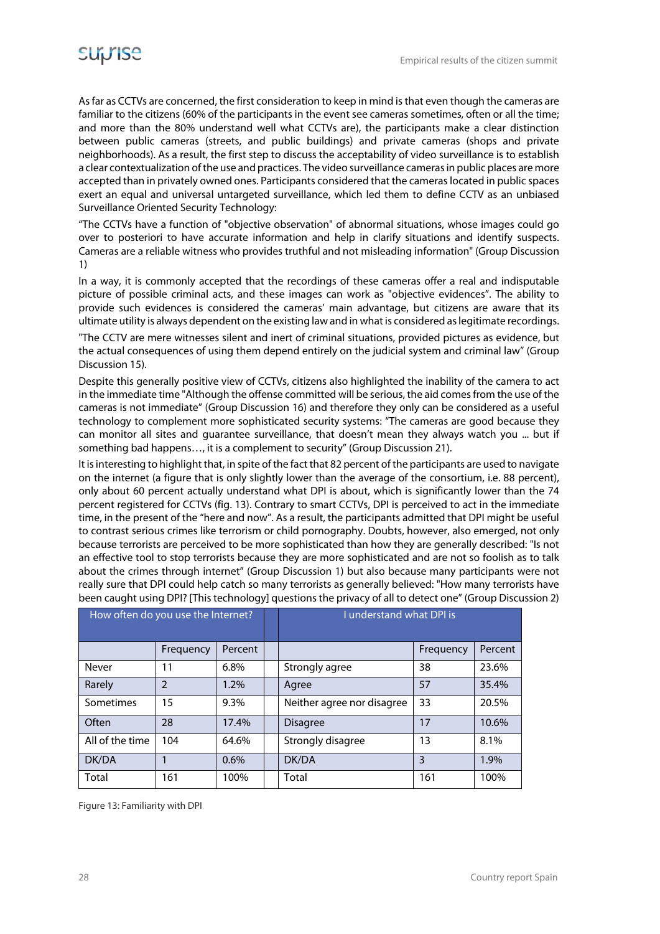As far as CCTVs are concerned, the first consideration to keep in mind is that even though the cameras are familiar to the citizens (60% of the participants in the event see cameras sometimes, often or all the time; and more than the 80% understand well what CCTVs are), the participants make a clear distinction between public cameras (streets, and public buildings) and private cameras (shops and private neighborhoods). As a result, the first step to discuss the acceptability of video surveillance is to establish a clear contextualization of the use and practices. The video surveillance cameras in public places are more accepted than in privately owned ones. Participants considered that the cameras located in public spaces exert an equal and universal untargeted surveillance, which led them to define CCTV as an unbiased Surveillance Oriented Security Technology:

"The CCTVs have a function of "objective observation" of abnormal situations, whose images could go over to posteriori to have accurate information and help in clarify situations and identify suspects. Cameras are a reliable witness who provides truthful and not misleading information" (Group Discussion 1)

In a way, it is commonly accepted that the recordings of these cameras offer a real and indisputable picture of possible criminal acts, and these images can work as "objective evidences". The ability to provide such evidences is considered the cameras' main advantage, but citizens are aware that its ultimate utility is always dependent on the existing law and in what is considered as legitimate recordings.

"The CCTV are mere witnesses silent and inert of criminal situations, provided pictures as evidence, but the actual consequences of using them depend entirely on the judicial system and criminal law" (Group Discussion 15).

Despite this generally positive view of CCTVs, citizens also highlighted the inability of the camera to act in the immediate time "Although the offense committed will be serious, the aid comes from the use of the cameras is not immediate" (Group Discussion 16) and therefore they only can be considered as a useful technology to complement more sophisticated security systems: "The cameras are good because they can monitor all sites and guarantee surveillance, that doesn't mean they always watch you ... but if something bad happens…, it is a complement to security" (Group Discussion 21).

It is interesting to highlight that, in spite of the fact that 82 percent of the participants are used to navigate on the internet (a figure that is only slightly lower than the average of the consortium, i.e. 88 percent), only about 60 percent actually understand what DPI is about, which is significantly lower than the 74 percent registered for CCTVs (fig. 13). Contrary to smart CCTVs, DPI is perceived to act in the immediate time, in the present of the "here and now". As a result, the participants admitted that DPI might be useful to contrast serious crimes like terrorism or child pornography. Doubts, however, also emerged, not only because terrorists are perceived to be more sophisticated than how they are generally described: "Is not an effective tool to stop terrorists because they are more sophisticated and are not so foolish as to talk about the crimes through internet" (Group Discussion 1) but also because many participants were not really sure that DPI could help catch so many terrorists as generally believed: "How many terrorists have been caught using DPI? [This technology] questions the privacy of all to detect one" (Group Discussion 2)

| How often do you use the Internet? |                |         | I understand what DPI is   |           |         |
|------------------------------------|----------------|---------|----------------------------|-----------|---------|
|                                    | Frequency      | Percent |                            | Frequency | Percent |
| Never                              | 11             | 6.8%    | Strongly agree             | 38        | 23.6%   |
| Rarely                             | $\mathfrak{D}$ | 1.2%    | Agree                      | 57        | 35.4%   |
| Sometimes                          | 15             | 9.3%    | Neither agree nor disagree | 33        | 20.5%   |
| Often                              | 28             | 17.4%   | <b>Disagree</b>            | 17        | 10.6%   |
| All of the time                    | 104            | 64.6%   | Strongly disagree          | 13        | 8.1%    |
| DK/DA                              |                | 0.6%    | DK/DA                      | 3         | 1.9%    |
| Total                              | 161            | 100%    | Total                      | 161       | 100%    |

Figure 13: Familiarity with DPI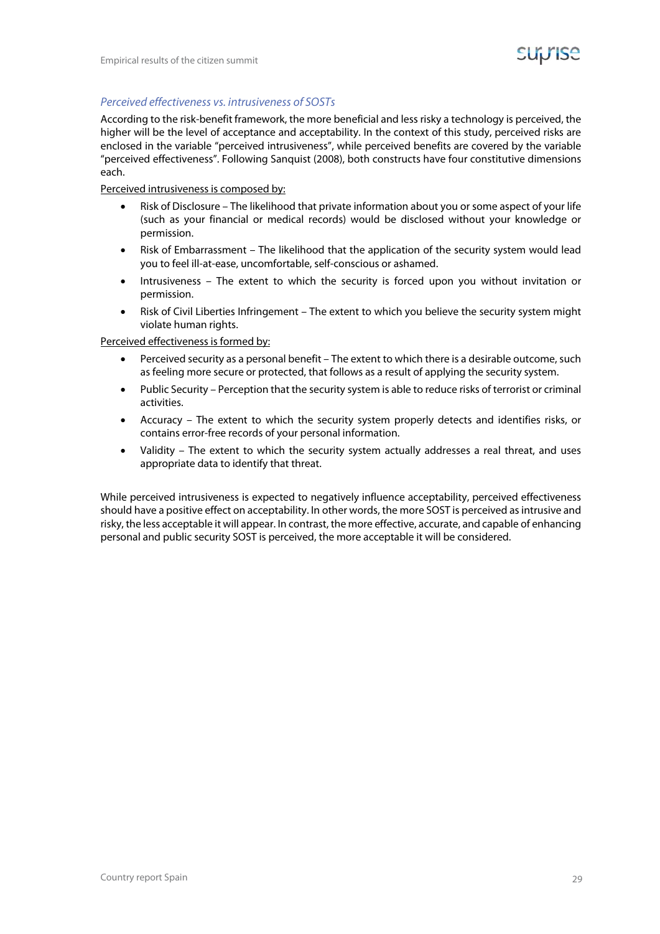

#### Perceived effectiveness vs. intrusiveness of SOSTs

According to the risk-benefit framework, the more beneficial and less risky a technology is perceived, the higher will be the level of acceptance and acceptability. In the context of this study, perceived risks are enclosed in the variable "perceived intrusiveness", while perceived benefits are covered by the variable "perceived effectiveness". Following Sanquist (2008), both constructs have four constitutive dimensions each.

Perceived intrusiveness is composed by:

- Risk of Disclosure The likelihood that private information about you or some aspect of your life (such as your financial or medical records) would be disclosed without your knowledge or permission.
- Risk of Embarrassment The likelihood that the application of the security system would lead you to feel ill-at-ease, uncomfortable, self-conscious or ashamed.
- Intrusiveness The extent to which the security is forced upon you without invitation or permission.
- Risk of Civil Liberties Infringement The extent to which you believe the security system might violate human rights.

#### Perceived effectiveness is formed by:

- Perceived security as a personal benefit The extent to which there is a desirable outcome, such as feeling more secure or protected, that follows as a result of applying the security system.
- Public Security Perception that the security system is able to reduce risks of terrorist or criminal activities.
- Accuracy The extent to which the security system properly detects and identifies risks, or contains error-free records of your personal information.
- Validity The extent to which the security system actually addresses a real threat, and uses appropriate data to identify that threat.

While perceived intrusiveness is expected to negatively influence acceptability, perceived effectiveness should have a positive effect on acceptability. In other words, the more SOST is perceived as intrusive and risky, the less acceptable it will appear. In contrast, the more effective, accurate, and capable of enhancing personal and public security SOST is perceived, the more acceptable it will be considered.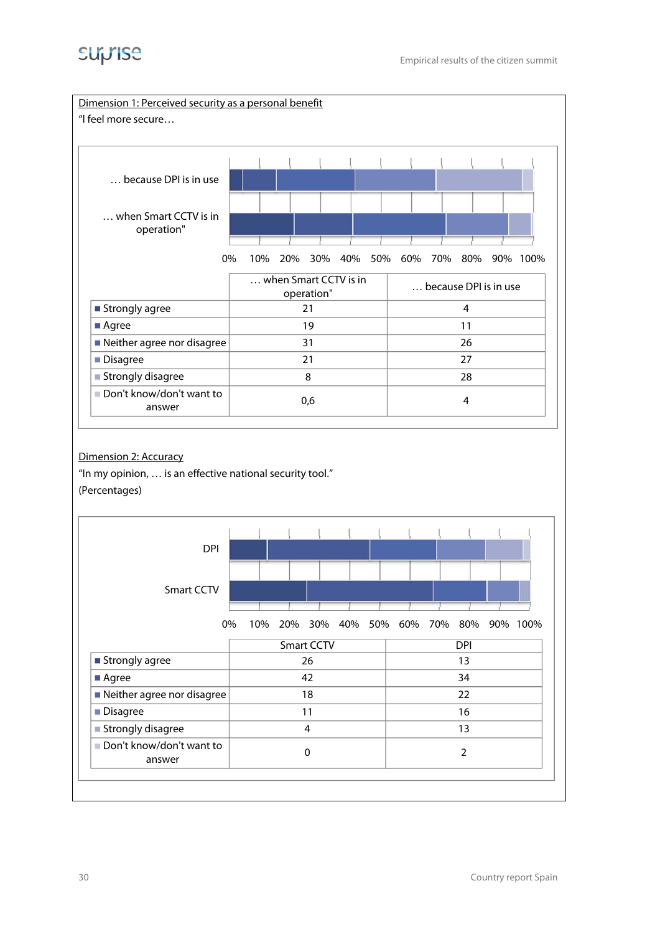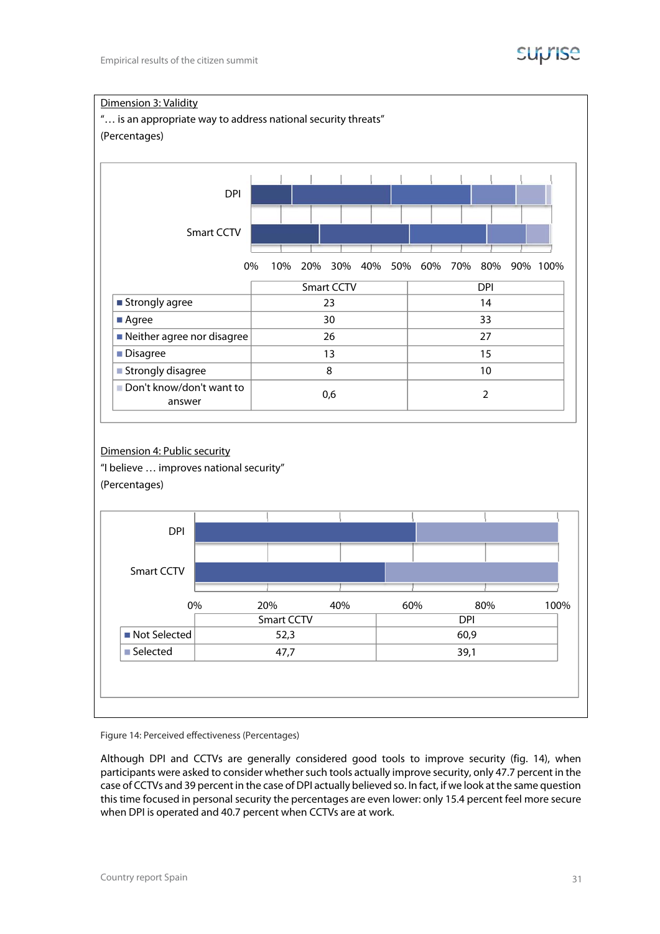



Figure 14: Perceived effectiveness (Percentages)

Although DPI and CCTVs are generally considered good tools to improve security (fig. 14), when participants were asked to consider whether such tools actually improve security, only 47.7 percent in the case of CCTVs and 39 percent in the case of DPI actually believed so. In fact, if we look at the same question this time focused in personal security the percentages are even lower: only 15.4 percent feel more secure when DPI is operated and 40.7 percent when CCTVs are at work.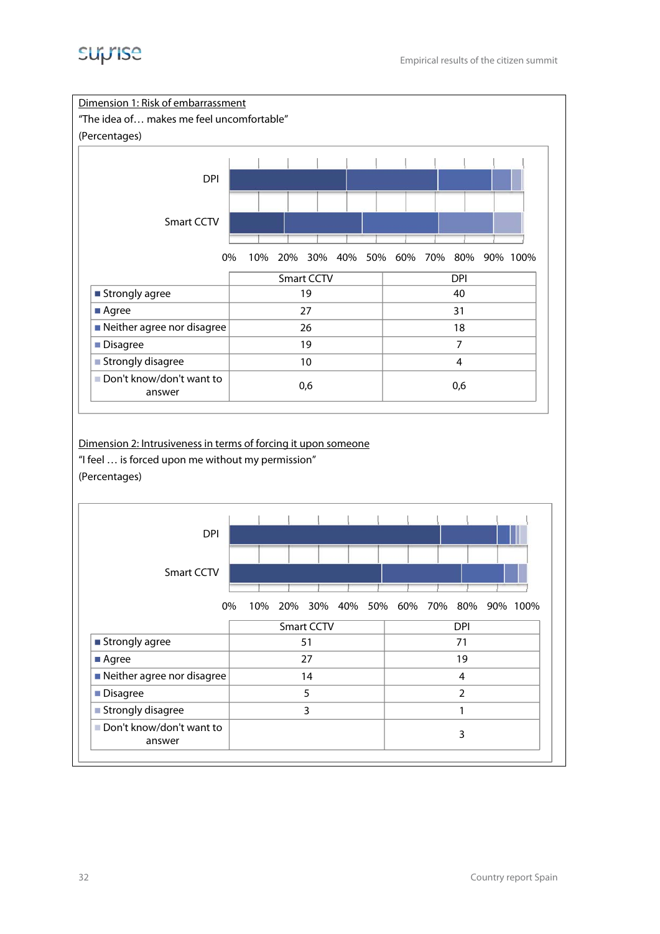

| <b>Smart CCTV</b>            |          |  |            |  |  |   |  |            |  |                                          |
|------------------------------|----------|--|------------|--|--|---|--|------------|--|------------------------------------------|
|                              |          |  |            |  |  |   |  |            |  |                                          |
|                              | 0%       |  |            |  |  |   |  |            |  | 10% 20% 30% 40% 50% 60% 70% 80% 90% 100% |
|                              |          |  | Smart CCTV |  |  |   |  | <b>DPI</b> |  |                                          |
| ■ Strongly agree             |          |  | 51         |  |  |   |  | 71         |  |                                          |
| ■ Agree                      | 27<br>19 |  |            |  |  |   |  |            |  |                                          |
| ■ Neither agree nor disagree | 14       |  |            |  |  | 4 |  |            |  |                                          |
| ■ Disagree                   |          |  |            |  |  |   |  |            |  |                                          |
| ■ Strongly disagree          |          |  |            |  |  |   |  |            |  |                                          |

3

Don't know/don't want to answer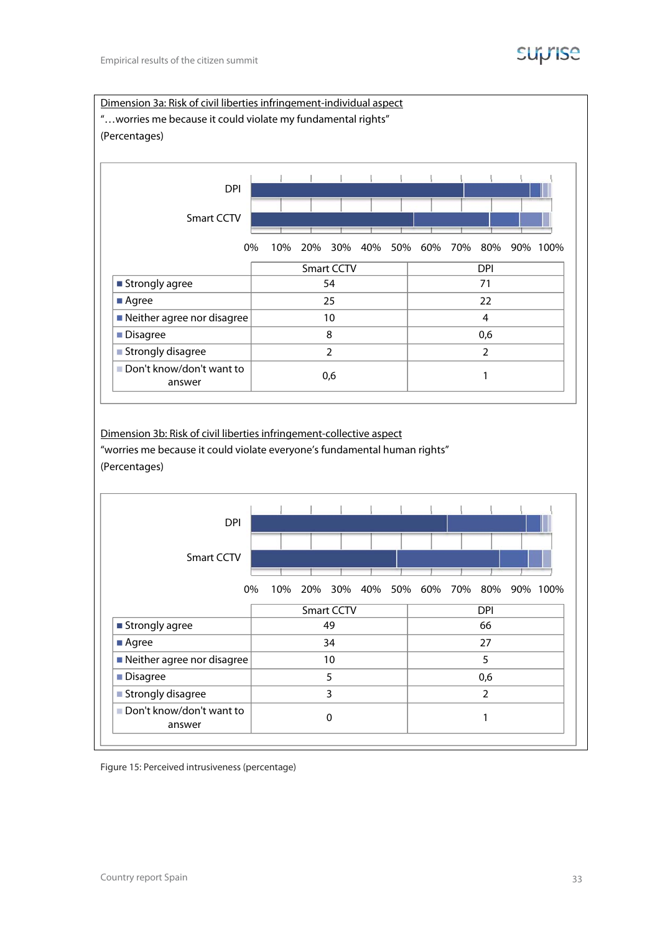### **Suprise**



Dimension 3b: Risk of civil liberties infringement-collective aspect "worries me because it could violate everyone's fundamental human rights" (Percentages)



Figure 15: Perceived intrusiveness (percentage)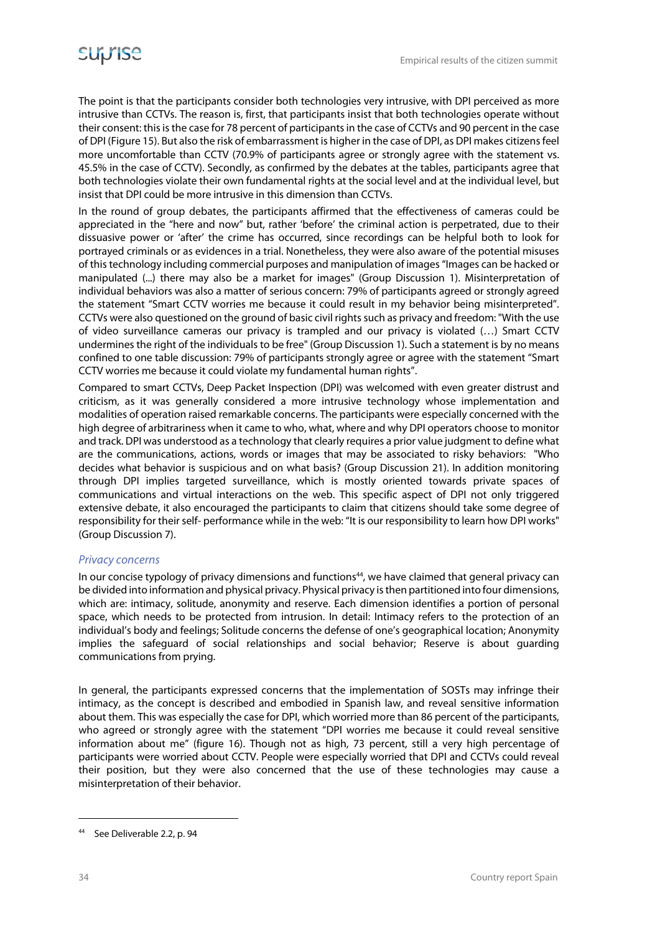The point is that the participants consider both technologies very intrusive, with DPI perceived as more intrusive than CCTVs. The reason is, first, that participants insist that both technologies operate without their consent: this is the case for 78 percent of participants in the case of CCTVs and 90 percent in the case of DPI (Figure 15). But also the risk of embarrassment is higher in the case of DPI, as DPI makes citizens feel more uncomfortable than CCTV (70.9% of participants agree or strongly agree with the statement vs. 45.5% in the case of CCTV). Secondly, as confirmed by the debates at the tables, participants agree that both technologies violate their own fundamental rights at the social level and at the individual level, but insist that DPI could be more intrusive in this dimension than CCTVs.

In the round of group debates, the participants affirmed that the effectiveness of cameras could be appreciated in the "here and now" but, rather 'before' the criminal action is perpetrated, due to their dissuasive power or 'after' the crime has occurred, since recordings can be helpful both to look for portrayed criminals or as evidences in a trial. Nonetheless, they were also aware of the potential misuses of this technology including commercial purposes and manipulation of images "Images can be hacked or manipulated (...) there may also be a market for images" (Group Discussion 1). Misinterpretation of individual behaviors was also a matter of serious concern: 79% of participants agreed or strongly agreed the statement "Smart CCTV worries me because it could result in my behavior being misinterpreted". CCTVs were also questioned on the ground of basic civil rights such as privacy and freedom: "With the use of video surveillance cameras our privacy is trampled and our privacy is violated (…) Smart CCTV undermines the right of the individuals to be free" (Group Discussion 1). Such a statement is by no means confined to one table discussion: 79% of participants strongly agree or agree with the statement "Smart CCTV worries me because it could violate my fundamental human rights".

Compared to smart CCTVs, Deep Packet Inspection (DPI) was welcomed with even greater distrust and criticism, as it was generally considered a more intrusive technology whose implementation and modalities of operation raised remarkable concerns. The participants were especially concerned with the high degree of arbitrariness when it came to who, what, where and why DPI operators choose to monitor and track. DPI was understood as a technology that clearly requires a prior value judgment to define what are the communications, actions, words or images that may be associated to risky behaviors: "Who decides what behavior is suspicious and on what basis? (Group Discussion 21). In addition monitoring through DPI implies targeted surveillance, which is mostly oriented towards private spaces of communications and virtual interactions on the web. This specific aspect of DPI not only triggered extensive debate, it also encouraged the participants to claim that citizens should take some degree of responsibility for their self- performance while in the web: "It is our responsibility to learn how DPI works" (Group Discussion 7).

#### Privacy concerns

In our concise typology of privacy dimensions and functions<sup>44</sup>, we have claimed that general privacy can be divided into information and physical privacy. Physical privacy is then partitioned into four dimensions, which are: intimacy, solitude, anonymity and reserve. Each dimension identifies a portion of personal space, which needs to be protected from intrusion. In detail: Intimacy refers to the protection of an individual's body and feelings; Solitude concerns the defense of one's geographical location; Anonymity implies the safeguard of social relationships and social behavior; Reserve is about guarding communications from prying.

In general, the participants expressed concerns that the implementation of SOSTs may infringe their intimacy, as the concept is described and embodied in Spanish law, and reveal sensitive information about them. This was especially the case for DPI, which worried more than 86 percent of the participants, who agreed or strongly agree with the statement "DPI worries me because it could reveal sensitive information about me" (figure 16). Though not as high, 73 percent, still a very high percentage of participants were worried about CCTV. People were especially worried that DPI and CCTVs could reveal their position, but they were also concerned that the use of these technologies may cause a misinterpretation of their behavior.

**-**

<sup>44</sup> See Deliverable 2.2, p. 94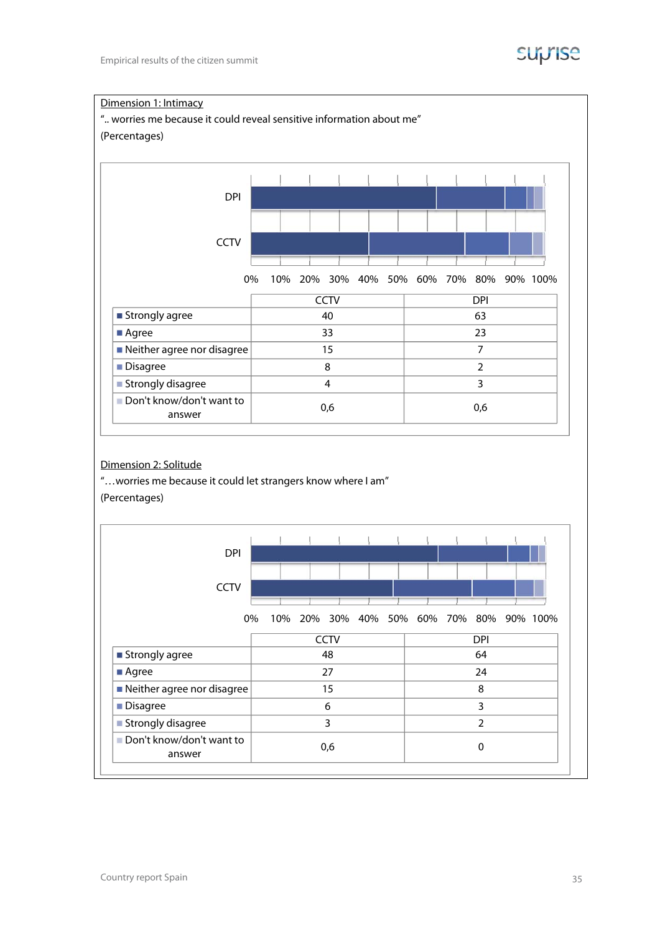

# Dimension 1: Intimacy ".. worries me because it could reveal sensitive information about me" (Percentages) 0% 10% 20% 30% 40% 50% 60% 70% 80% 90% 100% **CCTV** DPI **CCTV** DPI  $\blacksquare$  Strongly agree  $\blacksquare$  40  $\blacksquare$  63 Agree 23 23 Neither agree nor disagree 15 7 ■ Disagree 2 2  $\blacksquare$  Strongly disagree  $\blacksquare$  4 3 Don't know/don't want to answer  $0,6$  0,6 0,6

#### Dimension 2: Solitude

"…worries me because it could let strangers know where I am" (Percentages)

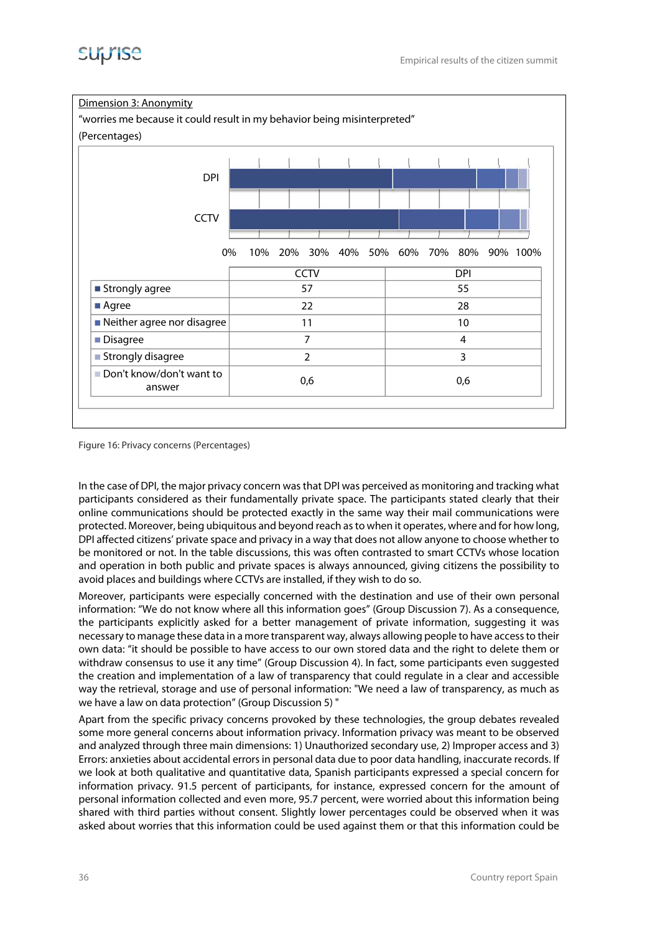



Figure 16: Privacy concerns (Percentages)

In the case of DPI, the major privacy concern was that DPI was perceived as monitoring and tracking what participants considered as their fundamentally private space. The participants stated clearly that their online communications should be protected exactly in the same way their mail communications were protected. Moreover, being ubiquitous and beyond reach as to when it operates, where and for how long, DPI affected citizens' private space and privacy in a way that does not allow anyone to choose whether to be monitored or not. In the table discussions, this was often contrasted to smart CCTVs whose location and operation in both public and private spaces is always announced, giving citizens the possibility to avoid places and buildings where CCTVs are installed, if they wish to do so.

Moreover, participants were especially concerned with the destination and use of their own personal information: "We do not know where all this information goes" (Group Discussion 7). As a consequence, the participants explicitly asked for a better management of private information, suggesting it was necessary to manage these data in a more transparent way, always allowing people to have access to their own data: "it should be possible to have access to our own stored data and the right to delete them or withdraw consensus to use it any time" (Group Discussion 4). In fact, some participants even suggested the creation and implementation of a law of transparency that could regulate in a clear and accessible way the retrieval, storage and use of personal information: "We need a law of transparency, as much as we have a law on data protection" (Group Discussion 5) "

Apart from the specific privacy concerns provoked by these technologies, the group debates revealed some more general concerns about information privacy. Information privacy was meant to be observed and analyzed through three main dimensions: 1) Unauthorized secondary use, 2) Improper access and 3) Errors: anxieties about accidental errors in personal data due to poor data handling, inaccurate records. If we look at both qualitative and quantitative data, Spanish participants expressed a special concern for information privacy. 91.5 percent of participants, for instance, expressed concern for the amount of personal information collected and even more, 95.7 percent, were worried about this information being shared with third parties without consent. Slightly lower percentages could be observed when it was asked about worries that this information could be used against them or that this information could be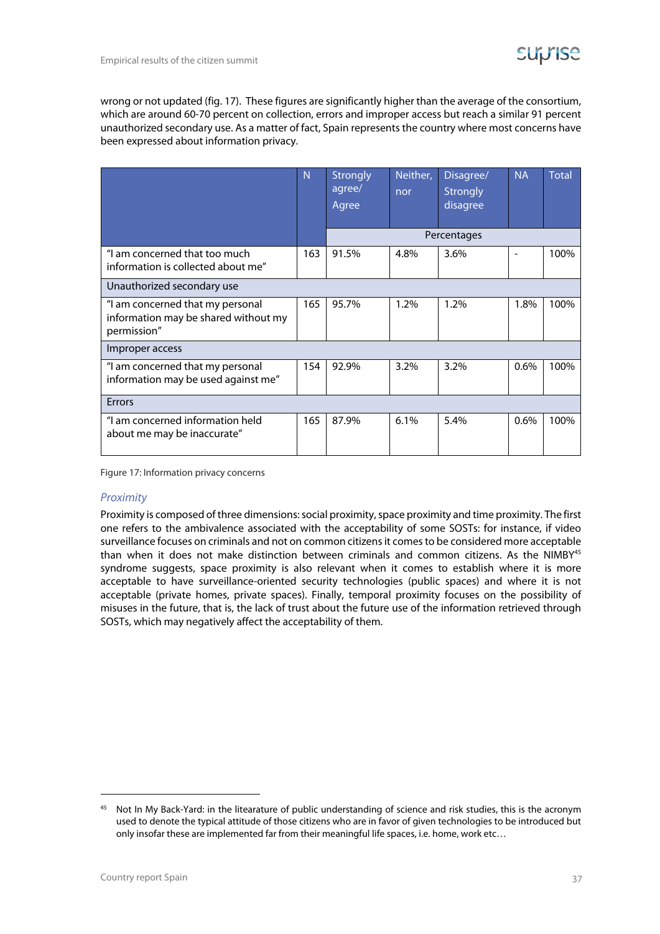wrong or not updated (fig. 17). These figures are significantly higher than the average of the consortium, which are around 60-70 percent on collection, errors and improper access but reach a similar 91 percent unauthorized secondary use. As a matter of fact, Spain represents the country where most concerns have been expressed about information privacy.

|                                                                                         | N   | <b>Strongly</b><br>agree/<br>Agree | Neither,<br>nor | Disagree/<br><b>Strongly</b><br>disagree | <b>NA</b> | <b>Total</b> |
|-----------------------------------------------------------------------------------------|-----|------------------------------------|-----------------|------------------------------------------|-----------|--------------|
|                                                                                         |     |                                    |                 | Percentages                              |           |              |
| "I am concerned that too much<br>information is collected about me"                     |     | 91.5%                              | 4.8%            | 3.6%                                     |           | 100%         |
| Unauthorized secondary use                                                              |     |                                    |                 |                                          |           |              |
| "I am concerned that my personal<br>information may be shared without my<br>permission" |     | 95.7%                              | 1.2%            | 1.2%                                     | 1.8%      | 100%         |
| Improper access                                                                         |     |                                    |                 |                                          |           |              |
| "I am concerned that my personal<br>information may be used against me"                 |     | 92.9%                              | 3.2%            | 3.2%                                     | 0.6%      | 100%         |
| Errors                                                                                  |     |                                    |                 |                                          |           |              |
| "I am concerned information held<br>about me may be inaccurate"                         | 165 | 87.9%                              | 6.1%            | 5.4%                                     | 0.6%      | 100%         |

Figure 17: Information privacy concerns

#### Proximity

Proximity is composed of three dimensions: social proximity, space proximity and time proximity. The first one refers to the ambivalence associated with the acceptability of some SOSTs: for instance, if video surveillance focuses on criminals and not on common citizens it comes to be considered more acceptable than when it does not make distinction between criminals and common citizens. As the NIMBY<sup>45</sup> syndrome suggests, space proximity is also relevant when it comes to establish where it is more acceptable to have surveillance-oriented security technologies (public spaces) and where it is not acceptable (private homes, private spaces). Finally, temporal proximity focuses on the possibility of misuses in the future, that is, the lack of trust about the future use of the information retrieved through SOSTs, which may negatively affect the acceptability of them.

**-**

<sup>&</sup>lt;sup>45</sup> Not In My Back-Yard: in the litearature of public understanding of science and risk studies, this is the acronym used to denote the typical attitude of those citizens who are in favor of given technologies to be introduced but only insofar these are implemented far from their meaningful life spaces, i.e. home, work etc…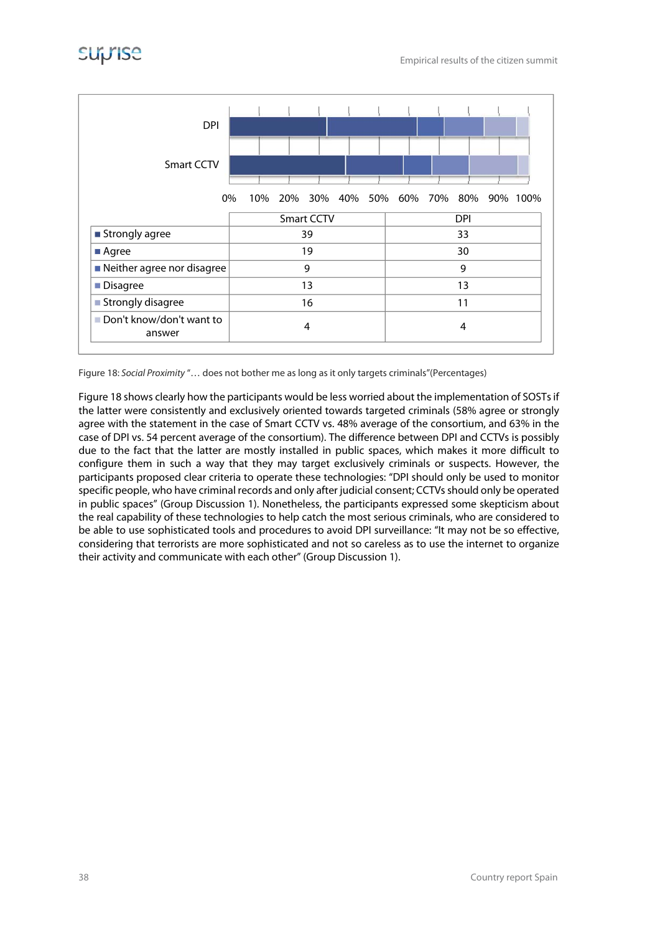

Figure 18: Social Proximity "… does not bother me as long as it only targets criminals"(Percentages)

Figure 18 shows clearly how the participants would be less worried about the implementation of SOSTs if the latter were consistently and exclusively oriented towards targeted criminals (58% agree or strongly agree with the statement in the case of Smart CCTV vs. 48% average of the consortium, and 63% in the case of DPI vs. 54 percent average of the consortium). The difference between DPI and CCTVs is possibly due to the fact that the latter are mostly installed in public spaces, which makes it more difficult to configure them in such a way that they may target exclusively criminals or suspects. However, the participants proposed clear criteria to operate these technologies: "DPI should only be used to monitor specific people, who have criminal records and only after judicial consent; CCTVs should only be operated in public spaces" (Group Discussion 1). Nonetheless, the participants expressed some skepticism about the real capability of these technologies to help catch the most serious criminals, who are considered to be able to use sophisticated tools and procedures to avoid DPI surveillance: "It may not be so effective, considering that terrorists are more sophisticated and not so careless as to use the internet to organize their activity and communicate with each other" (Group Discussion 1).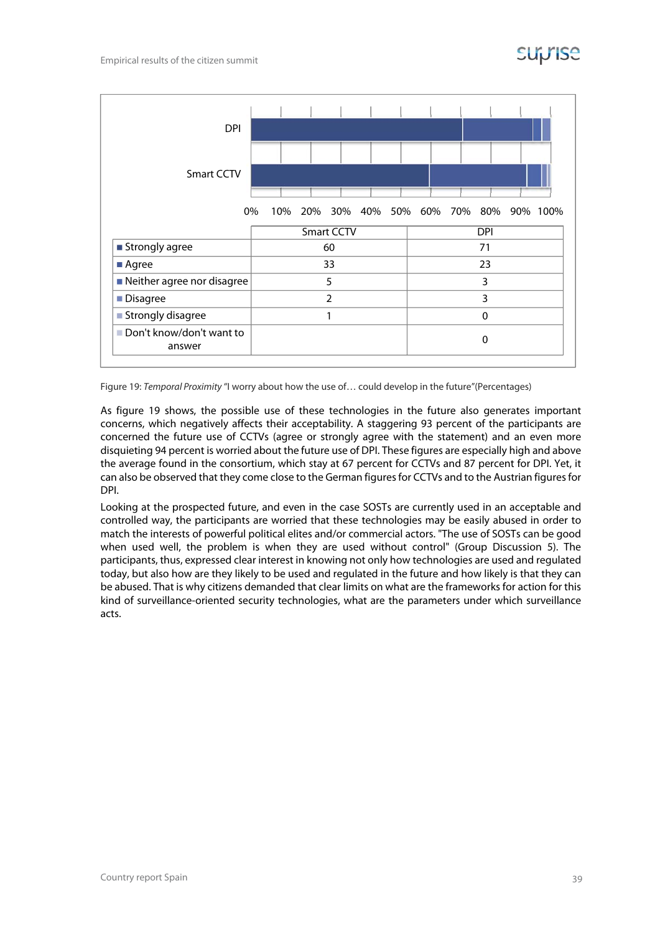

Figure 19: Temporal Proximity "I worry about how the use of… could develop in the future"(Percentages)

As figure 19 shows, the possible use of these technologies in the future also generates important concerns, which negatively affects their acceptability. A staggering 93 percent of the participants are concerned the future use of CCTVs (agree or strongly agree with the statement) and an even more disquieting 94 percent is worried about the future use of DPI. These figures are especially high and above the average found in the consortium, which stay at 67 percent for CCTVs and 87 percent for DPI. Yet, it can also be observed that they come close to the German figures for CCTVs and to the Austrian figures for DPI.

Looking at the prospected future, and even in the case SOSTs are currently used in an acceptable and controlled way, the participants are worried that these technologies may be easily abused in order to match the interests of powerful political elites and/or commercial actors. "The use of SOSTs can be good when used well, the problem is when they are used without control" (Group Discussion 5). The participants, thus, expressed clear interest in knowing not only how technologies are used and regulated today, but also how are they likely to be used and regulated in the future and how likely is that they can be abused. That is why citizens demanded that clear limits on what are the frameworks for action for this kind of surveillance-oriented security technologies, what are the parameters under which surveillance acts.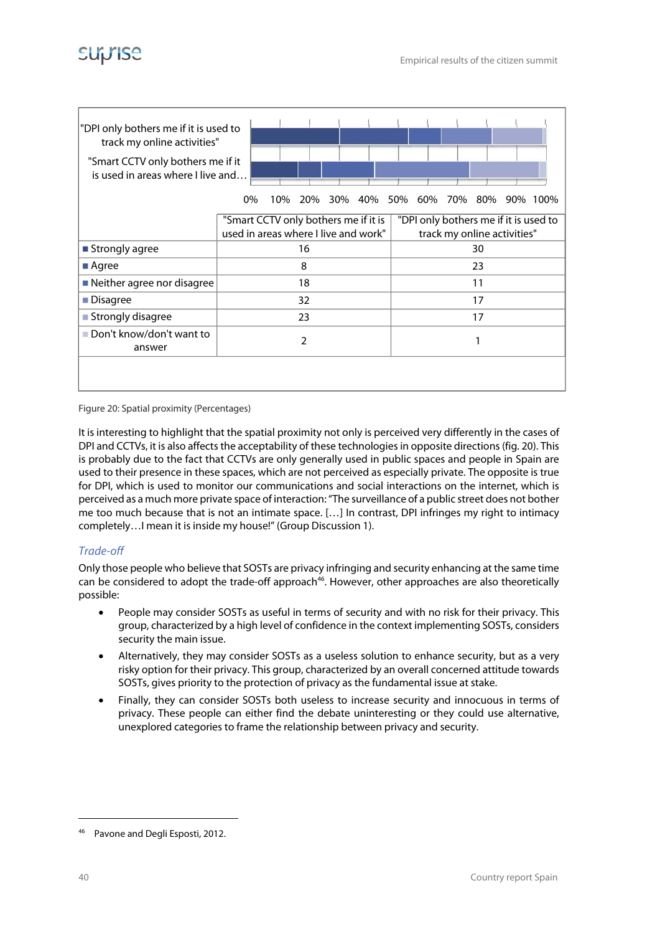

| "DPI only bothers me if it is used to<br>track my online activities"<br>"Smart CCTV only bothers me if it<br>is used in areas where I live and | 0%                                                                           | 10% | 20% |  | 30% 40% 50% 60% 70% 80% |  |                             |  | 90% 100%                              |
|------------------------------------------------------------------------------------------------------------------------------------------------|------------------------------------------------------------------------------|-----|-----|--|-------------------------|--|-----------------------------|--|---------------------------------------|
|                                                                                                                                                | "Smart CCTV only bothers me if it is<br>used in areas where I live and work" |     |     |  |                         |  | track my online activities" |  | "DPI only bothers me if it is used to |
| ■ Strongly agree                                                                                                                               |                                                                              |     | 16  |  |                         |  | 30                          |  |                                       |
| ■ Agree                                                                                                                                        |                                                                              |     | 8   |  |                         |  | 23                          |  |                                       |
| $\blacksquare$ Neither agree nor disagree                                                                                                      |                                                                              |     | 18  |  |                         |  | 11                          |  |                                       |
| Disagree                                                                                                                                       |                                                                              |     | 32  |  |                         |  | 17                          |  |                                       |
|                                                                                                                                                |                                                                              |     |     |  |                         |  |                             |  |                                       |
| ■ Strongly disagree                                                                                                                            | 17<br>23                                                                     |     |     |  |                         |  |                             |  |                                       |
| Don't know/don't want to<br>answer                                                                                                             | $\overline{2}$<br>1                                                          |     |     |  |                         |  |                             |  |                                       |
|                                                                                                                                                |                                                                              |     |     |  |                         |  |                             |  |                                       |

Figure 20: Spatial proximity (Percentages)

It is interesting to highlight that the spatial proximity not only is perceived very differently in the cases of DPI and CCTVs, it is also affects the acceptability of these technologies in opposite directions (fig. 20). This is probably due to the fact that CCTVs are only generally used in public spaces and people in Spain are used to their presence in these spaces, which are not perceived as especially private. The opposite is true for DPI, which is used to monitor our communications and social interactions on the internet, which is perceived as a much more private space of interaction: "The surveillance of a public street does not bother me too much because that is not an intimate space. […] In contrast, DPI infringes my right to intimacy completely…I mean it is inside my house!" (Group Discussion 1).

#### Trade-off

Only those people who believe that SOSTs are privacy infringing and security enhancing at the same time can be considered to adopt the trade-off approach<sup>46</sup>. However, other approaches are also theoretically possible:

- People may consider SOSTs as useful in terms of security and with no risk for their privacy. This group, characterized by a high level of confidence in the context implementing SOSTs, considers security the main issue.
- Alternatively, they may consider SOSTs as a useless solution to enhance security, but as a very risky option for their privacy. This group, characterized by an overall concerned attitude towards SOSTs, gives priority to the protection of privacy as the fundamental issue at stake.
- Finally, they can consider SOSTs both useless to increase security and innocuous in terms of privacy. These people can either find the debate uninteresting or they could use alternative, unexplored categories to frame the relationship between privacy and security.

**-**

<sup>46</sup> Pavone and Degli Esposti, 2012.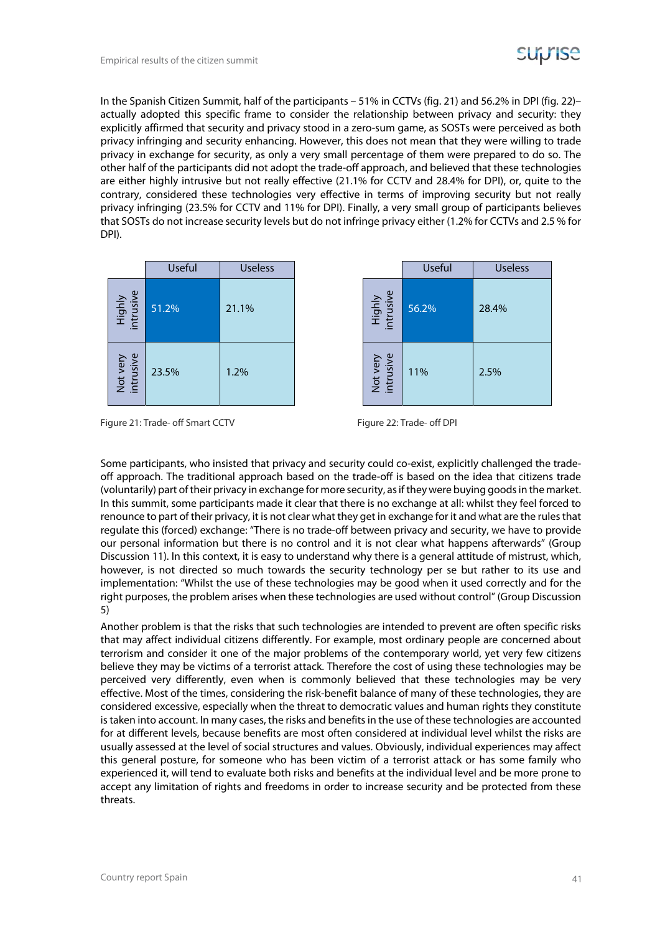

In the Spanish Citizen Summit, half of the participants – 51% in CCTVs (fig. 21) and 56.2% in DPI (fig. 22)– actually adopted this specific frame to consider the relationship between privacy and security: they explicitly affirmed that security and privacy stood in a zero-sum game, as SOSTs were perceived as both privacy infringing and security enhancing. However, this does not mean that they were willing to trade privacy in exchange for security, as only a very small percentage of them were prepared to do so. The other half of the participants did not adopt the trade-off approach, and believed that these technologies are either highly intrusive but not really effective (21.1% for CCTV and 28.4% for DPI), or, quite to the contrary, considered these technologies very effective in terms of improving security but not really privacy infringing (23.5% for CCTV and 11% for DPI). Finally, a very small group of participants believes that SOSTs do not increase security levels but do not infringe privacy either (1.2% for CCTVs and 2.5 % for DPI).

|                       | <b>Useful</b> | <b>Useless</b> |
|-----------------------|---------------|----------------|
| Highly<br>intrusive   | 51.2%         | 21.1%          |
| Not very<br>intrusive | 23.5%         | 1.2%           |

| Useful | <b>Useless</b> |                            | Useful | <b>Useless</b> |
|--------|----------------|----------------------------|--------|----------------|
| 2%     | 21.1%          | <b>Highly</b><br>intrusive | 56.2%  | 28.4%          |
| 5%     | 1.2%           | Not very<br>intrusive      | 11%    | 2.5%           |

Figure 21: Trade- off Smart CCTV Figure 22: Trade- off DPI

Some participants, who insisted that privacy and security could co-exist, explicitly challenged the tradeoff approach. The traditional approach based on the trade-off is based on the idea that citizens trade (voluntarily) part of their privacy in exchange for more security, as if they were buying goods in the market. In this summit, some participants made it clear that there is no exchange at all: whilst they feel forced to renounce to part of their privacy, it is not clear what they get in exchange for it and what are the rules that regulate this (forced) exchange: "There is no trade-off between privacy and security, we have to provide our personal information but there is no control and it is not clear what happens afterwards" (Group Discussion 11). In this context, it is easy to understand why there is a general attitude of mistrust, which, however, is not directed so much towards the security technology per se but rather to its use and implementation: "Whilst the use of these technologies may be good when it used correctly and for the right purposes, the problem arises when these technologies are used without control" (Group Discussion 5)

Another problem is that the risks that such technologies are intended to prevent are often specific risks that may affect individual citizens differently. For example, most ordinary people are concerned about terrorism and consider it one of the major problems of the contemporary world, yet very few citizens believe they may be victims of a terrorist attack. Therefore the cost of using these technologies may be perceived very differently, even when is commonly believed that these technologies may be very effective. Most of the times, considering the risk-benefit balance of many of these technologies, they are considered excessive, especially when the threat to democratic values and human rights they constitute is taken into account. In many cases, the risks and benefits in the use of these technologies are accounted for at different levels, because benefits are most often considered at individual level whilst the risks are usually assessed at the level of social structures and values. Obviously, individual experiences may affect this general posture, for someone who has been victim of a terrorist attack or has some family who experienced it, will tend to evaluate both risks and benefits at the individual level and be more prone to accept any limitation of rights and freedoms in order to increase security and be protected from these threats.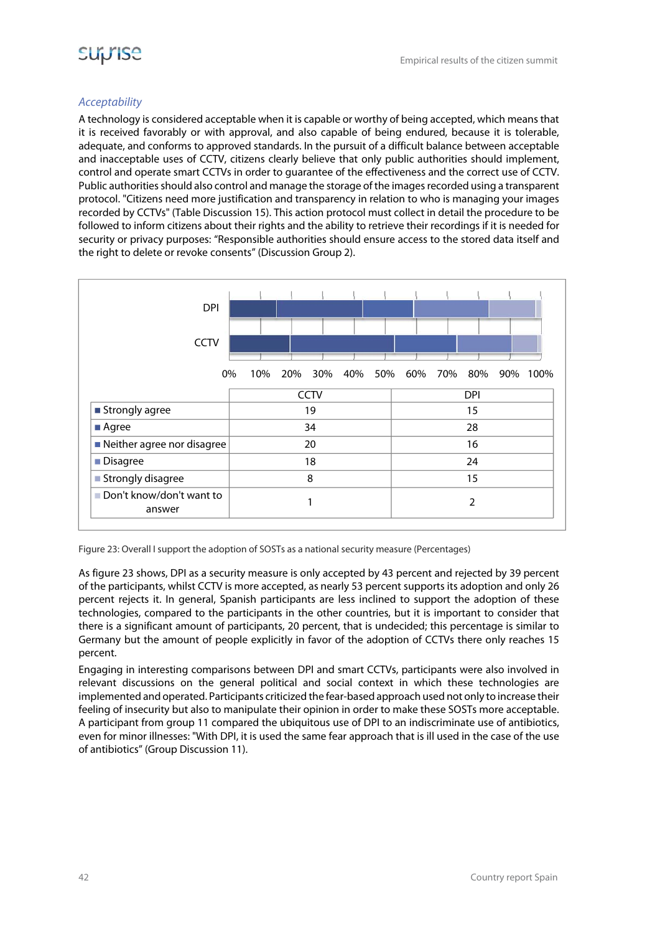

#### Acceptability

A technology is considered acceptable when it is capable or worthy of being accepted, which means that it is received favorably or with approval, and also capable of being endured, because it is tolerable, adequate, and conforms to approved standards. In the pursuit of a difficult balance between acceptable and inacceptable uses of CCTV, citizens clearly believe that only public authorities should implement, control and operate smart CCTVs in order to guarantee of the effectiveness and the correct use of CCTV. Public authorities should also control and manage the storage of the images recorded using a transparent protocol. "Citizens need more justification and transparency in relation to who is managing your images recorded by CCTVs" (Table Discussion 15). This action protocol must collect in detail the procedure to be followed to inform citizens about their rights and the ability to retrieve their recordings if it is needed for security or privacy purposes: "Responsible authorities should ensure access to the stored data itself and the right to delete or revoke consents" (Discussion Group 2).



Figure 23: Overall I support the adoption of SOSTs as a national security measure (Percentages)

As figure 23 shows, DPI as a security measure is only accepted by 43 percent and rejected by 39 percent of the participants, whilst CCTV is more accepted, as nearly 53 percent supports its adoption and only 26 percent rejects it. In general, Spanish participants are less inclined to support the adoption of these technologies, compared to the participants in the other countries, but it is important to consider that there is a significant amount of participants, 20 percent, that is undecided; this percentage is similar to Germany but the amount of people explicitly in favor of the adoption of CCTVs there only reaches 15 percent.

Engaging in interesting comparisons between DPI and smart CCTVs, participants were also involved in relevant discussions on the general political and social context in which these technologies are implemented and operated. Participants criticized the fear-based approach used not only to increase their feeling of insecurity but also to manipulate their opinion in order to make these SOSTs more acceptable. A participant from group 11 compared the ubiquitous use of DPI to an indiscriminate use of antibiotics, even for minor illnesses: "With DPI, it is used the same fear approach that is ill used in the case of the use of antibiotics" (Group Discussion 11).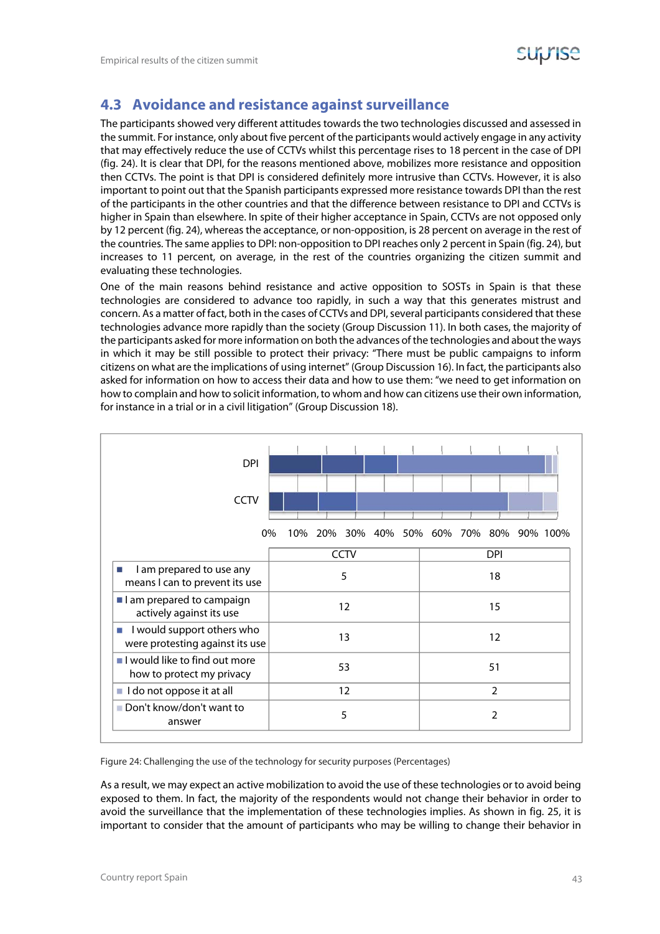

### **4.3 Avoidance and resistance against surveillance**

The participants showed very different attitudes towards the two technologies discussed and assessed in the summit. For instance, only about five percent of the participants would actively engage in any activity that may effectively reduce the use of CCTVs whilst this percentage rises to 18 percent in the case of DPI (fig. 24). It is clear that DPI, for the reasons mentioned above, mobilizes more resistance and opposition then CCTVs. The point is that DPI is considered definitely more intrusive than CCTVs. However, it is also important to point out that the Spanish participants expressed more resistance towards DPI than the rest of the participants in the other countries and that the difference between resistance to DPI and CCTVs is higher in Spain than elsewhere. In spite of their higher acceptance in Spain, CCTVs are not opposed only by 12 percent (fig. 24), whereas the acceptance, or non-opposition, is 28 percent on average in the rest of the countries. The same applies to DPI: non-opposition to DPI reaches only 2 percent in Spain (fig. 24), but increases to 11 percent, on average, in the rest of the countries organizing the citizen summit and evaluating these technologies.

One of the main reasons behind resistance and active opposition to SOSTs in Spain is that these technologies are considered to advance too rapidly, in such a way that this generates mistrust and concern. As a matter of fact, both in the cases of CCTVs and DPI, several participants considered that these technologies advance more rapidly than the society (Group Discussion 11). In both cases, the majority of the participants asked for more information on both the advances of the technologies and about the ways in which it may be still possible to protect their privacy: "There must be public campaigns to inform citizens on what are the implications of using internet" (Group Discussion 16). In fact, the participants also asked for information on how to access their data and how to use them: "we need to get information on how to complain and how to solicit information, to whom and how can citizens use their own information, for instance in a trial or in a civil litigation" (Group Discussion 18).



Figure 24: Challenging the use of the technology for security purposes (Percentages)

As a result, we may expect an active mobilization to avoid the use of these technologies or to avoid being exposed to them. In fact, the majority of the respondents would not change their behavior in order to avoid the surveillance that the implementation of these technologies implies. As shown in fig. 25, it is important to consider that the amount of participants who may be willing to change their behavior in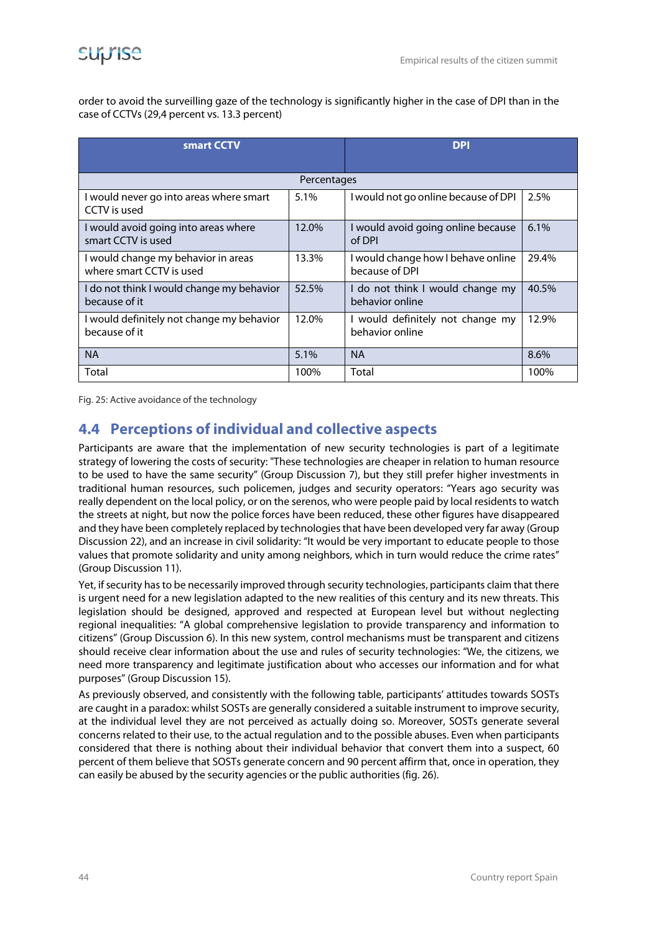order to avoid the surveilling gaze of the technology is significantly higher in the case of DPI than in the case of CCTVs (29,4 percent vs. 13.3 percent)

| smart CCTV                                                      | <b>DPI</b> |                                                      |       |  |  |  |  |
|-----------------------------------------------------------------|------------|------------------------------------------------------|-------|--|--|--|--|
| Percentages                                                     |            |                                                      |       |  |  |  |  |
| I would never go into areas where smart<br>CCTV is used         | 5.1%       | I would not go online because of DPI                 | 2.5%  |  |  |  |  |
| I would avoid going into areas where<br>smart CCTV is used      | 12.0%      | I would avoid going online because<br>of DPI         | 6.1%  |  |  |  |  |
| I would change my behavior in areas<br>where smart CCTV is used | 13.3%      | I would change how I behave online<br>because of DPI | 29.4% |  |  |  |  |
| I do not think I would change my behavior<br>because of it      | 52.5%      | I do not think I would change my<br>behavior online  | 40.5% |  |  |  |  |
| I would definitely not change my behavior<br>because of it      | 12.0%      | I would definitely not change my<br>behavior online  | 12.9% |  |  |  |  |
| <b>NA</b>                                                       | 5.1%       | <b>NA</b>                                            | 8.6%  |  |  |  |  |
| Total                                                           | 100%       | Total                                                | 100%  |  |  |  |  |

Fig. 25: Active avoidance of the technology

### **4.4 Perceptions of individual and collective aspects**

Participants are aware that the implementation of new security technologies is part of a legitimate strategy of lowering the costs of security: "These technologies are cheaper in relation to human resource to be used to have the same security" (Group Discussion 7), but they still prefer higher investments in traditional human resources, such policemen, judges and security operators: "Years ago security was really dependent on the local policy, or on the serenos, who were people paid by local residents to watch the streets at night, but now the police forces have been reduced, these other figures have disappeared and they have been completely replaced by technologies that have been developed very far away (Group Discussion 22), and an increase in civil solidarity: "It would be very important to educate people to those values that promote solidarity and unity among neighbors, which in turn would reduce the crime rates" (Group Discussion 11).

Yet, if security has to be necessarily improved through security technologies, participants claim that there is urgent need for a new legislation adapted to the new realities of this century and its new threats. This legislation should be designed, approved and respected at European level but without neglecting regional inequalities: "A global comprehensive legislation to provide transparency and information to citizens" (Group Discussion 6). In this new system, control mechanisms must be transparent and citizens should receive clear information about the use and rules of security technologies: "We, the citizens, we need more transparency and legitimate justification about who accesses our information and for what purposes" (Group Discussion 15).

As previously observed, and consistently with the following table, participants' attitudes towards SOSTs are caught in a paradox: whilst SOSTs are generally considered a suitable instrument to improve security, at the individual level they are not perceived as actually doing so. Moreover, SOSTs generate several concerns related to their use, to the actual regulation and to the possible abuses. Even when participants considered that there is nothing about their individual behavior that convert them into a suspect, 60 percent of them believe that SOSTs generate concern and 90 percent affirm that, once in operation, they can easily be abused by the security agencies or the public authorities (fig. 26).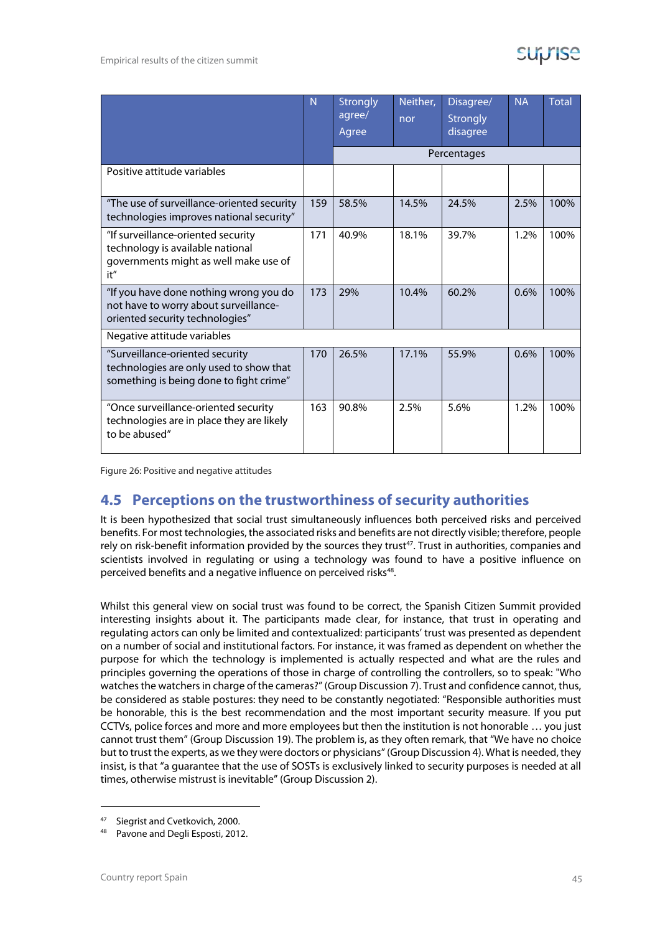|                                                                                                                        | N)  | Strongly<br>agree/<br>Agree | Neither,<br>nor | Disagree/<br><b>Strongly</b><br>disagree | <b>NA</b> | <b>Total</b> |
|------------------------------------------------------------------------------------------------------------------------|-----|-----------------------------|-----------------|------------------------------------------|-----------|--------------|
|                                                                                                                        |     |                             |                 | Percentages                              |           |              |
| Positive attitude variables                                                                                            |     |                             |                 |                                          |           |              |
| "The use of surveillance-oriented security<br>technologies improves national security"                                 | 159 | 58.5%                       | 14.5%           | 24.5%                                    | 2.5%      | 100%         |
| "If surveillance-oriented security<br>technology is available national<br>governments might as well make use of<br>it" | 171 | 40.9%                       | 18.1%           | 39.7%                                    | 1.2%      | 100%         |
| "If you have done nothing wrong you do<br>not have to worry about surveillance-<br>oriented security technologies"     | 173 | 29%                         | 10.4%           | 60.2%                                    | 0.6%      | 100%         |
| Negative attitude variables                                                                                            |     |                             |                 |                                          |           |              |
| "Surveillance-oriented security<br>technologies are only used to show that<br>something is being done to fight crime"  | 170 | 26.5%                       | 17.1%           | 55.9%                                    | 0.6%      | 100%         |
| "Once surveillance-oriented security<br>technologies are in place they are likely<br>to be abused"                     | 163 | 90.8%                       | 2.5%            | 5.6%                                     | 1.2%      | 100%         |

Figure 26: Positive and negative attitudes

### **4.5 Perceptions on the trustworthiness of security authorities**

It is been hypothesized that social trust simultaneously influences both perceived risks and perceived benefits. For most technologies, the associated risks and benefits are not directly visible; therefore, people rely on risk-benefit information provided by the sources they trust<sup>47</sup>. Trust in authorities, companies and scientists involved in regulating or using a technology was found to have a positive influence on perceived benefits and a negative influence on perceived risks<sup>48</sup>.

Whilst this general view on social trust was found to be correct, the Spanish Citizen Summit provided interesting insights about it. The participants made clear, for instance, that trust in operating and regulating actors can only be limited and contextualized: participants' trust was presented as dependent on a number of social and institutional factors. For instance, it was framed as dependent on whether the purpose for which the technology is implemented is actually respected and what are the rules and principles governing the operations of those in charge of controlling the controllers, so to speak: "Who watches the watchers in charge of the cameras?" (Group Discussion 7). Trust and confidence cannot, thus, be considered as stable postures: they need to be constantly negotiated: "Responsible authorities must be honorable, this is the best recommendation and the most important security measure. If you put CCTVs, police forces and more and more employees but then the institution is not honorable … you just cannot trust them" (Group Discussion 19). The problem is, as they often remark, that "We have no choice but to trust the experts, as we they were doctors or physicians" (Group Discussion 4). What is needed, they insist, is that "a guarantee that the use of SOSTs is exclusively linked to security purposes is needed at all times, otherwise mistrust is inevitable" (Group Discussion 2).

**-**

Siegrist and Cvetkovich, 2000.

<sup>48</sup> Pavone and Degli Esposti, 2012.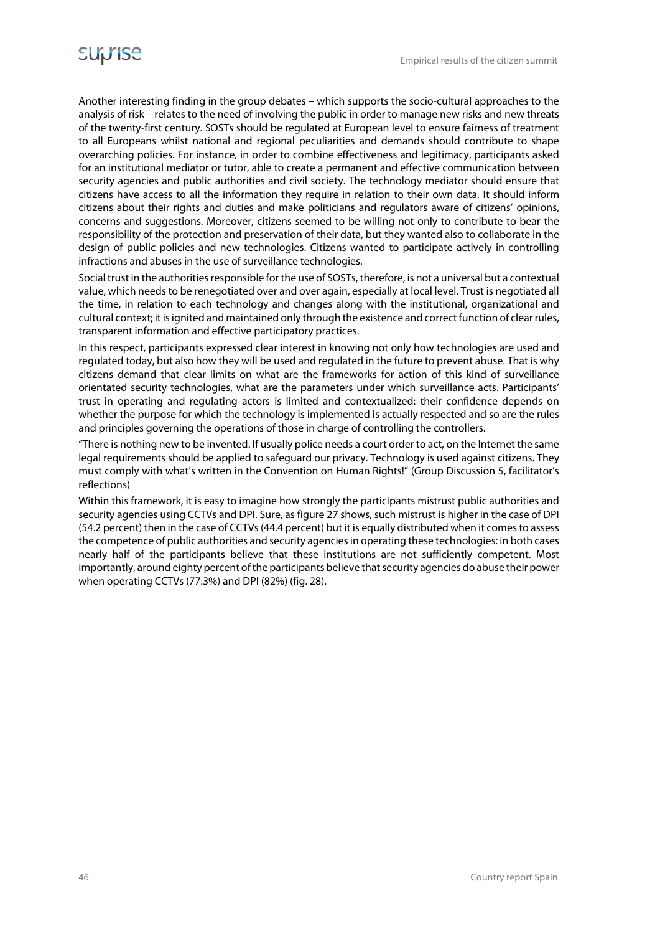Another interesting finding in the group debates – which supports the socio-cultural approaches to the analysis of risk – relates to the need of involving the public in order to manage new risks and new threats of the twenty-first century. SOSTs should be regulated at European level to ensure fairness of treatment to all Europeans whilst national and regional peculiarities and demands should contribute to shape overarching policies. For instance, in order to combine effectiveness and legitimacy, participants asked for an institutional mediator or tutor, able to create a permanent and effective communication between security agencies and public authorities and civil society. The technology mediator should ensure that citizens have access to all the information they require in relation to their own data. It should inform citizens about their rights and duties and make politicians and regulators aware of citizens' opinions, concerns and suggestions. Moreover, citizens seemed to be willing not only to contribute to bear the responsibility of the protection and preservation of their data, but they wanted also to collaborate in the design of public policies and new technologies. Citizens wanted to participate actively in controlling infractions and abuses in the use of surveillance technologies.

Social trust in the authorities responsible for the use of SOSTs, therefore, is not a universal but a contextual value, which needs to be renegotiated over and over again, especially at local level. Trust is negotiated all the time, in relation to each technology and changes along with the institutional, organizational and cultural context; it is ignited and maintained only through the existence and correct function of clear rules, transparent information and effective participatory practices.

In this respect, participants expressed clear interest in knowing not only how technologies are used and regulated today, but also how they will be used and regulated in the future to prevent abuse. That is why citizens demand that clear limits on what are the frameworks for action of this kind of surveillance orientated security technologies, what are the parameters under which surveillance acts. Participants' trust in operating and regulating actors is limited and contextualized: their confidence depends on whether the purpose for which the technology is implemented is actually respected and so are the rules and principles governing the operations of those in charge of controlling the controllers.

"There is nothing new to be invented. If usually police needs a court order to act, on the Internet the same legal requirements should be applied to safeguard our privacy. Technology is used against citizens. They must comply with what's written in the Convention on Human Rights!" (Group Discussion 5, facilitator's reflections)

Within this framework, it is easy to imagine how strongly the participants mistrust public authorities and security agencies using CCTVs and DPI. Sure, as figure 27 shows, such mistrust is higher in the case of DPI (54.2 percent) then in the case of CCTVs (44.4 percent) but it is equally distributed when it comes to assess the competence of public authorities and security agencies in operating these technologies: in both cases nearly half of the participants believe that these institutions are not sufficiently competent. Most importantly, around eighty percent of the participants believe that security agencies do abuse their power when operating CCTVs (77.3%) and DPI (82%) (fig. 28).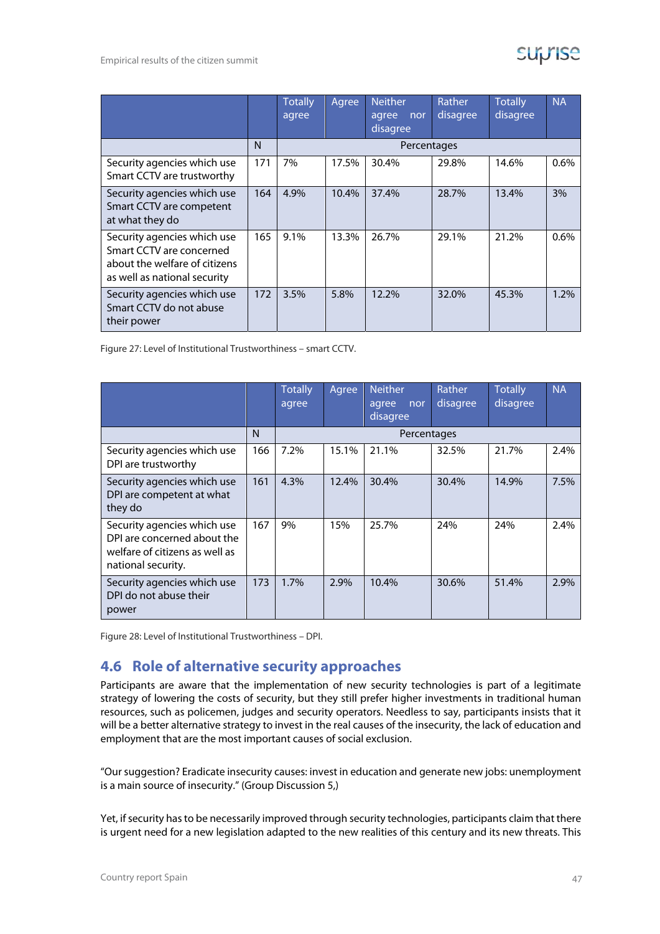|                                                                                                                          |     | <b>Totally</b><br>agree | Agree | <b>Neither</b><br>agree<br>nor<br>disagree | <b>Rather</b><br>disagree | <b>Totally</b><br>disagree | <b>NA</b> |
|--------------------------------------------------------------------------------------------------------------------------|-----|-------------------------|-------|--------------------------------------------|---------------------------|----------------------------|-----------|
|                                                                                                                          | N   |                         |       | Percentages                                |                           |                            |           |
| Security agencies which use<br>Smart CCTV are trustworthy                                                                | 171 | 7%                      | 17.5% | 30.4%                                      | 29.8%                     | 14.6%                      | 0.6%      |
| Security agencies which use<br>Smart CCTV are competent<br>at what they do                                               | 164 | 4.9%                    | 10.4% | 37.4%                                      | 28.7%                     | 13.4%                      | 3%        |
| Security agencies which use<br>Smart CCTV are concerned<br>about the welfare of citizens<br>as well as national security | 165 | 9.1%                    | 13.3% | 26.7%                                      | 29.1%                     | 21.2%                      | 0.6%      |
| Security agencies which use<br>Smart CCTV do not abuse<br>their power                                                    | 172 | 3.5%                    | 5.8%  | 12.2%                                      | 32.0%                     | 45.3%                      | 1.2%      |

Figure 27: Level of Institutional Trustworthiness – smart CCTV.

|                                                                                                                    |     | <b>Totally</b><br>agree | Agree | <b>Neither</b><br>agree<br>nor<br>disagree | <b>Rather</b><br>disagree | <b>Totally</b><br>disagree | <b>NA</b> |
|--------------------------------------------------------------------------------------------------------------------|-----|-------------------------|-------|--------------------------------------------|---------------------------|----------------------------|-----------|
|                                                                                                                    | N   |                         |       | Percentages                                |                           |                            |           |
| Security agencies which use<br>DPI are trustworthy                                                                 | 166 | 7.2%                    | 15.1% | 21.1%                                      | 32.5%                     | 21.7%                      | 2.4%      |
| Security agencies which use<br>DPI are competent at what<br>they do                                                | 161 | 4.3%                    | 12.4% | 30.4%                                      | 30.4%                     | 14.9%                      | 7.5%      |
| Security agencies which use<br>DPI are concerned about the<br>welfare of citizens as well as<br>national security. | 167 | 9%                      | 15%   | 25.7%                                      | 24%                       | 24%                        | 2.4%      |
| Security agencies which use<br>DPI do not abuse their<br>power                                                     | 173 | 1.7%                    | 2.9%  | 10.4%                                      | 30.6%                     | 51.4%                      | 2.9%      |

Figure 28: Level of Institutional Trustworthiness – DPI.

### **4.6 Role of alternative security approaches**

Participants are aware that the implementation of new security technologies is part of a legitimate strategy of lowering the costs of security, but they still prefer higher investments in traditional human resources, such as policemen, judges and security operators. Needless to say, participants insists that it will be a better alternative strategy to invest in the real causes of the insecurity, the lack of education and employment that are the most important causes of social exclusion.

"Our suggestion? Eradicate insecurity causes: invest in education and generate new jobs: unemployment is a main source of insecurity." (Group Discussion 5,)

Yet, if security has to be necessarily improved through security technologies, participants claim that there is urgent need for a new legislation adapted to the new realities of this century and its new threats. This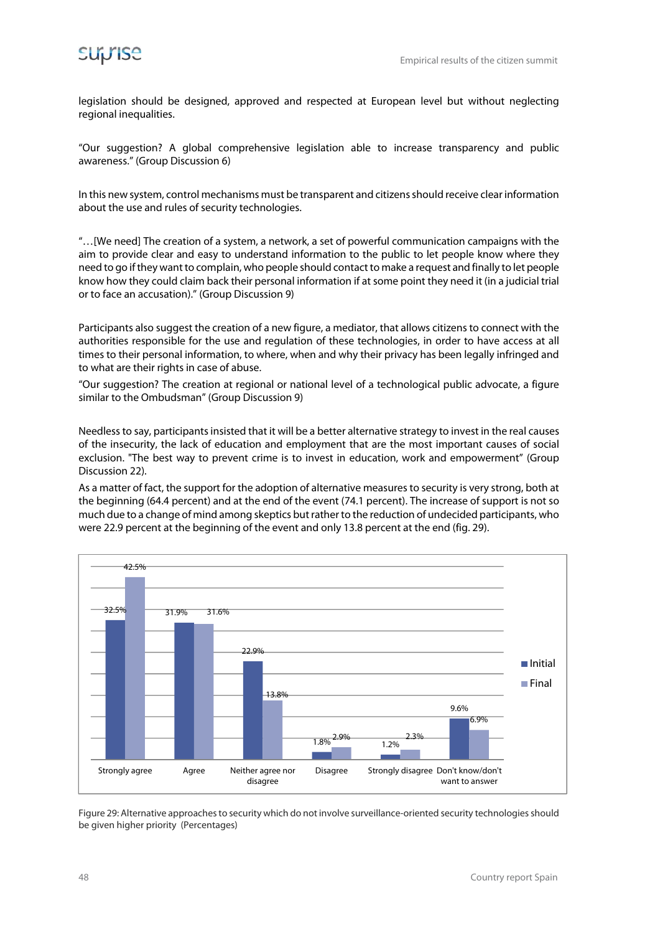legislation should be designed, approved and respected at European level but without neglecting regional inequalities.

"Our suggestion? A global comprehensive legislation able to increase transparency and public awareness." (Group Discussion 6)

In this new system, control mechanisms must be transparent and citizens should receive clear information about the use and rules of security technologies.

"…[We need] The creation of a system, a network, a set of powerful communication campaigns with the aim to provide clear and easy to understand information to the public to let people know where they need to go if they want to complain, who people should contact to make a request and finally to let people know how they could claim back their personal information if at some point they need it (in a judicial trial or to face an accusation)." (Group Discussion 9)

Participants also suggest the creation of a new figure, a mediator, that allows citizens to connect with the authorities responsible for the use and regulation of these technologies, in order to have access at all times to their personal information, to where, when and why their privacy has been legally infringed and to what are their rights in case of abuse.

"Our suggestion? The creation at regional or national level of a technological public advocate, a figure similar to the Ombudsman" (Group Discussion 9)

Needless to say, participants insisted that it will be a better alternative strategy to invest in the real causes of the insecurity, the lack of education and employment that are the most important causes of social exclusion. "The best way to prevent crime is to invest in education, work and empowerment" (Group Discussion 22).

As a matter of fact, the support for the adoption of alternative measures to security is very strong, both at the beginning (64.4 percent) and at the end of the event (74.1 percent). The increase of support is not so much due to a change of mind among skeptics but rather to the reduction of undecided participants, who were 22.9 percent at the beginning of the event and only 13.8 percent at the end (fig. 29).



Figure 29: Alternative approaches to security which do not involve surveillance-oriented security technologies should be given higher priority (Percentages)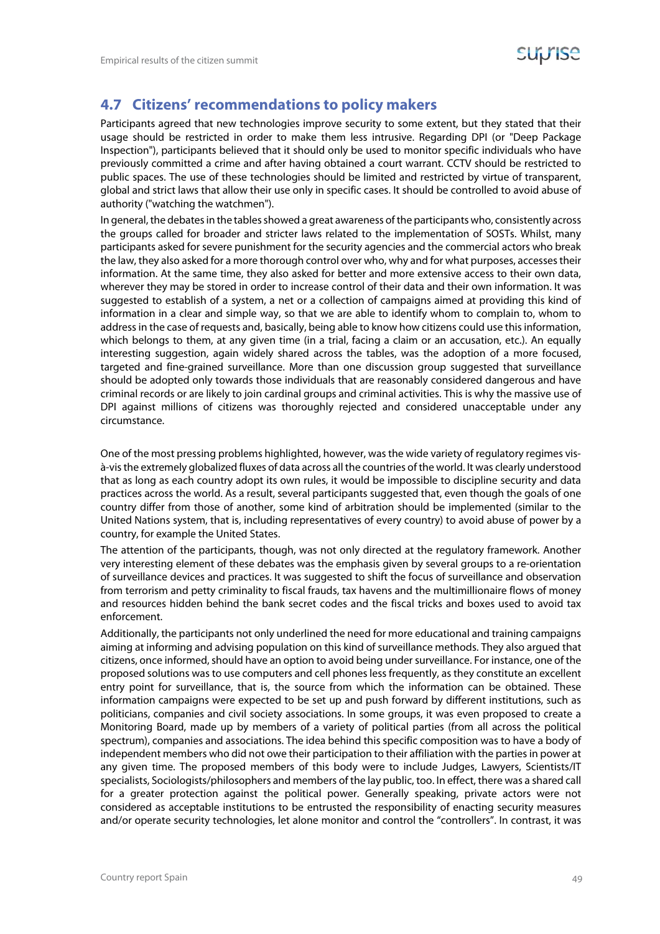

#### **4.7 Citizens' recommendations to policy makers**

Participants agreed that new technologies improve security to some extent, but they stated that their usage should be restricted in order to make them less intrusive. Regarding DPI (or "Deep Package Inspection"), participants believed that it should only be used to monitor specific individuals who have previously committed a crime and after having obtained a court warrant. CCTV should be restricted to public spaces. The use of these technologies should be limited and restricted by virtue of transparent, global and strict laws that allow their use only in specific cases. It should be controlled to avoid abuse of authority ("watching the watchmen").

In general, the debates in the tables showed a great awareness of the participants who, consistently across the groups called for broader and stricter laws related to the implementation of SOSTs. Whilst, many participants asked for severe punishment for the security agencies and the commercial actors who break the law, they also asked for a more thorough control over who, why and for what purposes, accesses their information. At the same time, they also asked for better and more extensive access to their own data, wherever they may be stored in order to increase control of their data and their own information. It was suggested to establish of a system, a net or a collection of campaigns aimed at providing this kind of information in a clear and simple way, so that we are able to identify whom to complain to, whom to address in the case of requests and, basically, being able to know how citizens could use this information, which belongs to them, at any given time (in a trial, facing a claim or an accusation, etc.). An equally interesting suggestion, again widely shared across the tables, was the adoption of a more focused, targeted and fine-grained surveillance. More than one discussion group suggested that surveillance should be adopted only towards those individuals that are reasonably considered dangerous and have criminal records or are likely to join cardinal groups and criminal activities. This is why the massive use of DPI against millions of citizens was thoroughly rejected and considered unacceptable under any circumstance.

One of the most pressing problems highlighted, however, was the wide variety of regulatory regimes visà-vis the extremely globalized fluxes of data across all the countries of the world. It was clearly understood that as long as each country adopt its own rules, it would be impossible to discipline security and data practices across the world. As a result, several participants suggested that, even though the goals of one country differ from those of another, some kind of arbitration should be implemented (similar to the United Nations system, that is, including representatives of every country) to avoid abuse of power by a country, for example the United States.

The attention of the participants, though, was not only directed at the regulatory framework. Another very interesting element of these debates was the emphasis given by several groups to a re-orientation of surveillance devices and practices. It was suggested to shift the focus of surveillance and observation from terrorism and petty criminality to fiscal frauds, tax havens and the multimillionaire flows of money and resources hidden behind the bank secret codes and the fiscal tricks and boxes used to avoid tax enforcement.

Additionally, the participants not only underlined the need for more educational and training campaigns aiming at informing and advising population on this kind of surveillance methods. They also argued that citizens, once informed, should have an option to avoid being under surveillance. For instance, one of the proposed solutions was to use computers and cell phones less frequently, as they constitute an excellent entry point for surveillance, that is, the source from which the information can be obtained. These information campaigns were expected to be set up and push forward by different institutions, such as politicians, companies and civil society associations. In some groups, it was even proposed to create a Monitoring Board, made up by members of a variety of political parties (from all across the political spectrum), companies and associations. The idea behind this specific composition was to have a body of independent members who did not owe their participation to their affiliation with the parties in power at any given time. The proposed members of this body were to include Judges, Lawyers, Scientists/IT specialists, Sociologists/philosophers and members of the lay public, too. In effect, there was a shared call for a greater protection against the political power. Generally speaking, private actors were not considered as acceptable institutions to be entrusted the responsibility of enacting security measures and/or operate security technologies, let alone monitor and control the "controllers". In contrast, it was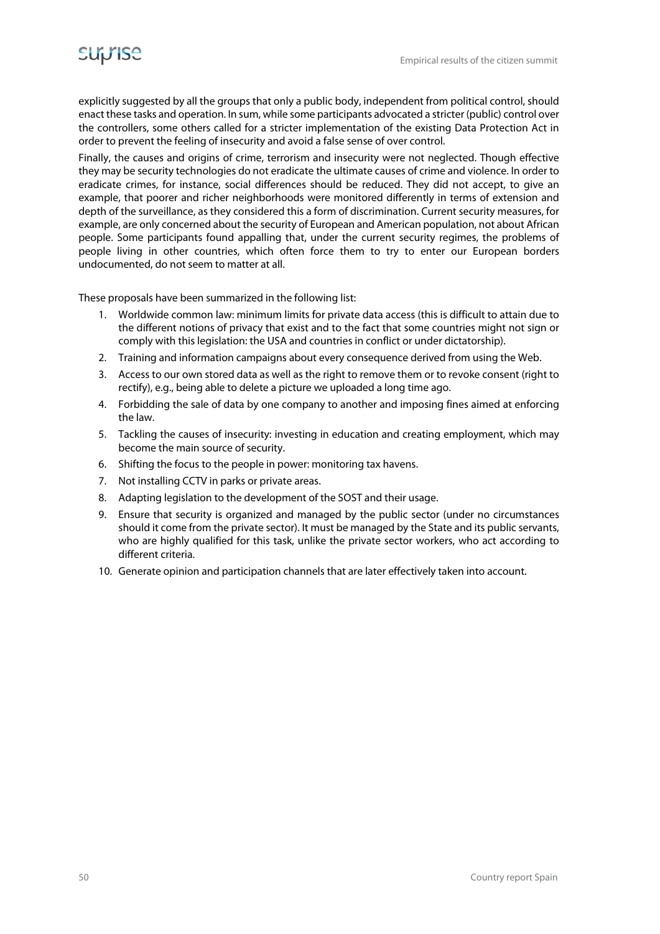explicitly suggested by all the groups that only a public body, independent from political control, should enact these tasks and operation. In sum, while some participants advocated a stricter (public) control over the controllers, some others called for a stricter implementation of the existing Data Protection Act in order to prevent the feeling of insecurity and avoid a false sense of over control.

Finally, the causes and origins of crime, terrorism and insecurity were not neglected. Though effective they may be security technologies do not eradicate the ultimate causes of crime and violence. In order to eradicate crimes, for instance, social differences should be reduced. They did not accept, to give an example, that poorer and richer neighborhoods were monitored differently in terms of extension and depth of the surveillance, as they considered this a form of discrimination. Current security measures, for example, are only concerned about the security of European and American population, not about African people. Some participants found appalling that, under the current security regimes, the problems of people living in other countries, which often force them to try to enter our European borders undocumented, do not seem to matter at all.

These proposals have been summarized in the following list:

- 1. Worldwide common law: minimum limits for private data access (this is difficult to attain due to the different notions of privacy that exist and to the fact that some countries might not sign or comply with this legislation: the USA and countries in conflict or under dictatorship).
- 2. Training and information campaigns about every consequence derived from using the Web.
- 3. Access to our own stored data as well as the right to remove them or to revoke consent (right to rectify), e.g., being able to delete a picture we uploaded a long time ago.
- 4. Forbidding the sale of data by one company to another and imposing fines aimed at enforcing the law.
- 5. Tackling the causes of insecurity: investing in education and creating employment, which may become the main source of security.
- 6. Shifting the focus to the people in power: monitoring tax havens.
- 7. Not installing CCTV in parks or private areas.
- 8. Adapting legislation to the development of the SOST and their usage.
- 9. Ensure that security is organized and managed by the public sector (under no circumstances should it come from the private sector). It must be managed by the State and its public servants, who are highly qualified for this task, unlike the private sector workers, who act according to different criteria.
- 10. Generate opinion and participation channels that are later effectively taken into account.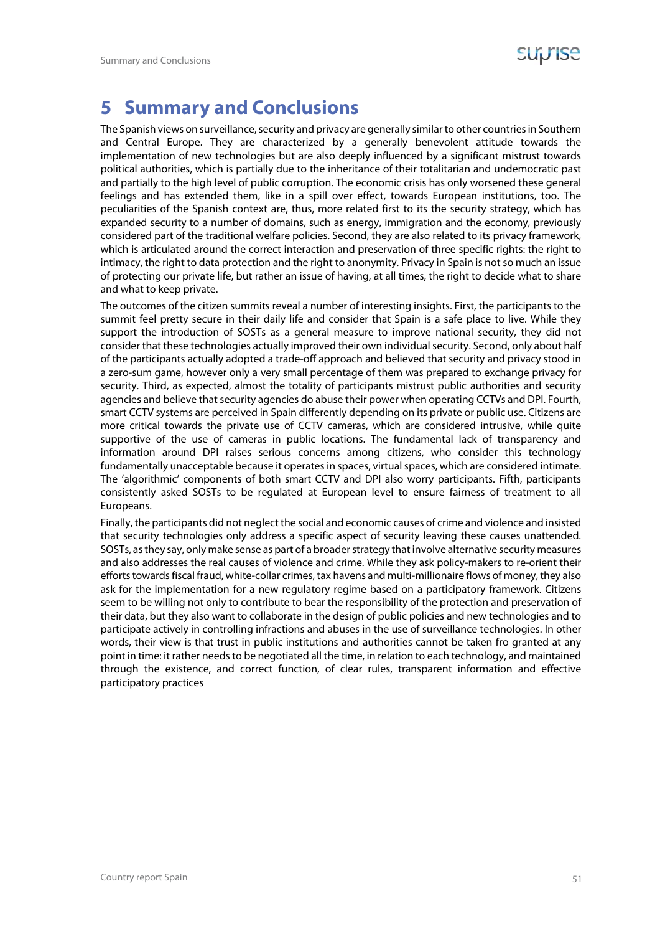

### **5 Summary and Conclusions**

The Spanish views on surveillance, security and privacy are generally similar to other countries in Southern and Central Europe. They are characterized by a generally benevolent attitude towards the implementation of new technologies but are also deeply influenced by a significant mistrust towards political authorities, which is partially due to the inheritance of their totalitarian and undemocratic past and partially to the high level of public corruption. The economic crisis has only worsened these general feelings and has extended them, like in a spill over effect, towards European institutions, too. The peculiarities of the Spanish context are, thus, more related first to its the security strategy, which has expanded security to a number of domains, such as energy, immigration and the economy, previously considered part of the traditional welfare policies. Second, they are also related to its privacy framework, which is articulated around the correct interaction and preservation of three specific rights: the right to intimacy, the right to data protection and the right to anonymity. Privacy in Spain is not so much an issue of protecting our private life, but rather an issue of having, at all times, the right to decide what to share and what to keep private.

The outcomes of the citizen summits reveal a number of interesting insights. First, the participants to the summit feel pretty secure in their daily life and consider that Spain is a safe place to live. While they support the introduction of SOSTs as a general measure to improve national security, they did not consider that these technologies actually improved their own individual security. Second, only about half of the participants actually adopted a trade-off approach and believed that security and privacy stood in a zero-sum game, however only a very small percentage of them was prepared to exchange privacy for security. Third, as expected, almost the totality of participants mistrust public authorities and security agencies and believe that security agencies do abuse their power when operating CCTVs and DPI. Fourth, smart CCTV systems are perceived in Spain differently depending on its private or public use. Citizens are more critical towards the private use of CCTV cameras, which are considered intrusive, while quite supportive of the use of cameras in public locations. The fundamental lack of transparency and information around DPI raises serious concerns among citizens, who consider this technology fundamentally unacceptable because it operates in spaces, virtual spaces, which are considered intimate. The 'algorithmic' components of both smart CCTV and DPI also worry participants. Fifth, participants consistently asked SOSTs to be regulated at European level to ensure fairness of treatment to all Europeans.

Finally, the participants did not neglect the social and economic causes of crime and violence and insisted that security technologies only address a specific aspect of security leaving these causes unattended. SOSTs, as they say, only make sense as part of a broader strategy that involve alternative security measures and also addresses the real causes of violence and crime. While they ask policy-makers to re-orient their efforts towards fiscal fraud, white-collar crimes, tax havens and multi-millionaire flows of money, they also ask for the implementation for a new regulatory regime based on a participatory framework. Citizens seem to be willing not only to contribute to bear the responsibility of the protection and preservation of their data, but they also want to collaborate in the design of public policies and new technologies and to participate actively in controlling infractions and abuses in the use of surveillance technologies. In other words, their view is that trust in public institutions and authorities cannot be taken fro granted at any point in time: it rather needs to be negotiated all the time, in relation to each technology, and maintained through the existence, and correct function, of clear rules, transparent information and effective participatory practices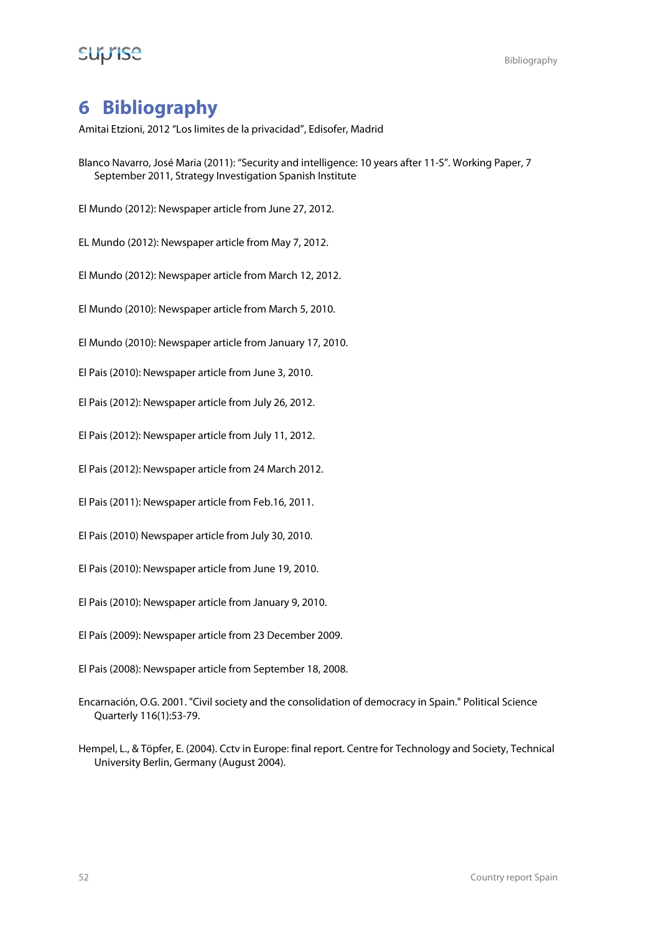## **SUPISE** Bibliography

### **6 Bibliography**

Amitai Etzioni, 2012 "Los limites de la privacidad", Edisofer, Madrid

- Blanco Navarro, José Maria (2011): "Security and intelligence: 10 years after 11-S". Working Paper, 7 September 2011, Strategy Investigation Spanish Institute
- El Mundo (2012): Newspaper article from June 27, 2012.
- EL Mundo (2012): Newspaper article from May 7, 2012.
- El Mundo (2012): Newspaper article from March 12, 2012.
- El Mundo (2010): Newspaper article from March 5, 2010.
- El Mundo (2010): Newspaper article from January 17, 2010.
- El Pais (2010): Newspaper article from June 3, 2010.
- El Pais (2012): Newspaper article from July 26, 2012.
- El Pais (2012): Newspaper article from July 11, 2012.
- El Pais (2012): Newspaper article from 24 March 2012.
- El Pais (2011): Newspaper article from Feb.16, 2011.
- El Pais (2010) Newspaper article from July 30, 2010.
- El Pais (2010): Newspaper article from June 19, 2010.
- El Pais (2010): Newspaper article from January 9, 2010.
- El País (2009): Newspaper article from 23 December 2009.
- El Pais (2008): Newspaper article from September 18, 2008.
- Encarnación, O.G. 2001. "Civil society and the consolidation of democracy in Spain." Political Science Quarterly 116(1):53-79.
- Hempel, L., & Töpfer, E. (2004). Cctv in Europe: final report. Centre for Technology and Society, Technical University Berlin, Germany (August 2004).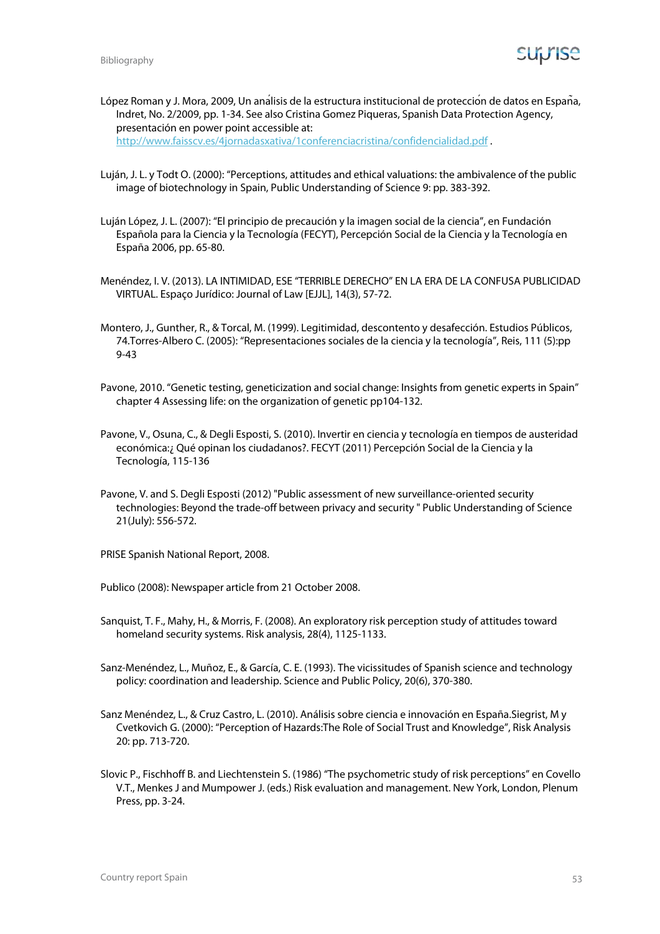López Roman y J. Mora, 2009, Un análisis de la estructura institucional de protección de datos en España, Indret, No. 2/2009, pp. 1-34. See also Cristina Gomez Piqueras, Spanish Data Protection Agency, presentación en power point accessible at:

http://www.faisscv.es/4jornadasxativa/1conferenciacristina/confidencialidad.pdf .

- Luján, J. L. y Todt O. (2000): "Perceptions, attitudes and ethical valuations: the ambivalence of the public image of biotechnology in Spain, Public Understanding of Science 9: pp. 383-392.
- Luján López, J. L. (2007): "El principio de precaución y la imagen social de la ciencia", en Fundación Española para la Ciencia y la Tecnología (FECYT), Percepción Social de la Ciencia y la Tecnología en España 2006, pp. 65-80.
- Menéndez, I. V. (2013). LA INTIMIDAD, ESE "TERRIBLE DERECHO" EN LA ERA DE LA CONFUSA PUBLICIDAD VIRTUAL. Espaço Jurídico: Journal of Law [EJJL], 14(3), 57-72.
- Montero, J., Gunther, R., & Torcal, M. (1999). Legitimidad, descontento y desafección. Estudios Públicos, 74.Torres-Albero C. (2005): "Representaciones sociales de la ciencia y la tecnología", Reis, 111 (5):pp 9-43
- Pavone, 2010. "Genetic testing, geneticization and social change: Insights from genetic experts in Spain" chapter 4 Assessing life: on the organization of genetic pp104-132.
- Pavone, V., Osuna, C., & Degli Esposti, S. (2010). Invertir en ciencia y tecnología en tiempos de austeridad económica:¿ Qué opinan los ciudadanos?. FECYT (2011) Percepción Social de la Ciencia y la Tecnología, 115-136
- Pavone, V. and S. Degli Esposti (2012) "Public assessment of new surveillance-oriented security technologies: Beyond the trade-off between privacy and security " Public Understanding of Science 21(July): 556-572.

PRISE Spanish National Report, 2008.

Publico (2008): Newspaper article from 21 October 2008.

- Sanquist, T. F., Mahy, H., & Morris, F. (2008). An exploratory risk perception study of attitudes toward homeland security systems. Risk analysis, 28(4), 1125-1133.
- Sanz-Menéndez, L., Muñoz, E., & García, C. E. (1993). The vicissitudes of Spanish science and technology policy: coordination and leadership. Science and Public Policy, 20(6), 370-380.
- Sanz Menéndez, L., & Cruz Castro, L. (2010). Análisis sobre ciencia e innovación en España.Siegrist, M y Cvetkovich G. (2000): "Perception of Hazards:The Role of Social Trust and Knowledge", Risk Analysis 20: pp. 713-720.
- Slovic P., Fischhoff B. and Liechtenstein S. (1986) "The psychometric study of risk perceptions" en Covello V.T., Menkes J and Mumpower J. (eds.) Risk evaluation and management. New York, London, Plenum Press, pp. 3-24.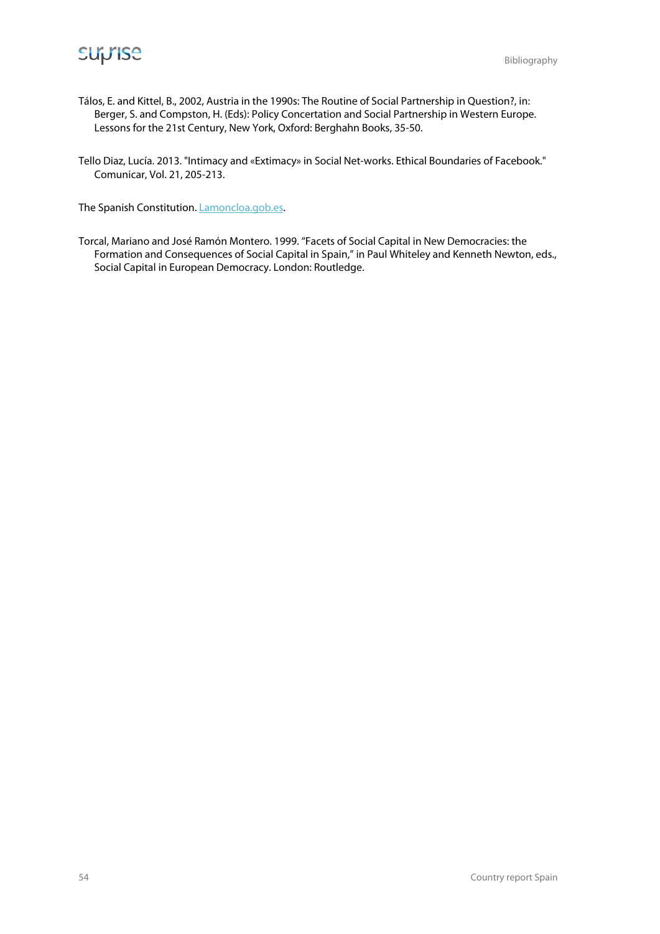

- Tálos, E. and Kittel, B., 2002, Austria in the 1990s: The Routine of Social Partnership in Question?, in: Berger, S. and Compston, H. (Eds): Policy Concertation and Social Partnership in Western Europe. Lessons for the 21st Century, New York, Oxford: Berghahn Books, 35-50.
- Tello Diaz, Lucía. 2013. "Intimacy and «Extimacy» in Social Net-works. Ethical Boundaries of Facebook." Comunicar, Vol. 21, 205-213.

The Spanish Constitution. *Lamoncloa.gob.es.* 

Torcal, Mariano and José Ramón Montero. 1999. "Facets of Social Capital in New Democracies: the Formation and Consequences of Social Capital in Spain," in Paul Whiteley and Kenneth Newton, eds., Social Capital in European Democracy. London: Routledge.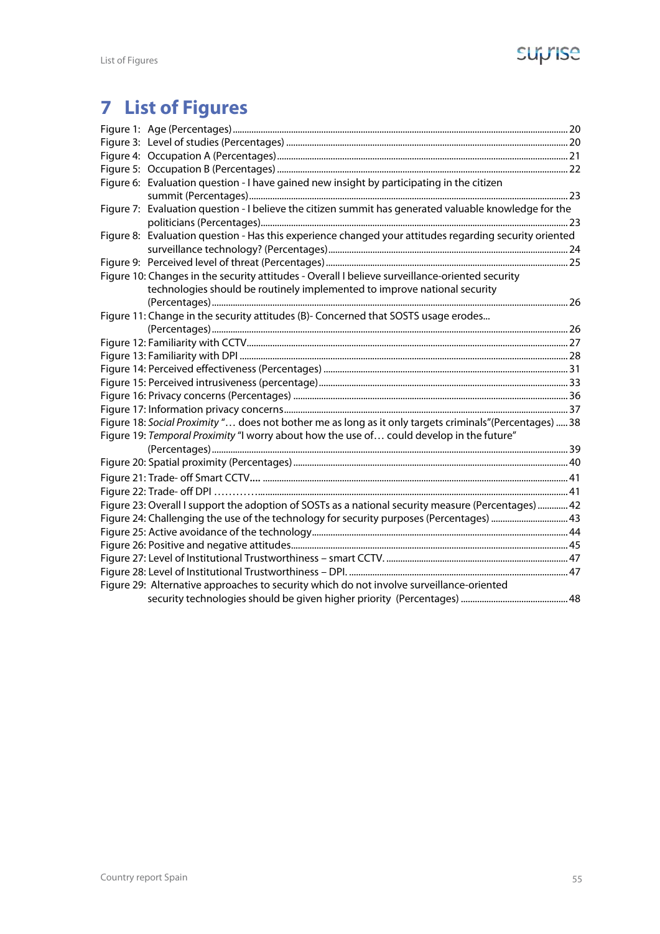## suprise

# **7 List of Figures**

| Figure 6: Evaluation question - I have gained new insight by participating in the citizen                |  |
|----------------------------------------------------------------------------------------------------------|--|
|                                                                                                          |  |
| Figure 7: Evaluation question - I believe the citizen summit has generated valuable knowledge for the    |  |
|                                                                                                          |  |
| Figure 8: Evaluation question - Has this experience changed your attitudes regarding security oriented   |  |
|                                                                                                          |  |
|                                                                                                          |  |
| Figure 10: Changes in the security attitudes - Overall I believe surveillance-oriented security          |  |
| technologies should be routinely implemented to improve national security                                |  |
|                                                                                                          |  |
| Figure 11: Change in the security attitudes (B)- Concerned that SOSTS usage erodes                       |  |
|                                                                                                          |  |
|                                                                                                          |  |
|                                                                                                          |  |
|                                                                                                          |  |
|                                                                                                          |  |
|                                                                                                          |  |
|                                                                                                          |  |
| Figure 18: Social Proximity " does not bother me as long as it only targets criminals" (Percentages)  38 |  |
| Figure 19: Temporal Proximity "I worry about how the use of could develop in the future"                 |  |
|                                                                                                          |  |
|                                                                                                          |  |
|                                                                                                          |  |
|                                                                                                          |  |
| Figure 23: Overall I support the adoption of SOSTs as a national security measure (Percentages)  42      |  |
| Figure 24: Challenging the use of the technology for security purposes (Percentages)  43                 |  |
|                                                                                                          |  |
|                                                                                                          |  |
|                                                                                                          |  |
|                                                                                                          |  |
| Figure 29: Alternative approaches to security which do not involve surveillance-oriented                 |  |
|                                                                                                          |  |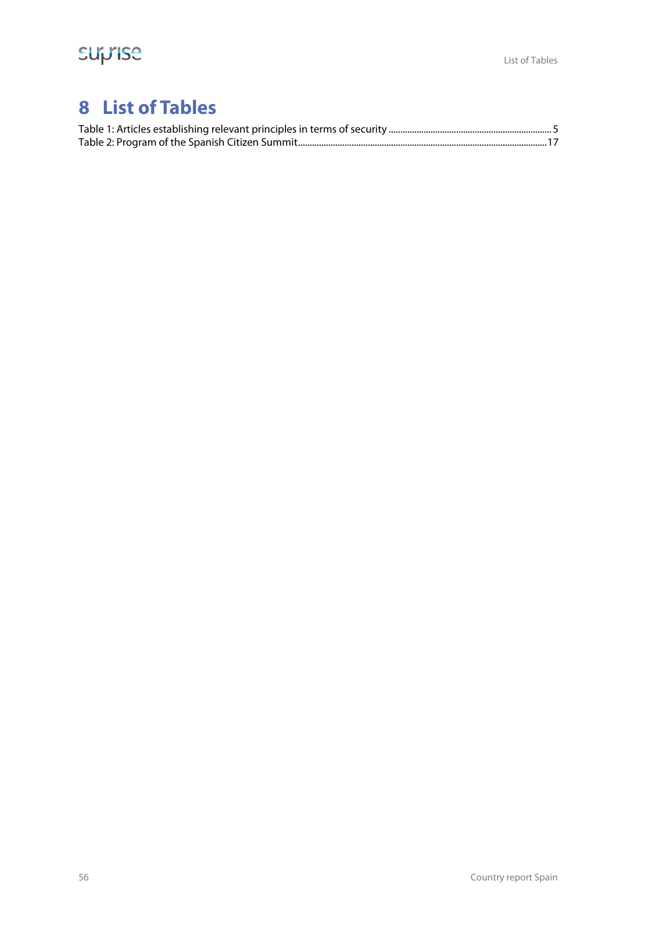## **8 List of Tables**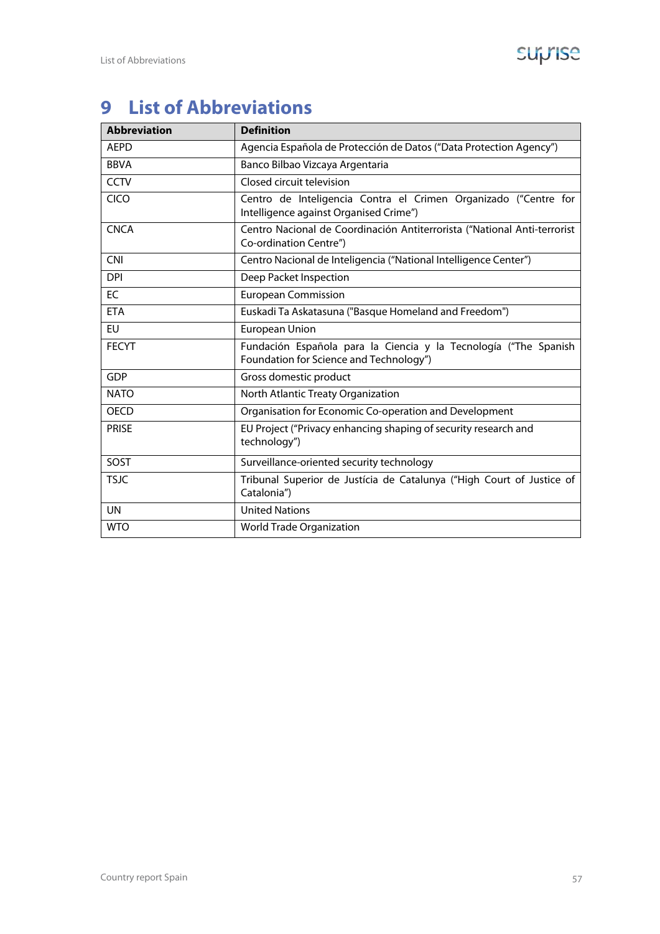# **9 List of Abbreviations**

| <b>Abbreviation</b> | <b>Definition</b>                                                                                           |
|---------------------|-------------------------------------------------------------------------------------------------------------|
| <b>AEPD</b>         | Agencia Española de Protección de Datos ("Data Protection Agency")                                          |
| <b>BBVA</b>         | Banco Bilbao Vizcaya Argentaria                                                                             |
| <b>CCTV</b>         | Closed circuit television                                                                                   |
| <b>CICO</b>         | Centro de Inteligencia Contra el Crimen Organizado ("Centre for<br>Intelligence against Organised Crime")   |
| <b>CNCA</b>         | Centro Nacional de Coordinación Antiterrorista ("National Anti-terrorist<br>Co-ordination Centre")          |
| <b>CNI</b>          | Centro Nacional de Inteligencia ("National Intelligence Center")                                            |
| <b>DPI</b>          | Deep Packet Inspection                                                                                      |
| EC                  | <b>European Commission</b>                                                                                  |
| <b>ETA</b>          | Euskadi Ta Askatasuna ("Basque Homeland and Freedom")                                                       |
| EU                  | <b>European Union</b>                                                                                       |
| <b>FECYT</b>        | Fundación Española para la Ciencia y la Tecnología ("The Spanish<br>Foundation for Science and Technology") |
| <b>GDP</b>          | Gross domestic product                                                                                      |
| <b>NATO</b>         | North Atlantic Treaty Organization                                                                          |
| <b>OECD</b>         | Organisation for Economic Co-operation and Development                                                      |
| <b>PRISE</b>        | EU Project ("Privacy enhancing shaping of security research and<br>technology")                             |
| SOST                | Surveillance-oriented security technology                                                                   |
| <b>TSJC</b>         | Tribunal Superior de Justícia de Catalunya ("High Court of Justice of<br>Catalonia")                        |
| <b>UN</b>           | <b>United Nations</b>                                                                                       |
| <b>WTO</b>          | <b>World Trade Organization</b>                                                                             |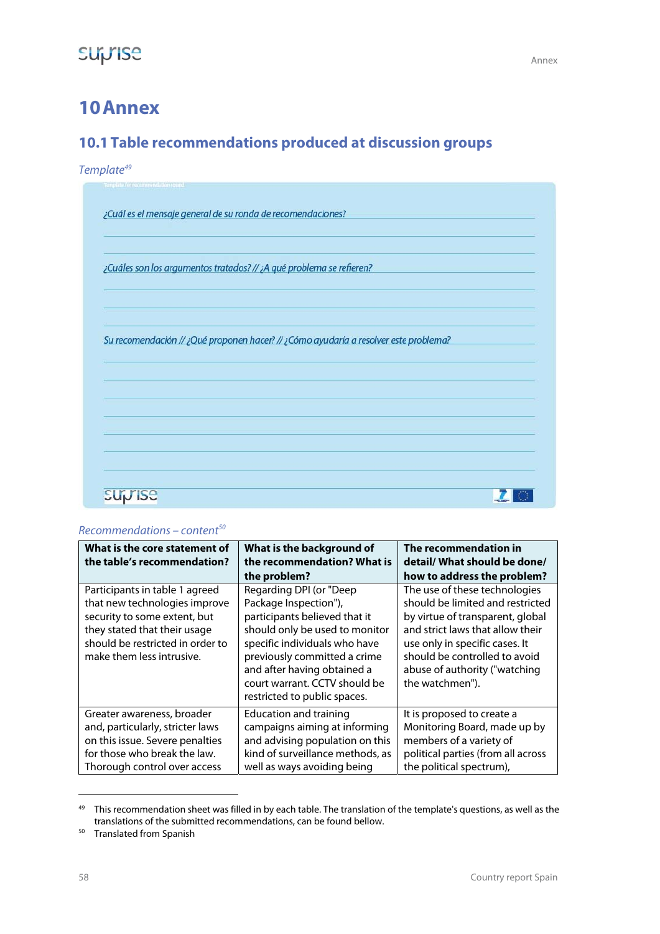### **10Annex**

### **10.1Table recommendations produced at discussion groups**

Template<sup>49</sup>

| ¿Cuál es el mensaje general de su ronda de recomendaciones?                          |  |  |
|--------------------------------------------------------------------------------------|--|--|
|                                                                                      |  |  |
| ¿Cuáles son los argumentos tratados? // ¿A qué problema se refieren?                 |  |  |
|                                                                                      |  |  |
|                                                                                      |  |  |
| Su recomendación // ¿Qué proponen hacer? // ¿Cómo ayudaría a resolver este problema? |  |  |
|                                                                                      |  |  |
|                                                                                      |  |  |
|                                                                                      |  |  |
|                                                                                      |  |  |
|                                                                                      |  |  |
|                                                                                      |  |  |

#### $Recommendations - content<sup>50</sup>$

| What is the core statement of<br>the table's recommendation?                                                                                                                                     | What is the background of<br>the recommendation? What is<br>the problem?                                                                                                                                                                                                             | The recommendation in<br>detail/What should be done/<br>how to address the problem?                                                                                                                                                                              |
|--------------------------------------------------------------------------------------------------------------------------------------------------------------------------------------------------|--------------------------------------------------------------------------------------------------------------------------------------------------------------------------------------------------------------------------------------------------------------------------------------|------------------------------------------------------------------------------------------------------------------------------------------------------------------------------------------------------------------------------------------------------------------|
| Participants in table 1 agreed<br>that new technologies improve<br>security to some extent, but<br>they stated that their usage<br>should be restricted in order to<br>make them less intrusive. | Regarding DPI (or "Deep<br>Package Inspection"),<br>participants believed that it<br>should only be used to monitor<br>specific individuals who have<br>previously committed a crime<br>and after having obtained a<br>court warrant. CCTV should be<br>restricted to public spaces. | The use of these technologies<br>should be limited and restricted<br>by virtue of transparent, global<br>and strict laws that allow their<br>use only in specific cases. It<br>should be controlled to avoid<br>abuse of authority ("watching<br>the watchmen"). |
| Greater awareness, broader<br>and, particularly, stricter laws<br>on this issue. Severe penalties<br>for those who break the law.<br>Thorough control over access                                | Education and training<br>campaigns aiming at informing<br>and advising population on this<br>kind of surveillance methods, as<br>well as ways avoiding being                                                                                                                        | It is proposed to create a<br>Monitoring Board, made up by<br>members of a variety of<br>political parties (from all across<br>the political spectrum),                                                                                                          |

<sup>&</sup>lt;sup>49</sup> This recommendation sheet was filled in by each table. The translation of the template's questions, as well as the translations of the submitted recommendations, can be found bellow.<br>
<sup>50</sup> Translated from Spanish

**-**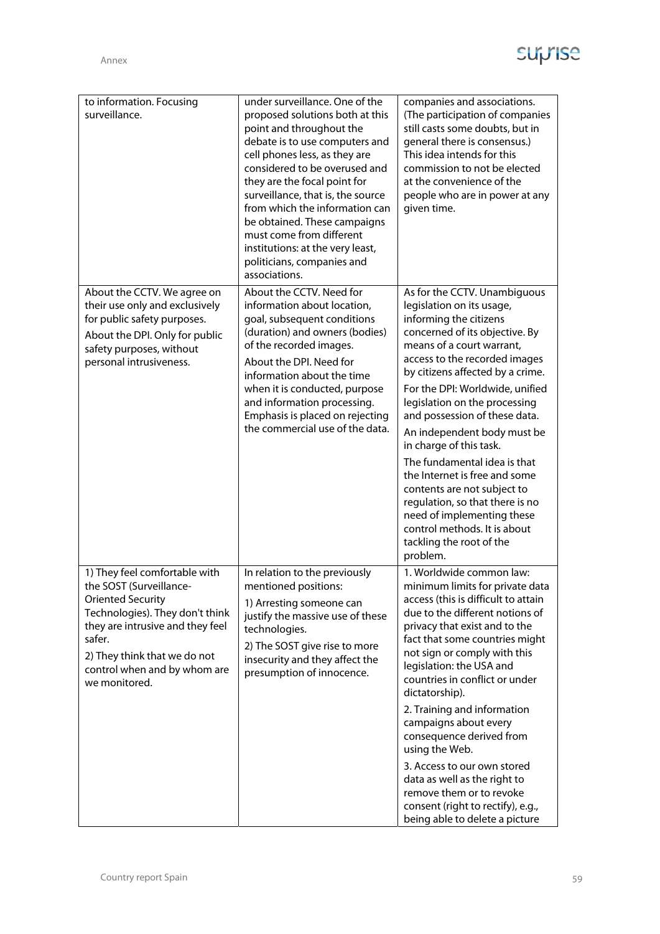| to information. Focusing<br>surveillance.                                                                                                                                                                                                              | under surveillance. One of the<br>proposed solutions both at this<br>point and throughout the<br>debate is to use computers and<br>cell phones less, as they are<br>considered to be overused and<br>they are the focal point for<br>surveillance, that is, the source<br>from which the information can<br>be obtained. These campaigns<br>must come from different<br>institutions: at the very least,<br>politicians, companies and<br>associations. | companies and associations.<br>(The participation of companies<br>still casts some doubts, but in<br>general there is consensus.)<br>This idea intends for this<br>commission to not be elected<br>at the convenience of the<br>people who are in power at any<br>given time.                                                                                                                                                                                                                                                                                                                                                   |
|--------------------------------------------------------------------------------------------------------------------------------------------------------------------------------------------------------------------------------------------------------|---------------------------------------------------------------------------------------------------------------------------------------------------------------------------------------------------------------------------------------------------------------------------------------------------------------------------------------------------------------------------------------------------------------------------------------------------------|---------------------------------------------------------------------------------------------------------------------------------------------------------------------------------------------------------------------------------------------------------------------------------------------------------------------------------------------------------------------------------------------------------------------------------------------------------------------------------------------------------------------------------------------------------------------------------------------------------------------------------|
| About the CCTV. We agree on<br>their use only and exclusively<br>for public safety purposes.<br>About the DPI. Only for public<br>safety purposes, without<br>personal intrusiveness.                                                                  | About the CCTV. Need for<br>information about location,<br>goal, subsequent conditions<br>(duration) and owners (bodies)<br>of the recorded images.<br>About the DPI. Need for<br>information about the time<br>when it is conducted, purpose<br>and information processing.<br>Emphasis is placed on rejecting<br>the commercial use of the data.                                                                                                      | As for the CCTV. Unambiguous<br>legislation on its usage,<br>informing the citizens<br>concerned of its objective. By<br>means of a court warrant,<br>access to the recorded images<br>by citizens affected by a crime.<br>For the DPI: Worldwide, unified<br>legislation on the processing<br>and possession of these data.<br>An independent body must be<br>in charge of this task.<br>The fundamental idea is that<br>the Internet is free and some<br>contents are not subject to<br>regulation, so that there is no<br>need of implementing these<br>control methods. It is about<br>tackling the root of the<br>problem. |
| 1) They feel comfortable with<br>the SOST (Surveillance-<br><b>Oriented Security</b><br>Technologies). They don't think<br>they are intrusive and they feel<br>safer.<br>2) They think that we do not<br>control when and by whom are<br>we monitored. | In relation to the previously<br>mentioned positions:<br>1) Arresting someone can<br>justify the massive use of these<br>technologies.<br>2) The SOST give rise to more<br>insecurity and they affect the<br>presumption of innocence.                                                                                                                                                                                                                  | 1. Worldwide common law:<br>minimum limits for private data<br>access (this is difficult to attain<br>due to the different notions of<br>privacy that exist and to the<br>fact that some countries might<br>not sign or comply with this<br>legislation: the USA and<br>countries in conflict or under<br>dictatorship).<br>2. Training and information<br>campaigns about every<br>consequence derived from<br>using the Web.<br>3. Access to our own stored<br>data as well as the right to<br>remove them or to revoke<br>consent (right to rectify), e.g.,<br>being able to delete a picture                                |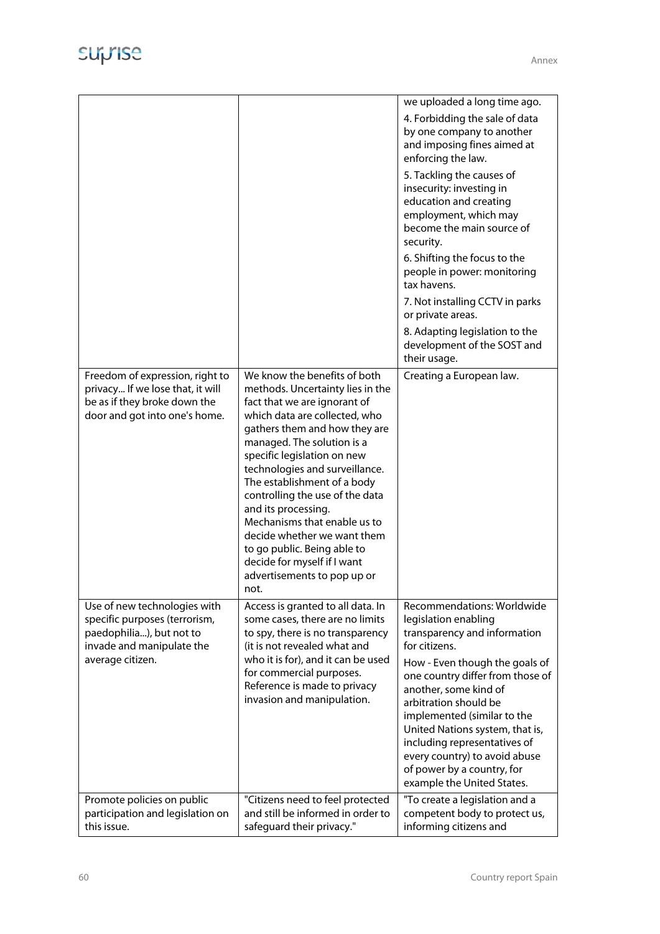|                                                                                                                                            |                                                                                                                                                                                                                                                                                                                                                                                                                                                                                                                                | we uploaded a long time ago.<br>4. Forbidding the sale of data<br>by one company to another<br>and imposing fines aimed at<br>enforcing the law.<br>5. Tackling the causes of<br>insecurity: investing in<br>education and creating<br>employment, which may<br>become the main source of<br>security.                                                                                       |
|--------------------------------------------------------------------------------------------------------------------------------------------|--------------------------------------------------------------------------------------------------------------------------------------------------------------------------------------------------------------------------------------------------------------------------------------------------------------------------------------------------------------------------------------------------------------------------------------------------------------------------------------------------------------------------------|----------------------------------------------------------------------------------------------------------------------------------------------------------------------------------------------------------------------------------------------------------------------------------------------------------------------------------------------------------------------------------------------|
|                                                                                                                                            |                                                                                                                                                                                                                                                                                                                                                                                                                                                                                                                                | 6. Shifting the focus to the<br>people in power: monitoring<br>tax havens.                                                                                                                                                                                                                                                                                                                   |
|                                                                                                                                            |                                                                                                                                                                                                                                                                                                                                                                                                                                                                                                                                | 7. Not installing CCTV in parks<br>or private areas.                                                                                                                                                                                                                                                                                                                                         |
|                                                                                                                                            |                                                                                                                                                                                                                                                                                                                                                                                                                                                                                                                                | 8. Adapting legislation to the<br>development of the SOST and<br>their usage.                                                                                                                                                                                                                                                                                                                |
| Freedom of expression, right to<br>privacy If we lose that, it will<br>be as if they broke down the<br>door and got into one's home.       | We know the benefits of both<br>methods. Uncertainty lies in the<br>fact that we are ignorant of<br>which data are collected, who<br>gathers them and how they are<br>managed. The solution is a<br>specific legislation on new<br>technologies and surveillance.<br>The establishment of a body<br>controlling the use of the data<br>and its processing.<br>Mechanisms that enable us to<br>decide whether we want them<br>to go public. Being able to<br>decide for myself if I want<br>advertisements to pop up or<br>not. | Creating a European law.                                                                                                                                                                                                                                                                                                                                                                     |
| Use of new technologies with<br>specific purposes (terrorism,<br>paedophilia), but not to<br>invade and manipulate the<br>average citizen. | Access is granted to all data. In<br>some cases, there are no limits<br>to spy, there is no transparency<br>(it is not revealed what and<br>who it is for), and it can be used<br>for commercial purposes.<br>Reference is made to privacy<br>invasion and manipulation.                                                                                                                                                                                                                                                       | Recommendations: Worldwide<br>legislation enabling<br>transparency and information<br>for citizens.<br>How - Even though the goals of<br>one country differ from those of<br>another, some kind of<br>arbitration should be<br>implemented (similar to the<br>United Nations system, that is,<br>including representatives of<br>every country) to avoid abuse<br>of power by a country, for |
| Promote policies on public                                                                                                                 | "Citizens need to feel protected                                                                                                                                                                                                                                                                                                                                                                                                                                                                                               | example the United States.<br>"To create a legislation and a                                                                                                                                                                                                                                                                                                                                 |
| participation and legislation on<br>this issue.                                                                                            | and still be informed in order to<br>safeguard their privacy."                                                                                                                                                                                                                                                                                                                                                                                                                                                                 | competent body to protect us,<br>informing citizens and                                                                                                                                                                                                                                                                                                                                      |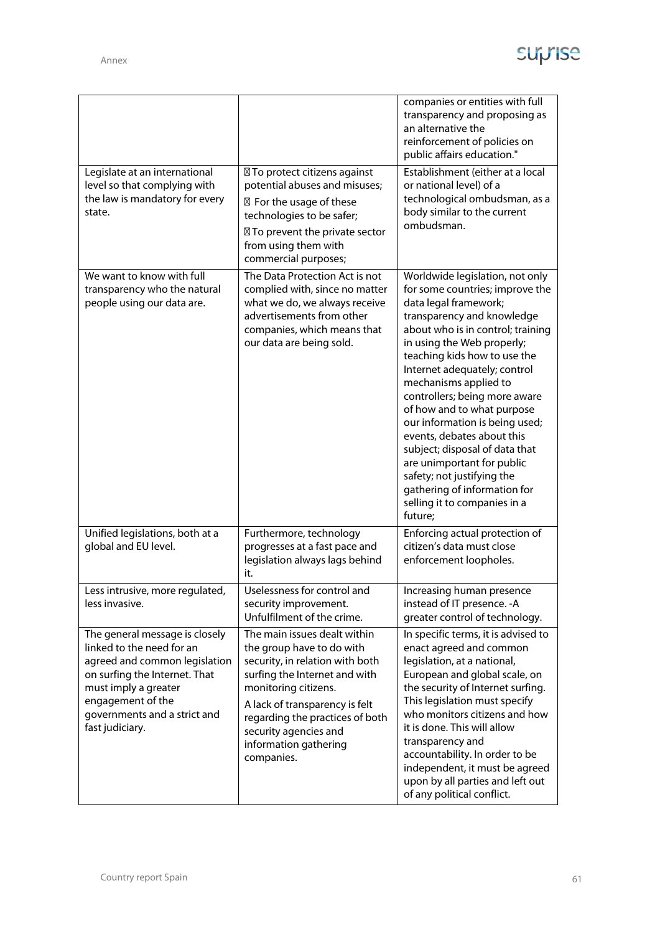|                                                                                                                                                                                                                               |                                                                                                                                                                                                                                                                                            | companies or entities with full<br>transparency and proposing as<br>an alternative the<br>reinforcement of policies on<br>public affairs education."                                                                                                                                                                                                                                                                                                                                                                                                                                          |
|-------------------------------------------------------------------------------------------------------------------------------------------------------------------------------------------------------------------------------|--------------------------------------------------------------------------------------------------------------------------------------------------------------------------------------------------------------------------------------------------------------------------------------------|-----------------------------------------------------------------------------------------------------------------------------------------------------------------------------------------------------------------------------------------------------------------------------------------------------------------------------------------------------------------------------------------------------------------------------------------------------------------------------------------------------------------------------------------------------------------------------------------------|
| Legislate at an international<br>level so that complying with<br>the law is mandatory for every<br>state.                                                                                                                     | ⊠ To protect citizens against<br>potential abuses and misuses;<br>⊠ For the usage of these<br>technologies to be safer;<br>⊠ To prevent the private sector<br>from using them with<br>commercial purposes;                                                                                 | Establishment (either at a local<br>or national level) of a<br>technological ombudsman, as a<br>body similar to the current<br>ombudsman.                                                                                                                                                                                                                                                                                                                                                                                                                                                     |
| We want to know with full<br>transparency who the natural<br>people using our data are.                                                                                                                                       | The Data Protection Act is not<br>complied with, since no matter<br>what we do, we always receive<br>advertisements from other<br>companies, which means that<br>our data are being sold.                                                                                                  | Worldwide legislation, not only<br>for some countries; improve the<br>data legal framework;<br>transparency and knowledge<br>about who is in control; training<br>in using the Web properly;<br>teaching kids how to use the<br>Internet adequately; control<br>mechanisms applied to<br>controllers; being more aware<br>of how and to what purpose<br>our information is being used;<br>events, debates about this<br>subject; disposal of data that<br>are unimportant for public<br>safety; not justifying the<br>gathering of information for<br>selling it to companies in a<br>future; |
| Unified legislations, both at a<br>global and EU level.                                                                                                                                                                       | Furthermore, technology<br>progresses at a fast pace and<br>legislation always lags behind<br>it.                                                                                                                                                                                          | Enforcing actual protection of<br>citizen's data must close<br>enforcement loopholes.                                                                                                                                                                                                                                                                                                                                                                                                                                                                                                         |
| Less intrusive, more regulated,<br>less invasive.                                                                                                                                                                             | Uselessness for control and<br>security improvement.<br>Unfulfilment of the crime.                                                                                                                                                                                                         | Increasing human presence<br>instead of IT presence. - A<br>greater control of technology.                                                                                                                                                                                                                                                                                                                                                                                                                                                                                                    |
| The general message is closely<br>linked to the need for an<br>agreed and common legislation<br>on surfing the Internet. That<br>must imply a greater<br>engagement of the<br>governments and a strict and<br>fast judiciary. | The main issues dealt within<br>the group have to do with<br>security, in relation with both<br>surfing the Internet and with<br>monitoring citizens.<br>A lack of transparency is felt<br>regarding the practices of both<br>security agencies and<br>information gathering<br>companies. | In specific terms, it is advised to<br>enact agreed and common<br>legislation, at a national,<br>European and global scale, on<br>the security of Internet surfing.<br>This legislation must specify<br>who monitors citizens and how<br>it is done. This will allow<br>transparency and<br>accountability. In order to be<br>independent, it must be agreed<br>upon by all parties and left out<br>of any political conflict.                                                                                                                                                                |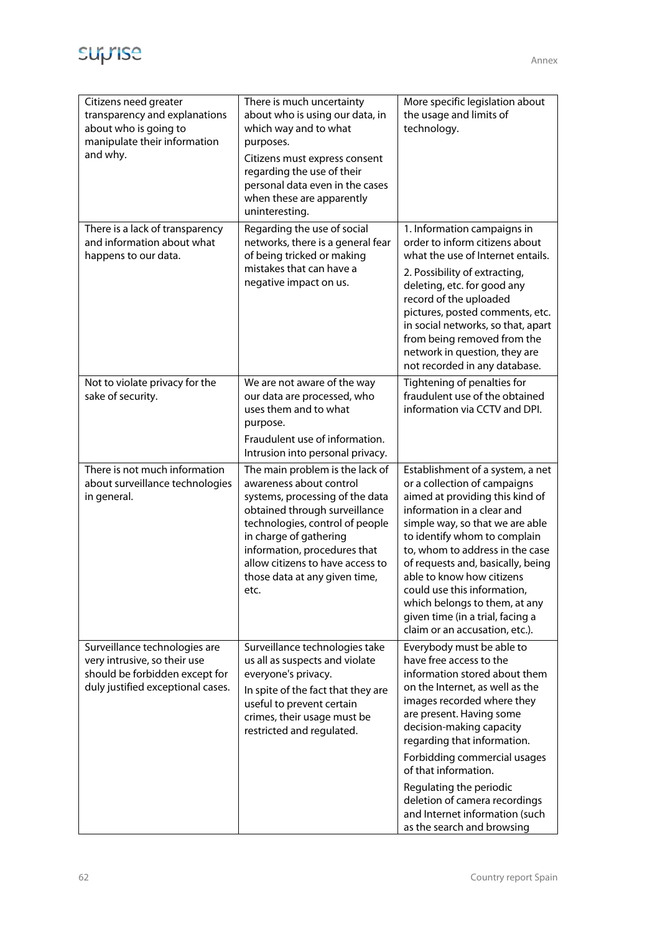

| Citizens need greater<br>transparency and explanations<br>about who is going to<br>manipulate their information<br>and why.          | There is much uncertainty<br>about who is using our data, in<br>which way and to what<br>purposes.<br>Citizens must express consent<br>regarding the use of their<br>personal data even in the cases<br>when these are apparently<br>uninteresting.                                                      | More specific legislation about<br>the usage and limits of<br>technology.                                                                                                                                                                                                                                                                                                                                                                       |
|--------------------------------------------------------------------------------------------------------------------------------------|----------------------------------------------------------------------------------------------------------------------------------------------------------------------------------------------------------------------------------------------------------------------------------------------------------|-------------------------------------------------------------------------------------------------------------------------------------------------------------------------------------------------------------------------------------------------------------------------------------------------------------------------------------------------------------------------------------------------------------------------------------------------|
| There is a lack of transparency<br>and information about what<br>happens to our data.                                                | Regarding the use of social<br>networks, there is a general fear<br>of being tricked or making<br>mistakes that can have a<br>negative impact on us.                                                                                                                                                     | 1. Information campaigns in<br>order to inform citizens about<br>what the use of Internet entails.<br>2. Possibility of extracting,<br>deleting, etc. for good any<br>record of the uploaded<br>pictures, posted comments, etc.<br>in social networks, so that, apart<br>from being removed from the<br>network in question, they are<br>not recorded in any database.                                                                          |
| Not to violate privacy for the<br>sake of security.                                                                                  | We are not aware of the way<br>our data are processed, who<br>uses them and to what<br>purpose.<br>Fraudulent use of information.<br>Intrusion into personal privacy.                                                                                                                                    | Tightening of penalties for<br>fraudulent use of the obtained<br>information via CCTV and DPI.                                                                                                                                                                                                                                                                                                                                                  |
| There is not much information<br>about surveillance technologies<br>in general.                                                      | The main problem is the lack of<br>awareness about control<br>systems, processing of the data<br>obtained through surveillance<br>technologies, control of people<br>in charge of gathering<br>information, procedures that<br>allow citizens to have access to<br>those data at any given time,<br>etc. | Establishment of a system, a net<br>or a collection of campaigns<br>aimed at providing this kind of<br>information in a clear and<br>simple way, so that we are able<br>to identify whom to complain<br>to, whom to address in the case<br>of requests and, basically, being<br>able to know how citizens<br>could use this information,<br>which belongs to them, at any<br>given time (in a trial, facing a<br>claim or an accusation, etc.). |
| Surveillance technologies are<br>very intrusive, so their use<br>should be forbidden except for<br>duly justified exceptional cases. | Surveillance technologies take<br>us all as suspects and violate<br>everyone's privacy.<br>In spite of the fact that they are<br>useful to prevent certain<br>crimes, their usage must be<br>restricted and regulated.                                                                                   | Everybody must be able to<br>have free access to the<br>information stored about them<br>on the Internet, as well as the<br>images recorded where they<br>are present. Having some<br>decision-making capacity<br>regarding that information.<br>Forbidding commercial usages<br>of that information.<br>Regulating the periodic<br>deletion of camera recordings<br>and Internet information (such<br>as the search and browsing               |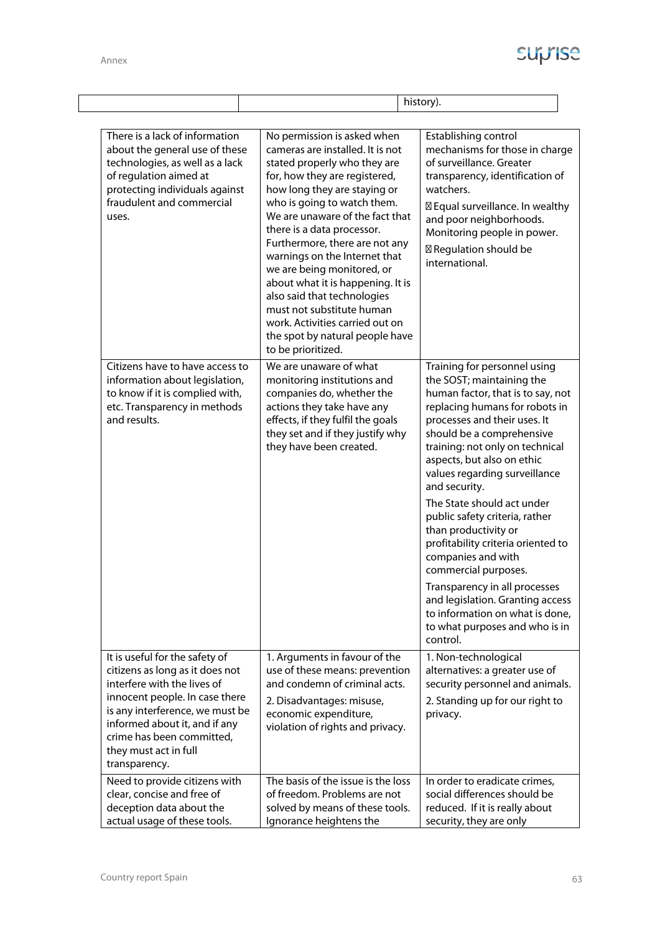$\lfloor$ 

|                                                                                                                                                                                                                                                                               | history).                                                                                                                                                                                                                                                                                                                                                                                                                                                                                                                                                      |                                                                                                                                                                                                                                                                                                                                                                                                                                                                                                                                                                                                                                                    |
|-------------------------------------------------------------------------------------------------------------------------------------------------------------------------------------------------------------------------------------------------------------------------------|----------------------------------------------------------------------------------------------------------------------------------------------------------------------------------------------------------------------------------------------------------------------------------------------------------------------------------------------------------------------------------------------------------------------------------------------------------------------------------------------------------------------------------------------------------------|----------------------------------------------------------------------------------------------------------------------------------------------------------------------------------------------------------------------------------------------------------------------------------------------------------------------------------------------------------------------------------------------------------------------------------------------------------------------------------------------------------------------------------------------------------------------------------------------------------------------------------------------------|
|                                                                                                                                                                                                                                                                               |                                                                                                                                                                                                                                                                                                                                                                                                                                                                                                                                                                |                                                                                                                                                                                                                                                                                                                                                                                                                                                                                                                                                                                                                                                    |
| There is a lack of information<br>about the general use of these<br>technologies, as well as a lack<br>of regulation aimed at<br>protecting individuals against<br>fraudulent and commercial<br>uses.                                                                         | No permission is asked when<br>cameras are installed. It is not<br>stated properly who they are<br>for, how they are registered,<br>how long they are staying or<br>who is going to watch them.<br>We are unaware of the fact that<br>there is a data processor.<br>Furthermore, there are not any<br>warnings on the Internet that<br>we are being monitored, or<br>about what it is happening. It is<br>also said that technologies<br>must not substitute human<br>work. Activities carried out on<br>the spot by natural people have<br>to be prioritized. | Establishing control<br>mechanisms for those in charge<br>of surveillance. Greater<br>transparency, identification of<br>watchers.<br>⊠ Equal surveillance. In wealthy<br>and poor neighborhoods.<br>Monitoring people in power.<br>⊠ Regulation should be<br>international.                                                                                                                                                                                                                                                                                                                                                                       |
| Citizens have to have access to<br>information about legislation,<br>to know if it is complied with,<br>etc. Transparency in methods<br>and results.                                                                                                                          | We are unaware of what<br>monitoring institutions and<br>companies do, whether the<br>actions they take have any<br>effects, if they fulfil the goals<br>they set and if they justify why<br>they have been created.                                                                                                                                                                                                                                                                                                                                           | Training for personnel using<br>the SOST; maintaining the<br>human factor, that is to say, not<br>replacing humans for robots in<br>processes and their uses. It<br>should be a comprehensive<br>training: not only on technical<br>aspects, but also on ethic<br>values regarding surveillance<br>and security.<br>The State should act under<br>public safety criteria, rather<br>than productivity or<br>profitability criteria oriented to<br>companies and with<br>commercial purposes.<br>Transparency in all processes<br>and legislation. Granting access<br>to information on what is done,<br>to what purposes and who is in<br>control. |
| It is useful for the safety of<br>citizens as long as it does not<br>interfere with the lives of<br>innocent people. In case there<br>is any interference, we must be<br>informed about it, and if any<br>crime has been committed,<br>they must act in full<br>transparency. | 1. Arguments in favour of the<br>use of these means: prevention<br>and condemn of criminal acts.<br>2. Disadvantages: misuse,<br>economic expenditure,<br>violation of rights and privacy.                                                                                                                                                                                                                                                                                                                                                                     | 1. Non-technological<br>alternatives: a greater use of<br>security personnel and animals.<br>2. Standing up for our right to<br>privacy.                                                                                                                                                                                                                                                                                                                                                                                                                                                                                                           |
| Need to provide citizens with<br>clear, concise and free of<br>deception data about the<br>actual usage of these tools.                                                                                                                                                       | The basis of the issue is the loss<br>of freedom. Problems are not<br>solved by means of these tools.<br>Ignorance heightens the                                                                                                                                                                                                                                                                                                                                                                                                                               | In order to eradicate crimes,<br>social differences should be<br>reduced. If it is really about<br>security, they are only                                                                                                                                                                                                                                                                                                                                                                                                                                                                                                                         |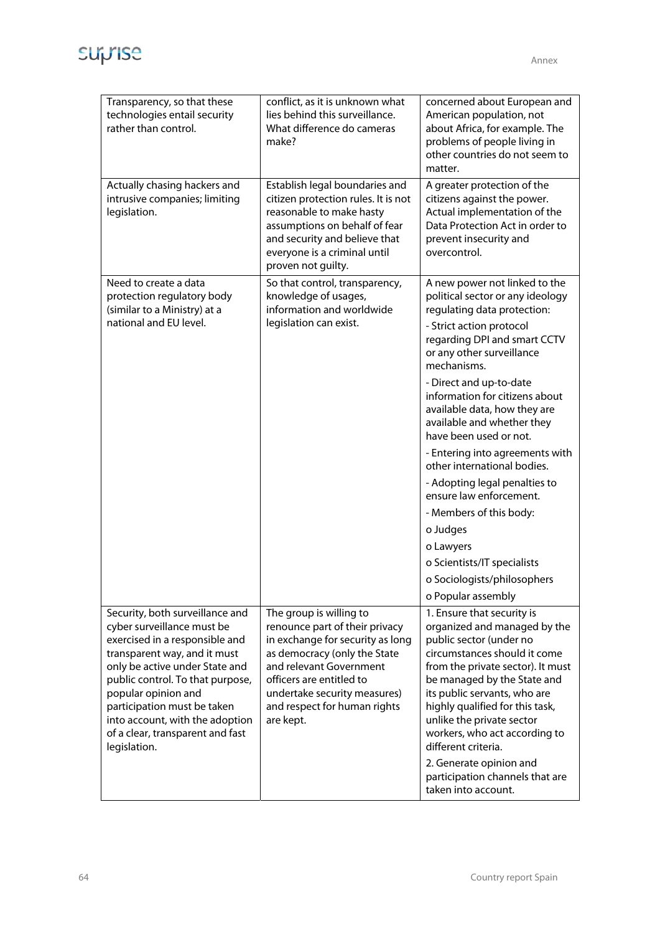

| Transparency, so that these<br>technologies entail security<br>rather than control.                                                                                                                                                                                                                                                                | conflict, as it is unknown what<br>lies behind this surveillance.<br>What difference do cameras<br>make?                                                                                                                                                          | concerned about European and<br>American population, not<br>about Africa, for example. The<br>problems of people living in<br>other countries do not seem to<br>matter.                                                                                                                                                                                                                                                                                                                                                                                                                                                             |
|----------------------------------------------------------------------------------------------------------------------------------------------------------------------------------------------------------------------------------------------------------------------------------------------------------------------------------------------------|-------------------------------------------------------------------------------------------------------------------------------------------------------------------------------------------------------------------------------------------------------------------|-------------------------------------------------------------------------------------------------------------------------------------------------------------------------------------------------------------------------------------------------------------------------------------------------------------------------------------------------------------------------------------------------------------------------------------------------------------------------------------------------------------------------------------------------------------------------------------------------------------------------------------|
| Actually chasing hackers and<br>intrusive companies; limiting<br>legislation.                                                                                                                                                                                                                                                                      | Establish legal boundaries and<br>citizen protection rules. It is not<br>reasonable to make hasty<br>assumptions on behalf of fear<br>and security and believe that<br>everyone is a criminal until<br>proven not guilty.                                         | A greater protection of the<br>citizens against the power.<br>Actual implementation of the<br>Data Protection Act in order to<br>prevent insecurity and<br>overcontrol.                                                                                                                                                                                                                                                                                                                                                                                                                                                             |
| Need to create a data<br>protection regulatory body<br>(similar to a Ministry) at a<br>national and EU level.                                                                                                                                                                                                                                      | So that control, transparency,<br>knowledge of usages,<br>information and worldwide<br>legislation can exist.                                                                                                                                                     | A new power not linked to the<br>political sector or any ideology<br>regulating data protection:<br>- Strict action protocol<br>regarding DPI and smart CCTV<br>or any other surveillance<br>mechanisms.<br>- Direct and up-to-date<br>information for citizens about<br>available data, how they are<br>available and whether they<br>have been used or not.<br>- Entering into agreements with<br>other international bodies.<br>- Adopting legal penalties to<br>ensure law enforcement.<br>- Members of this body:<br>o Judges<br>o Lawyers<br>o Scientists/IT specialists<br>o Sociologists/philosophers<br>o Popular assembly |
| Security, both surveillance and<br>cyber surveillance must be<br>exercised in a responsible and<br>transparent way, and it must<br>only be active under State and<br>public control. To that purpose,<br>popular opinion and<br>participation must be taken<br>into account, with the adoption<br>of a clear, transparent and fast<br>legislation. | The group is willing to<br>renounce part of their privacy<br>in exchange for security as long<br>as democracy (only the State<br>and relevant Government<br>officers are entitled to<br>undertake security measures)<br>and respect for human rights<br>are kept. | 1. Ensure that security is<br>organized and managed by the<br>public sector (under no<br>circumstances should it come<br>from the private sector). It must<br>be managed by the State and<br>its public servants, who are<br>highly qualified for this task,<br>unlike the private sector<br>workers, who act according to<br>different criteria.<br>2. Generate opinion and<br>participation channels that are<br>taken into account.                                                                                                                                                                                              |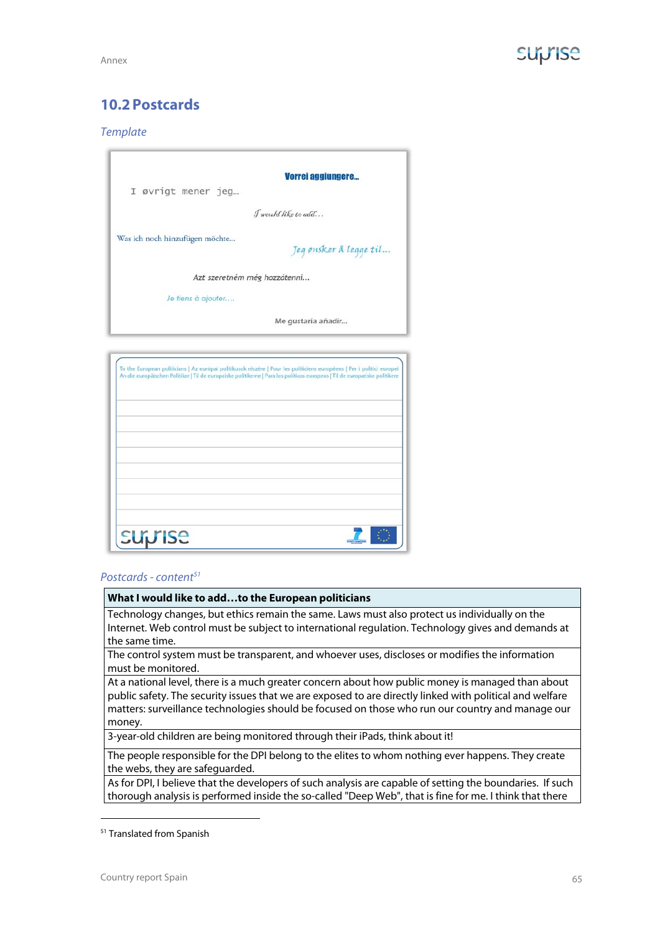## **10.2Postcards**

## **Template**

| I øvrigt mener jeg             | Vorrei aggiungere        |
|--------------------------------|--------------------------|
|                                |                          |
|                                | $\int$ would like to add |
| Was ich noch hinzufügen möchte | Jeg ønsker å legge til   |
| Azt szeretném még hozzátenni   |                          |
| Je tiens à ajouter             |                          |
|                                | Me gustaria añadir       |

## Postcards - content<sup>51</sup>

## **What I would like to add…to the European politicians**

Technology changes, but ethics remain the same. Laws must also protect us individually on the Internet. Web control must be subject to international regulation. Technology gives and demands at the same time.

The control system must be transparent, and whoever uses, discloses or modifies the information must be monitored.

At a national level, there is a much greater concern about how public money is managed than about public safety. The security issues that we are exposed to are directly linked with political and welfare matters: surveillance technologies should be focused on those who run our country and manage our money.

3-year-old children are being monitored through their iPads, think about it!

The people responsible for the DPI belong to the elites to whom nothing ever happens. They create the webs, they are safeguarded.

As for DPI, I believe that the developers of such analysis are capable of setting the boundaries. If such thorough analysis is performed inside the so-called "Deep Web", that is fine for me. I think that there

**-**

<sup>51</sup> Translated from Spanish